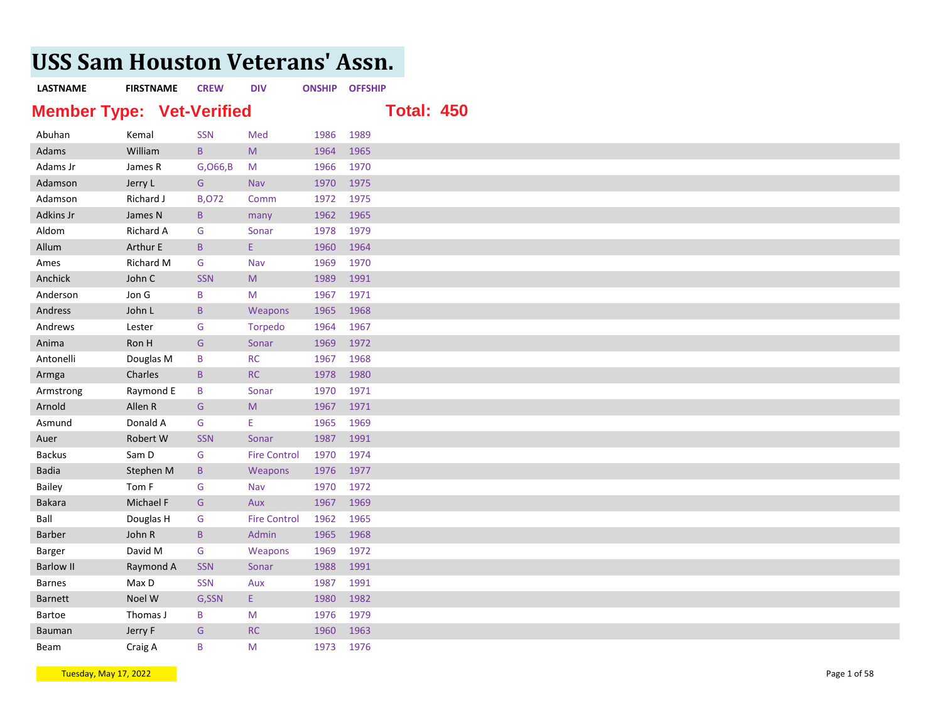## **USS Sam Houston Veterans' Assn.**

## **LASTNAME FIRSTNAME CREW DIV ONSHIP OFFSHIP Member Type: Vet-Verified Total: 450** Abuhan Kemal SSN Med 1986 1989 Adams William B M 1964 1965 Adams Jr James R G,O66,B M 1966 1970 Adamson Jerry L G Nav 1970 1975 Adamson Richard J B,O72 Comm 1972 1975 Adkins Jr James N B many 1962 1965 Aldom Richard A G Sonar 1978 1979 Allum Arthur E B E 1960 1964 Ames Richard M G Nav 1969 1970 Anchick John C SSN M 1989 1991 Anderson Jon G B M 1967 1971 Andress John L B Weapons 1965 1968 Andrews Lester G Torpedo 1964 1967 Anima Ron H G Sonar 1969 1972 Antonelli Douglas M B RC 1967 1968 Armga Charles B RC 1978 1980 Armstrong Raymond E B Sonar 1970 1971 Arnold Allen R G M 1967 1971 Asmund Donald A G E 1965 1969 Auer Robert W SSN Sonar 1987 1991 Backus Sam D G Fire Control 1970 1974 Badia **Stephen M** B Weapons 1976 1977 Bailey **Tom F** G Nav 1970 1972 **Bakara Michael F** G Aux 1967 1969 Ball **Douglas H** G Fire Control 1962 1965 Barber John R B Admin 1965 1968 Barger **David M** G Weapons 1969 1972 Barlow II **Raymond A** SSN Sonar 1988 1991 Barnes Max D SSN Aux 1987 1991 Barnett Noel W G,SSN E 1980 1982 Bartoe Thomas J B M 1976 1979 Bauman Jerry F G RC 1960 1963

Tuesday, May 17, 2022 Page 1 of 58 and the studies of the studies of the studies of the studies of the studies of the studies of the studies of the studies of the studies of the studies of the studies of the studies of the

**Beam Craig A** B M 1973 1976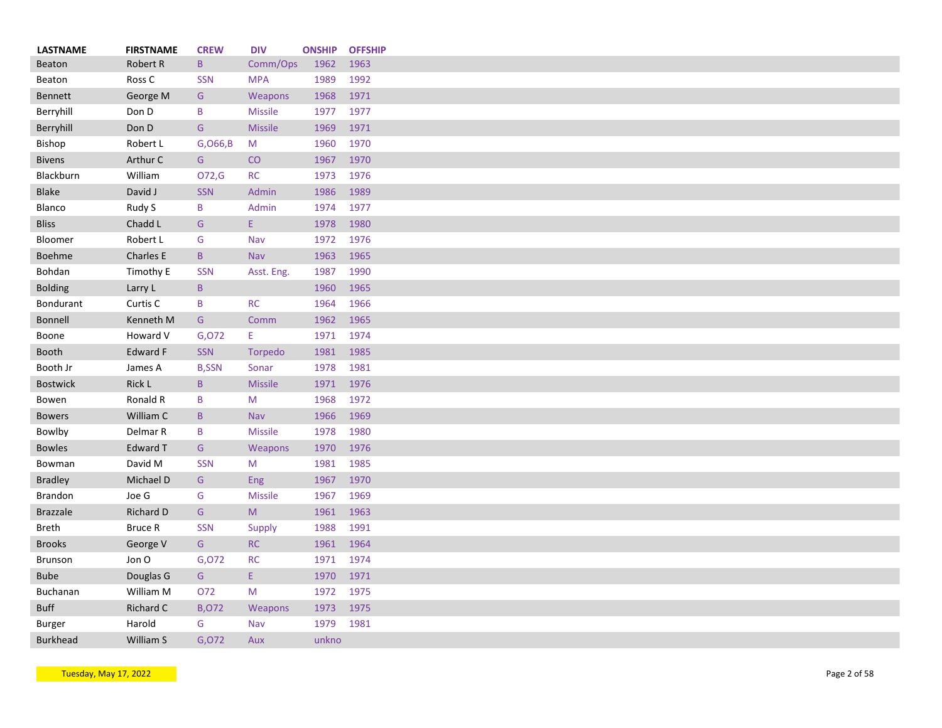| <b>LASTNAME</b> | <b>FIRSTNAME</b> | <b>CREW</b>  | <b>DIV</b>     | <b>ONSHIP</b> | <b>OFFSHIP</b> |
|-----------------|------------------|--------------|----------------|---------------|----------------|
| <b>Beaton</b>   | Robert R         | $\mathsf B$  | Comm/Ops       | 1962          | 1963           |
| Beaton          | Ross C           | <b>SSN</b>   | <b>MPA</b>     | 1989          | 1992           |
| <b>Bennett</b>  | George M         | G            | Weapons        | 1968          | 1971           |
| Berryhill       | Don D            | B            | <b>Missile</b> | 1977          | 1977           |
| Berryhill       | Don D            | G            | <b>Missile</b> | 1969          | 1971           |
| Bishop          | Robert L         | G, 066, B    | M              | 1960          | 1970           |
| <b>Bivens</b>   | Arthur C         | G            | CO             | 1967          | 1970           |
| Blackburn       | William          | O72,G        | <b>RC</b>      | 1973          | 1976           |
| <b>Blake</b>    | David J          | SSN          | Admin          | 1986          | 1989           |
| Blanco          | Rudy S           | B            | Admin          | 1974          | 1977           |
| <b>Bliss</b>    | Chadd L          | G            | E.             | 1978          | 1980           |
| Bloomer         | Robert L         | G            | Nav            | 1972          | 1976           |
| Boehme          | Charles E        | $\mathsf{B}$ | <b>Nav</b>     | 1963          | 1965           |
| Bohdan          | Timothy E        | <b>SSN</b>   | Asst. Eng.     | 1987          | 1990           |
| <b>Bolding</b>  | Larry L          | $\mathsf B$  |                | 1960          | 1965           |
| Bondurant       | Curtis C         | B            | <b>RC</b>      | 1964          | 1966           |
| <b>Bonnell</b>  | Kenneth M        | G            | Comm           | 1962          | 1965           |
| Boone           | Howard V         | G,072        | Ε.             | 1971          | 1974           |
| <b>Booth</b>    | <b>Edward F</b>  | SSN          | Torpedo        | 1981          | 1985           |
| Booth Jr        | James A          | <b>B,SSN</b> | Sonar          | 1978          | 1981           |
| <b>Bostwick</b> | Rick L           | B            | <b>Missile</b> | 1971          | 1976           |
| Bowen           | Ronald R         | B            | M              | 1968          | 1972           |
| <b>Bowers</b>   | William C        | B            | Nav            | 1966          | 1969           |
| Bowlby          | Delmar R         | B            | <b>Missile</b> | 1978          | 1980           |
| <b>Bowles</b>   | <b>Edward T</b>  | G            | Weapons        | 1970          | 1976           |
| Bowman          | David M          | <b>SSN</b>   | M              | 1981          | 1985           |
| <b>Bradley</b>  | Michael D        | G            | <b>Eng</b>     | 1967          | 1970           |
| Brandon         | Joe G            | G            | <b>Missile</b> | 1967          | 1969           |
| <b>Brazzale</b> | Richard D        | G            | M              | 1961          | 1963           |
| <b>Breth</b>    | Bruce R          | <b>SSN</b>   | Supply         | 1988          | 1991           |
| <b>Brooks</b>   | George V         | G            | RC             | 1961          | 1964           |
| Brunson         | Jon O            | G,072        | <b>RC</b>      | 1971          | 1974           |
| <b>Bube</b>     | Douglas G        | G            | E.             | 1970          | 1971           |
| Buchanan        | William M        | 072          | M              | 1972          | 1975           |
| <b>Buff</b>     | Richard C        | <b>B,072</b> | Weapons        | 1973          | 1975           |
| Burger          | Harold           | G            | Nav            | 1979          | 1981           |
| <b>Burkhead</b> | William S        | G,072        | Aux            | unkno         |                |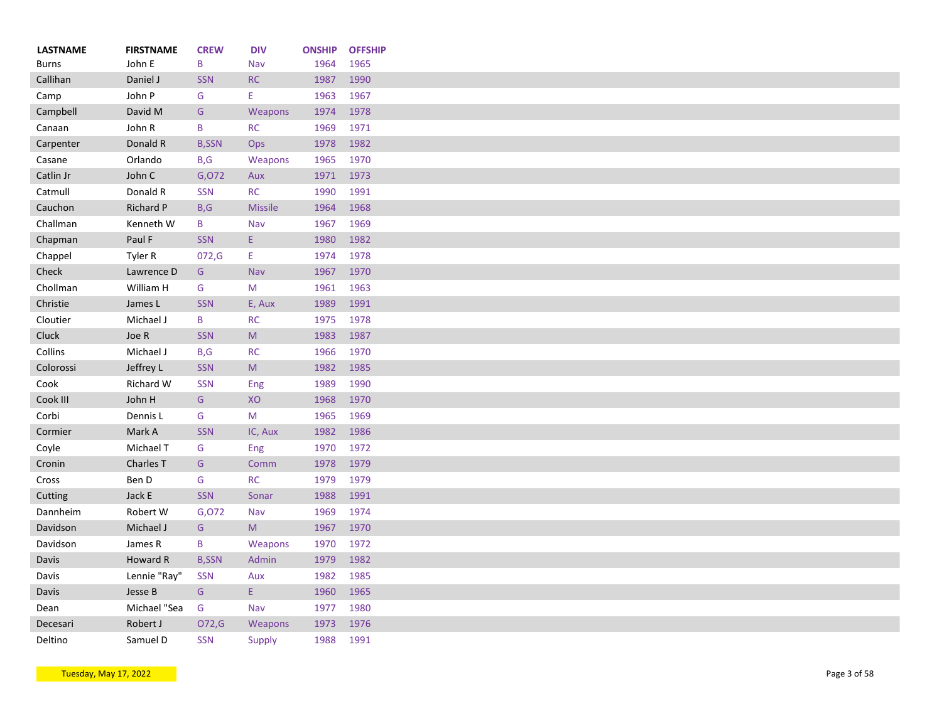| <b>LASTNAME</b> | <b>FIRSTNAME</b> | <b>CREW</b>  | <b>DIV</b>     | <b>ONSHIP</b> | <b>OFFSHIP</b> |
|-----------------|------------------|--------------|----------------|---------------|----------------|
| <b>Burns</b>    | John E           | B            | Nav            | 1964          | 1965           |
| Callihan        | Daniel J         | <b>SSN</b>   | RC             | 1987          | 1990           |
| Camp            | John P           | G            | E              | 1963          | 1967           |
| Campbell        | David M          | G            | Weapons        | 1974          | 1978           |
| Canaan          | John R           | B            | <b>RC</b>      | 1969          | 1971           |
| Carpenter       | Donald R         | <b>B,SSN</b> | Ops            | 1978          | 1982           |
| Casane          | Orlando          | B, G         | Weapons        | 1965          | 1970           |
| Catlin Jr       | John C           | G,072        | Aux            | 1971          | 1973           |
| Catmull         | Donald R         | <b>SSN</b>   | <b>RC</b>      | 1990          | 1991           |
| Cauchon         | Richard P        | B, G         | <b>Missile</b> | 1964          | 1968           |
| Challman        | Kenneth W        | B            | Nav            | 1967          | 1969           |
| Chapman         | Paul F           | <b>SSN</b>   | E.             | 1980          | 1982           |
| Chappel         | Tyler R          | 072, G       | E.             | 1974          | 1978           |
| Check           | Lawrence D       | G            | Nav            | 1967          | 1970           |
| Chollman        | William H        | G            | M              | 1961          | 1963           |
| Christie        | James L          | <b>SSN</b>   | E, Aux         | 1989          | 1991           |
| Cloutier        | Michael J        | B            | <b>RC</b>      | 1975          | 1978           |
| Cluck           | Joe R            | <b>SSN</b>   | M              | 1983          | 1987           |
| Collins         | Michael J        | B, G         | <b>RC</b>      | 1966          | 1970           |
| Colorossi       | Jeffrey L        | <b>SSN</b>   | M              | 1982          | 1985           |
| Cook            | Richard W        | <b>SSN</b>   | Eng            | 1989          | 1990           |
| Cook III        | John H           | G            | XO             | 1968          | 1970           |
| Corbi           | Dennis L         | G            | M              | 1965          | 1969           |
| Cormier         | Mark A           | <b>SSN</b>   | IC, Aux        | 1982          | 1986           |
| Coyle           | Michael T        | G            | Eng            | 1970          | 1972           |
| Cronin          | Charles T        | G            | Comm           | 1978          | 1979           |
| Cross           | Ben D            | G            | <b>RC</b>      | 1979          | 1979           |
| Cutting         | Jack E           | <b>SSN</b>   | Sonar          | 1988          | 1991           |
| Dannheim        | Robert W         | G,072        | Nav            | 1969          | 1974           |
| Davidson        | Michael J        | G            | M              | 1967          | 1970           |
| Davidson        | James R          | B            | Weapons        | 1970          | 1972           |
| Davis           | Howard R         | <b>B,SSN</b> | Admin          | 1979          | 1982           |
| Davis           | Lennie "Ray"     | <b>SSN</b>   | Aux            | 1982          | 1985           |
| Davis           | Jesse B          | G            | E.             | 1960          | 1965           |
| Dean            | Michael "Sea     | G            | Nav            | 1977          | 1980           |
| Decesari        | Robert J         | O72,G        | <b>Weapons</b> | 1973          | 1976           |
| Deltino         | Samuel D         | <b>SSN</b>   |                | 1988          | 1991           |
|                 |                  |              | Supply         |               |                |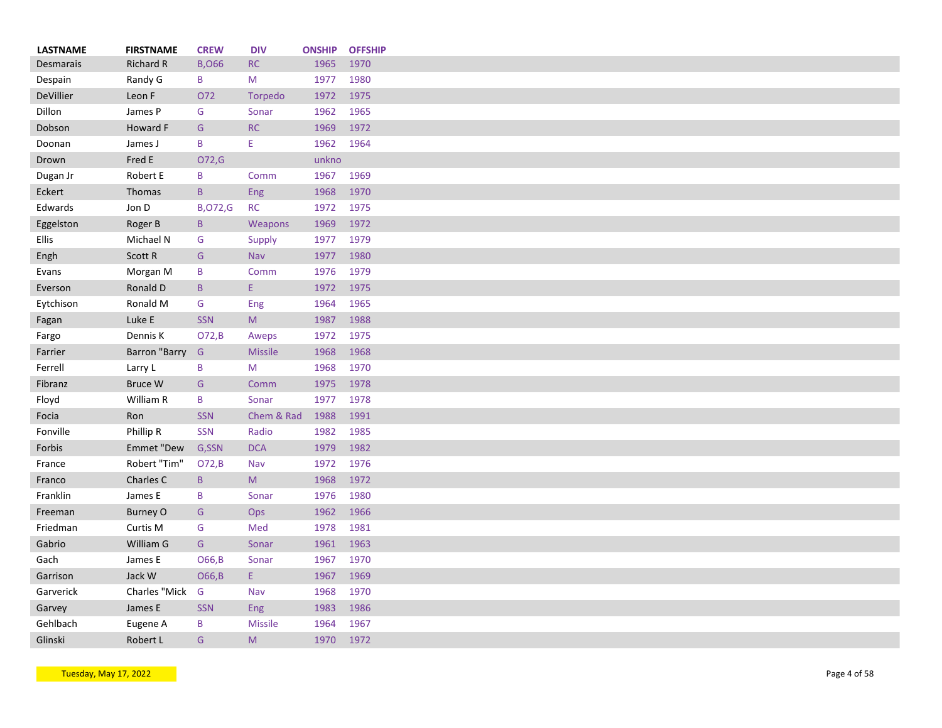| <b>LASTNAME</b> | <b>FIRSTNAME</b> | <b>CREW</b>    | <b>DIV</b>     | <b>ONSHIP</b> | <b>OFFSHIP</b> |
|-----------------|------------------|----------------|----------------|---------------|----------------|
| Desmarais       | <b>Richard R</b> | <b>B,066</b>   | <b>RC</b>      | 1965          | 1970           |
| Despain         | Randy G          | B              | M              | 1977          | 1980           |
| DeVillier       | Leon F           | 072            | Torpedo        | 1972          | 1975           |
| Dillon          | James P          | G              | Sonar          | 1962          | 1965           |
| Dobson          | Howard F         | G              | RC             | 1969          | 1972           |
| Doonan          | James J          | B              | Ε              | 1962          | 1964           |
| Drown           | Fred E           | O72,G          |                | unkno         |                |
| Dugan Jr        | Robert E         | B              | Comm           | 1967          | 1969           |
| Eckert          | Thomas           | $\mathsf{B}$   | Eng            | 1968          | 1970           |
| Edwards         | Jon D            | <b>B,072,G</b> | <b>RC</b>      | 1972          | 1975           |
| Eggelston       | Roger B          | $\mathsf{B}$   | Weapons        | 1969          | 1972           |
| Ellis           | Michael N        | G              | Supply         | 1977          | 1979           |
| Engh            | Scott R          | G              | Nav            | 1977          | 1980           |
| Evans           | Morgan M         | B              | Comm           | 1976          | 1979           |
| Everson         | Ronald D         | $\mathsf{B}$   | E.             | 1972          | 1975           |
| Eytchison       | Ronald M         | G              | Eng            | 1964          | 1965           |
| Fagan           | Luke E           | <b>SSN</b>     | M              | 1987          | 1988           |
| Fargo           | Dennis K         | O72, B         | Aweps          | 1972          | 1975           |
| Farrier         | Barron "Barry    | G              | <b>Missile</b> | 1968          | 1968           |
| Ferrell         | Larry L          | B              | M              | 1968          | 1970           |
| Fibranz         | Bruce W          | G              | Comm           | 1975          | 1978           |
| Floyd           | William R        | B              | Sonar          | 1977          | 1978           |
| Focia           | Ron              | <b>SSN</b>     | Chem & Rad     | 1988          | 1991           |
| Fonville        | Phillip R        | <b>SSN</b>     | Radio          | 1982          | 1985           |
| Forbis          | Emmet "Dew       | G,SSN          | <b>DCA</b>     | 1979          | 1982           |
| France          | Robert "Tim"     | O72,B          | Nav            | 1972          | 1976           |
| Franco          | Charles C        | B              | M              | 1968          | 1972           |
| Franklin        | James E          | B              | Sonar          | 1976          | 1980           |
| Freeman         | <b>Burney O</b>  | G              | Ops            | 1962          | 1966           |
| Friedman        | Curtis M         | G              | Med            | 1978          | 1981           |
| Gabrio          | William G        | G              | Sonar          | 1961          | 1963           |
|                 |                  |                |                |               |                |
| Gach            | James E          | O66, B         | Sonar          | 1967          | 1970           |
| Garrison        | Jack W           | O66, B         | E.             | 1967          | 1969           |
| Garverick       | Charles "Mick    | G              | Nav            | 1968          | 1970           |
| Garvey          | James E          | <b>SSN</b>     | Eng            | 1983          | 1986           |
| Gehlbach        | Eugene A         | B              | <b>Missile</b> | 1964          | 1967           |
| Glinski         | Robert L         | G              | M              | 1970          | 1972           |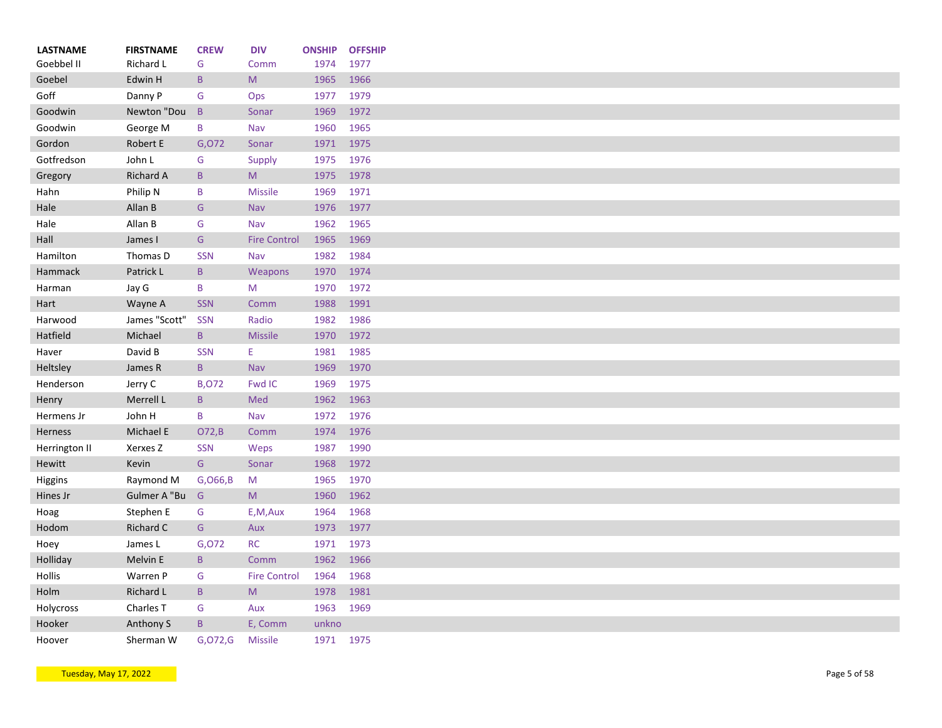| <b>LASTNAME</b> | <b>FIRSTNAME</b>    | <b>CREW</b>     | <b>DIV</b>                                                                                                 | <b>ONSHIP</b> | <b>OFFSHIP</b> |
|-----------------|---------------------|-----------------|------------------------------------------------------------------------------------------------------------|---------------|----------------|
| Goebbel II      | Richard L           | G               | Comm                                                                                                       | 1974          | 1977           |
| Goebel          | Edwin H             | $\mathsf{B}$    | ${\sf M}$                                                                                                  | 1965          | 1966           |
| Goff            | Danny P             | G               | Ops                                                                                                        | 1977          | 1979           |
| Goodwin         | Newton "Dou         | $\mathsf{B}$    | Sonar                                                                                                      | 1969          | 1972           |
| Goodwin         | George M            | B               | Nav                                                                                                        | 1960          | 1965           |
| Gordon          | Robert E            | G,072           | Sonar                                                                                                      | 1971          | 1975           |
| Gotfredson      | John L              | G               | Supply                                                                                                     | 1975          | 1976           |
| Gregory         | <b>Richard A</b>    | $\mathsf{B}$    | M                                                                                                          | 1975          | 1978           |
| Hahn            | Philip N            | B               | <b>Missile</b>                                                                                             | 1969          | 1971           |
| Hale            | Allan B             | G               | Nav                                                                                                        | 1976          | 1977           |
| Hale            | Allan B             | G               | Nav                                                                                                        | 1962          | 1965           |
| Hall            | James I             | G               | <b>Fire Control</b>                                                                                        | 1965          | 1969           |
| Hamilton        | Thomas D            | <b>SSN</b>      | Nav                                                                                                        | 1982          | 1984           |
| Hammack         | Patrick L           | $\, {\bf B} \,$ | Weapons                                                                                                    | 1970          | 1974           |
| Harman          | Jay G               | B               | M                                                                                                          | 1970          | 1972           |
| Hart            | Wayne A             | <b>SSN</b>      | Comm                                                                                                       | 1988          | 1991           |
| Harwood         | James "Scott"       | <b>SSN</b>      | Radio                                                                                                      | 1982          | 1986           |
| Hatfield        | Michael             | $\mathsf{B}$    | <b>Missile</b>                                                                                             | 1970          | 1972           |
| Haver           | David B             | <b>SSN</b>      | E.                                                                                                         | 1981          | 1985           |
| Heltsley        | James R             | $\mathsf{B}$    | <b>Nav</b>                                                                                                 | 1969          | 1970           |
| Henderson       | Jerry C             | <b>B,072</b>    | Fwd IC                                                                                                     | 1969          | 1975           |
| Henry           | Merrell L           | $\, {\bf B} \,$ | Med                                                                                                        | 1962          | 1963           |
| Hermens Jr      | John H              | B               | Nav                                                                                                        | 1972          | 1976           |
| Herness         | Michael E           | O72,B           | Comm                                                                                                       | 1974          | 1976           |
| Herrington II   | Xerxes <sub>Z</sub> | <b>SSN</b>      | Weps                                                                                                       | 1987          | 1990           |
| Hewitt          | Kevin               | ${\mathsf G}$   | Sonar                                                                                                      | 1968          | 1972           |
| Higgins         | Raymond M           | G, 066, B       | M                                                                                                          | 1965          | 1970           |
| Hines Jr        | Gulmer A "Bu        | G               | M                                                                                                          | 1960          | 1962           |
| Hoag            | Stephen E           | G               | E,M,Aux                                                                                                    | 1964          | 1968           |
| Hodom           | Richard C           | ${\mathsf G}$   | Aux                                                                                                        | 1973          | 1977           |
|                 |                     |                 | <b>RC</b>                                                                                                  | 1971          | 1973           |
| Hoey            | James L             | G,072           |                                                                                                            |               |                |
| Holliday        | Melvin E            | $\mathsf B$     | Comm                                                                                                       | 1962          | 1966           |
| Hollis          | Warren P            | G               | <b>Fire Control</b>                                                                                        | 1964          | 1968           |
| Holm            | Richard L           | $\, {\bf B} \,$ | $\mathsf{M}% _{T}=\mathsf{M}_{T}\!\left( a,b\right) ,\ \mathsf{M}_{T}=\mathsf{M}_{T}\!\left( a,b\right) ,$ | 1978          | 1981           |
| Holycross       | Charles T           | G               | Aux                                                                                                        | 1963          | 1969           |
| Hooker          | Anthony S           | $\mathsf B$     | E, Comm                                                                                                    | unkno         |                |
| Hoover          | Sherman W           | G,072,G         | <b>Missile</b>                                                                                             | 1971 1975     |                |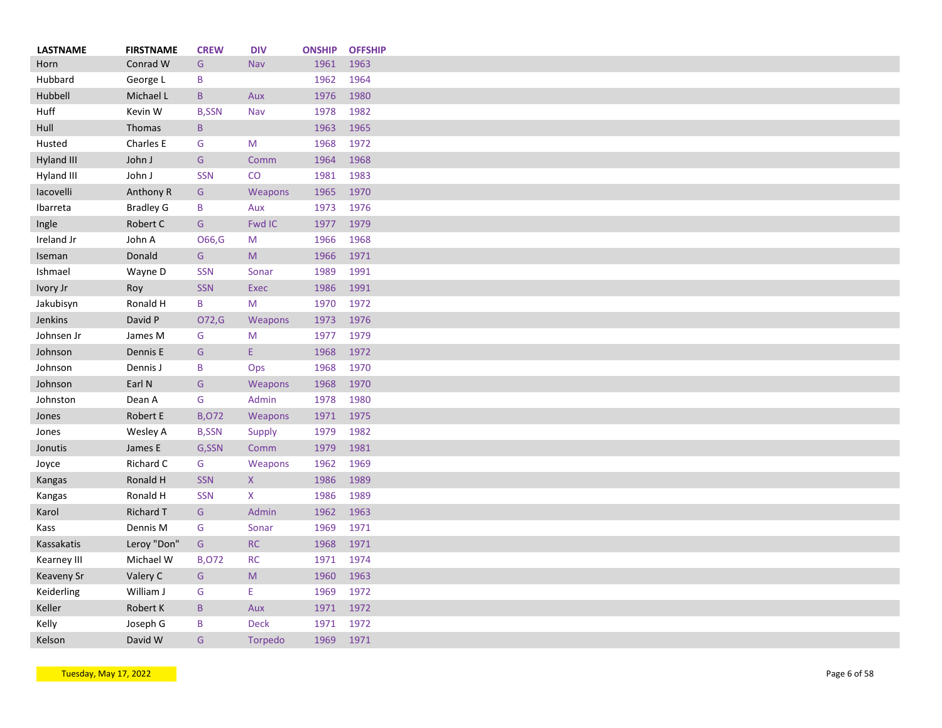| <b>LASTNAME</b> | <b>FIRSTNAME</b> | <b>CREW</b>     | <b>DIV</b>                                                                                                 | <b>ONSHIP</b> | <b>OFFSHIP</b> |
|-----------------|------------------|-----------------|------------------------------------------------------------------------------------------------------------|---------------|----------------|
| Horn            | Conrad W         | G               | Nav                                                                                                        | 1961          | 1963           |
| Hubbard         | George L         | B               |                                                                                                            | 1962          | 1964           |
| Hubbell         | Michael L        | $\, {\bf B} \,$ | Aux                                                                                                        | 1976          | 1980           |
| Huff            | Kevin W          | <b>B,SSN</b>    | Nav                                                                                                        | 1978          | 1982           |
| Hull            | Thomas           | $\mathsf{B}$    |                                                                                                            | 1963          | 1965           |
| Husted          | Charles E        | G               | M                                                                                                          | 1968          | 1972           |
| Hyland III      | John J           | ${\mathsf G}$   | Comm                                                                                                       | 1964          | 1968           |
| Hyland III      | John J           | <b>SSN</b>      | CO                                                                                                         | 1981          | 1983           |
| lacovelli       | Anthony R        | G               | Weapons                                                                                                    | 1965          | 1970           |
| Ibarreta        | <b>Bradley G</b> | B               | Aux                                                                                                        | 1973          | 1976           |
| Ingle           | Robert C         | G               | Fwd IC                                                                                                     | 1977          | 1979           |
| Ireland Jr      | John A           | O66,G           | M                                                                                                          | 1966          | 1968           |
| Iseman          | Donald           | G               | M                                                                                                          | 1966          | 1971           |
| Ishmael         | Wayne D          | <b>SSN</b>      | Sonar                                                                                                      | 1989          | 1991           |
| Ivory Jr        | Roy              | <b>SSN</b>      | Exec                                                                                                       | 1986          | 1991           |
| Jakubisyn       | Ronald H         | B               | M                                                                                                          | 1970          | 1972           |
| Jenkins         | David P          | O72,G           | Weapons                                                                                                    | 1973          | 1976           |
| Johnsen Jr      | James M          | G               | M                                                                                                          | 1977          | 1979           |
| Johnson         | Dennis E         | G               | E.                                                                                                         | 1968          | 1972           |
| Johnson         | Dennis J         | B               | Ops                                                                                                        | 1968          | 1970           |
| Johnson         | Earl N           | ${\mathsf G}$   | Weapons                                                                                                    | 1968          | 1970           |
|                 | Dean A           | G               | Admin                                                                                                      | 1978          | 1980           |
| Johnston        |                  |                 |                                                                                                            |               |                |
| Jones           | Robert E         | <b>B,072</b>    | Weapons                                                                                                    | 1971          | 1975           |
| Jones           | Wesley A         | <b>B,SSN</b>    | Supply                                                                                                     | 1979          | 1982           |
| Jonutis         | James E          | G,SSN           | Comm                                                                                                       | 1979          | 1981           |
| Joyce           | Richard C        | G               | Weapons                                                                                                    | 1962          | 1969           |
| Kangas          | Ronald H         | <b>SSN</b>      | X                                                                                                          | 1986          | 1989           |
| Kangas          | Ronald H         | <b>SSN</b>      | X                                                                                                          | 1986          | 1989           |
| Karol           | <b>Richard T</b> | G               | Admin                                                                                                      | 1962          | 1963           |
| Kass            | Dennis M         | G               | Sonar                                                                                                      | 1969          | 1971           |
| Kassakatis      | Leroy "Don"      | G               | RC                                                                                                         | 1968          | 1971           |
| Kearney III     | Michael W        | <b>B,072</b>    | <b>RC</b>                                                                                                  | 1971          | 1974           |
| Keaveny Sr      | Valery C         | G               | $\mathsf{M}% _{T}=\mathsf{M}_{T}\!\left( a,b\right) ,\ \mathsf{M}_{T}=\mathsf{M}_{T}\!\left( a,b\right) ,$ | 1960          | 1963           |
| Keiderling      | William J        | G               | E.                                                                                                         | 1969          | 1972           |
| Keller          | Robert K         | B               | Aux                                                                                                        | 1971          | 1972           |
| Kelly           | Joseph G         | B               | <b>Deck</b>                                                                                                | 1971          | 1972           |
| Kelson          | David W          | G               | Torpedo                                                                                                    | 1969          | 1971           |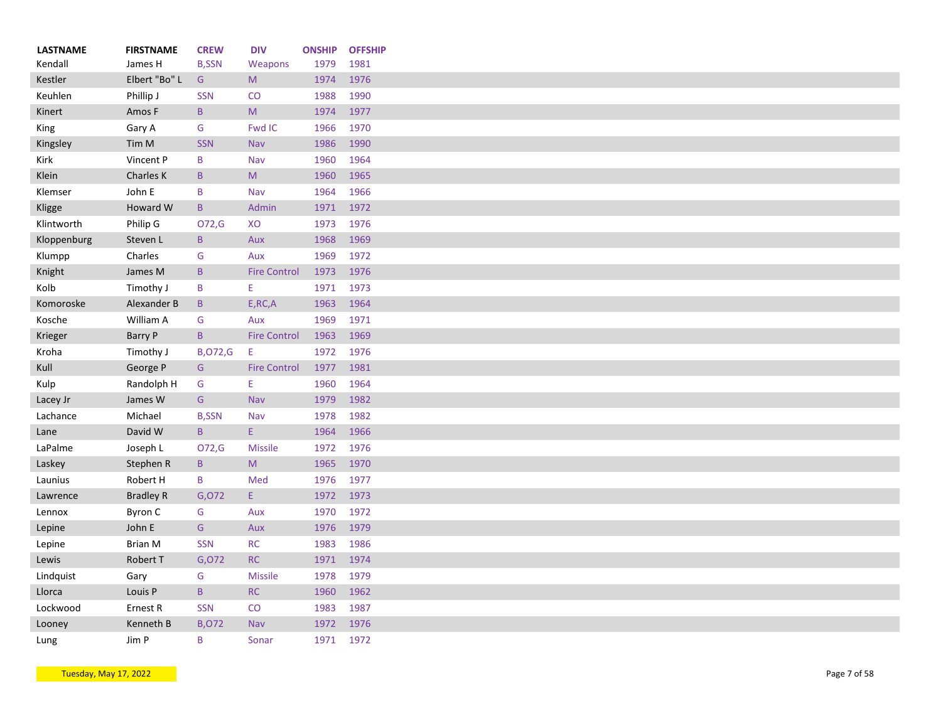| <b>LASTNAME</b> | <b>FIRSTNAME</b> | <b>CREW</b>     | <b>DIV</b>          | <b>ONSHIP</b> | <b>OFFSHIP</b> |
|-----------------|------------------|-----------------|---------------------|---------------|----------------|
| Kendall         | James H          | <b>B,SSN</b>    | Weapons             | 1979          | 1981           |
| Kestler         | Elbert "Bo" L    | G               | M                   | 1974          | 1976           |
| Keuhlen         | Phillip J        | <b>SSN</b>      | CO                  | 1988          | 1990           |
| Kinert          | Amos F           | $\mathsf{B}$    | ${\sf M}$           | 1974          | 1977           |
| King            | Gary A           | G               | <b>Fwd IC</b>       | 1966          | 1970           |
| Kingsley        | Tim M            | <b>SSN</b>      | Nav                 | 1986          | 1990           |
| Kirk            | Vincent P        | B               | Nav                 | 1960          | 1964           |
| Klein           | Charles K        | $\mathsf{B}$    | M                   | 1960          | 1965           |
| Klemser         | John E           | B               | Nav                 | 1964          | 1966           |
| Kligge          | Howard W         | $\, {\bf B} \,$ | Admin               | 1971          | 1972           |
| Klintworth      | Philip G         | O72,G           | XO                  | 1973          | 1976           |
| Kloppenburg     | Steven L         | $\mathsf B$     | Aux                 | 1968          | 1969           |
| Klumpp          | Charles          | G               | Aux                 | 1969          | 1972           |
| Knight          | James M          | $\mathsf{B}$    | <b>Fire Control</b> | 1973          | 1976           |
| Kolb            | Timothy J        | B               | E.                  | 1971          | 1973           |
| Komoroske       | Alexander B      | $\, {\bf B}$    | E, RC, A            | 1963          | 1964           |
| Kosche          | William A        | G               | Aux                 | 1969          | 1971           |
| Krieger         | Barry P          | $\mathsf{B}$    | <b>Fire Control</b> | 1963          | 1969           |
| Kroha           | Timothy J        | <b>B,072,G</b>  | Ε                   | 1972          | 1976           |
| Kull            | George P         | G               | <b>Fire Control</b> | 1977          | 1981           |
| Kulp            | Randolph H       | G               | Ε                   | 1960          | 1964           |
| Lacey Jr        | James W          | G               | Nav                 | 1979          | 1982           |
| Lachance        | Michael          | <b>B,SSN</b>    | Nav                 | 1978          | 1982           |
| Lane            | David W          | $\mathsf{B}$    | E.                  | 1964          | 1966           |
| LaPalme         | Joseph L         | O72,G           | <b>Missile</b>      | 1972          | 1976           |
| Laskey          | Stephen R        | $\mathsf B$     | M                   | 1965          | 1970           |
|                 |                  | B               |                     |               | 1977           |
| Launius         | Robert H         |                 | Med                 | 1976          |                |
| Lawrence        | <b>Bradley R</b> | G,072           | E.                  | 1972          | 1973           |
| Lennox          | Byron C          | G               | Aux                 | 1970          | 1972           |
| Lepine          | John E           | ${\mathsf G}$   | Aux                 | 1976          | 1979           |
| Lepine          | <b>Brian M</b>   | <b>SSN</b>      | <b>RC</b>           | 1983          | 1986           |
| Lewis           | Robert T         | G,072           | RC                  | 1971          | 1974           |
| Lindquist       | Gary             | G               | <b>Missile</b>      | 1978          | 1979           |
| Llorca          | Louis P          | $\mathsf{B}$    | $\sf RC$            | 1960          | 1962           |
| Lockwood        | Ernest R         | <b>SSN</b>      | CO                  | 1983          | 1987           |
| Looney          | Kenneth B        | <b>B,072</b>    | Nav                 | 1972          | 1976           |
| Lung            | Jim P            | B               | Sonar               | 1971          | 1972           |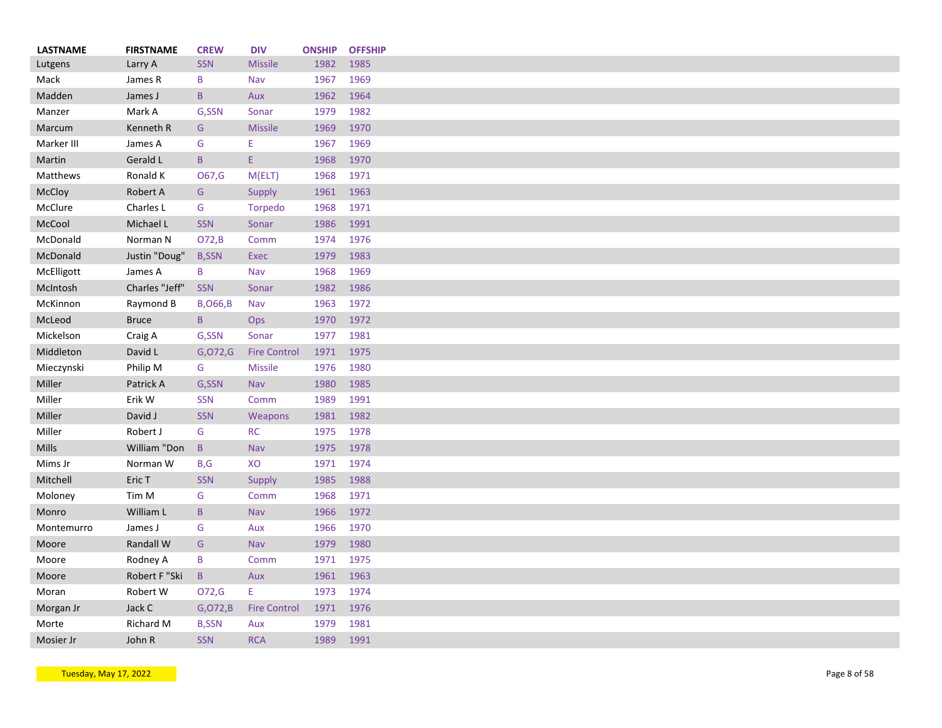| <b>LASTNAME</b> | <b>FIRSTNAME</b> | <b>CREW</b>      | <b>DIV</b>          | <b>ONSHIP</b> | <b>OFFSHIP</b> |
|-----------------|------------------|------------------|---------------------|---------------|----------------|
| Lutgens         | Larry A          | <b>SSN</b>       | <b>Missile</b>      | 1982          | 1985           |
| Mack            | James R          | B                | Nav                 | 1967          | 1969           |
| Madden          | James J          | $\mathsf{B}$     | Aux                 | 1962          | 1964           |
| Manzer          | Mark A           | G,SSN            | Sonar               | 1979          | 1982           |
| Marcum          | Kenneth R        | G                | <b>Missile</b>      | 1969          | 1970           |
| Marker III      | James A          | G                | Ε                   | 1967          | 1969           |
| Martin          | Gerald L         | $\mathsf{B}$     | E.                  | 1968          | 1970           |
| Matthews        | Ronald K         | O67,G            | M(ELT)              | 1968          | 1971           |
| McCloy          | Robert A         | G                | <b>Supply</b>       | 1961          | 1963           |
| McClure         | Charles L        | G                | Torpedo             | 1968          | 1971           |
| McCool          | Michael L        | <b>SSN</b>       | Sonar               | 1986          | 1991           |
| McDonald        | Norman N         | O72,B            | Comm                | 1974          | 1976           |
| McDonald        | Justin "Doug"    | <b>B,SSN</b>     | Exec                | 1979          | 1983           |
| McElligott      | James A          | B                | Nav                 | 1968          | 1969           |
| McIntosh        | Charles "Jeff"   | <b>SSN</b>       | Sonar               | 1982          | 1986           |
| McKinnon        | Raymond B        | <b>B, O66, B</b> | Nav                 | 1963          | 1972           |
| McLeod          | <b>Bruce</b>     | $\mathsf{B}$     | <b>Ops</b>          | 1970          | 1972           |
| Mickelson       | Craig A          | G,SSN            | Sonar               | 1977          | 1981           |
| Middleton       | David L          | G, O72, G        | <b>Fire Control</b> | 1971          | 1975           |
| Mieczynski      | Philip M         | G                | <b>Missile</b>      | 1976          | 1980           |
| Miller          | Patrick A        | G,SSN            | <b>Nav</b>          | 1980          | 1985           |
| Miller          | Erik W           | <b>SSN</b>       | Comm                | 1989          | 1991           |
| Miller          | David J          | <b>SSN</b>       | Weapons             | 1981          | 1982           |
| Miller          | Robert J         | G                | <b>RC</b>           | 1975          | 1978           |
| <b>Mills</b>    | William "Don     | $\mathsf B$      | Nav                 | 1975          | 1978           |
| Mims Jr         | Norman W         | B,G              | XO                  | 1971          | 1974           |
| Mitchell        | Eric T           | <b>SSN</b>       | Supply              | 1985          | 1988           |
| Moloney         | Tim M            | G                | Comm                | 1968          | 1971           |
|                 |                  |                  |                     |               |                |
| Monro           | William L        | $\mathsf B$      | Nav                 | 1966          | 1972           |
| Montemurro      | James J          | G                | Aux                 | 1966          | 1970           |
| Moore           | Randall W        | G                | Nav                 | 1979          | 1980           |
| Moore           | Rodney A         | B                | Comm                | 1971          | 1975           |
| Moore           | Robert F "Ski    | $\mathsf B$      | Aux                 | 1961          | 1963           |
| Moran           | Robert W         | 072,G            | E                   | 1973          | 1974           |
| Morgan Jr       | Jack C           | G, O72, B        | <b>Fire Control</b> | 1971          | 1976           |
| Morte           | Richard M        | <b>B,SSN</b>     | Aux                 | 1979          | 1981           |
| Mosier Jr       | John R           | <b>SSN</b>       | <b>RCA</b>          | 1989          | 1991           |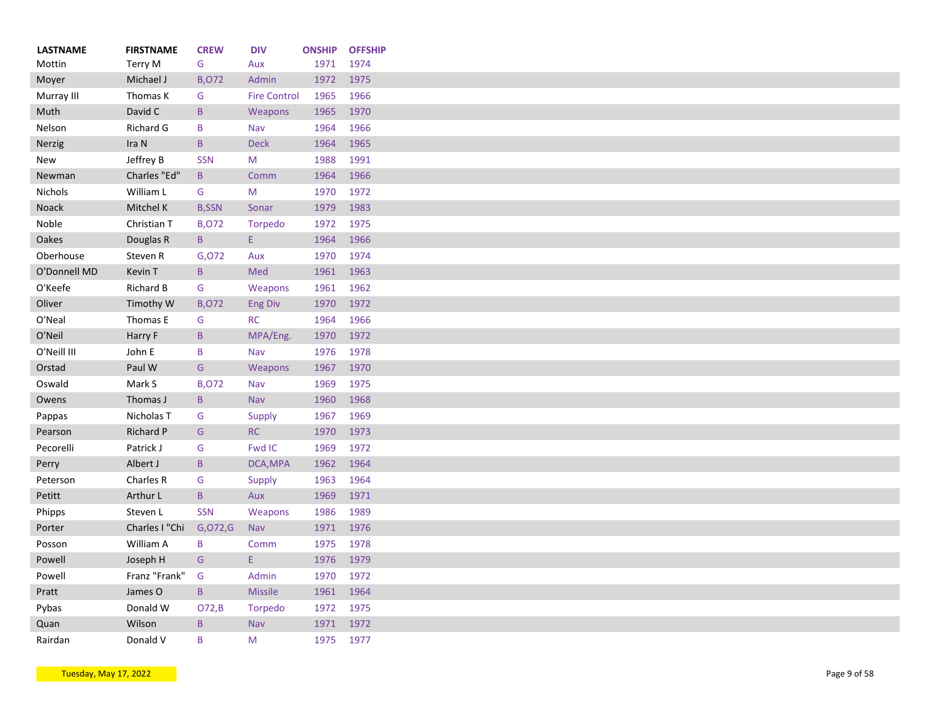| <b>LASTNAME</b> | <b>FIRSTNAME</b> | <b>CREW</b>          | <b>DIV</b>          | <b>ONSHIP</b> | <b>OFFSHIP</b> |
|-----------------|------------------|----------------------|---------------------|---------------|----------------|
| Mottin          | Terry M          | G                    | Aux                 | 1971          | 1974           |
| Moyer           | Michael J        | <b>B,072</b>         | Admin               | 1972          | 1975           |
| Murray III      | Thomas K         | G                    | <b>Fire Control</b> | 1965          | 1966           |
| Muth            | David C          | $\mathsf{B}$         | Weapons             | 1965          | 1970           |
| Nelson          | Richard G        | B                    | Nav                 | 1964          | 1966           |
| Nerzig          | Ira N            | $\, {\sf B}$         | <b>Deck</b>         | 1964          | 1965           |
| New             | Jeffrey B        | <b>SSN</b>           | M                   | 1988          | 1991           |
| Newman          | Charles "Ed"     | B                    | Comm                | 1964          | 1966           |
| <b>Nichols</b>  | William L        | G                    | M                   | 1970          | 1972           |
| Noack           | Mitchel K        | <b>B,SSN</b>         | Sonar               | 1979          | 1983           |
| Noble           | Christian T      | <b>B,072</b>         | Torpedo             | 1972          | 1975           |
| Oakes           | Douglas R        | $\mathsf{B}$         | Ε.                  | 1964          | 1966           |
| Oberhouse       | Steven R         | G,072                | Aux                 | 1970          | 1974           |
| O'Donnell MD    | Kevin T          | $\mathsf{B}$         | Med                 | 1961          | 1963           |
| O'Keefe         | Richard B        | G                    | Weapons             | 1961          | 1962           |
| Oliver          | Timothy W        | <b>B,072</b>         | <b>Eng Div</b>      | 1970          | 1972           |
| O'Neal          | Thomas E         | G                    | <b>RC</b>           | 1964          | 1966           |
| O'Neil          | Harry F          | $\mathsf B$          | MPA/Eng.            | 1970          | 1972           |
| O'Neill III     | John E           | B                    | Nav                 | 1976          | 1978           |
| Orstad          | Paul W           | G                    | Weapons             | 1967          | 1970           |
| Oswald          | Mark S           | <b>B,072</b>         | Nav                 | 1969          | 1975           |
| Owens           | Thomas J         | $\mathsf{B}$         | Nav                 | 1960          | 1968           |
| Pappas          | Nicholas T       | G                    | Supply              | 1967          | 1969           |
| Pearson         | Richard P        | G                    | RC                  | 1970          | 1973           |
| Pecorelli       | Patrick J        | G                    | Fwd IC              | 1969          | 1972           |
| Perry           | Albert J         | $\mathsf{B}$         | DCA, MPA            | 1962          | 1964           |
| Peterson        | Charles R        | G                    | Supply              | 1963          | 1964           |
| Petitt          | Arthur L         | $\mathsf{B}$         | Aux                 | 1969          | 1971           |
| Phipps          | Steven L         | <b>SSN</b>           | Weapons             | 1986          | 1989           |
| Porter          | Charles I "Chi   | G, O72, G            | <b>Nav</b>          | 1971          | 1976           |
| Posson          | William A        | B                    | Comm                | 1975          | 1978           |
| Powell          | Joseph H         | G                    | E.                  | 1976          | 1979           |
| Powell          | Franz "Frank"    | G                    | Admin               | 1970          | 1972           |
| Pratt           | James O          | $\mathsf B$          | <b>Missile</b>      | 1961          | 1964           |
| Pybas           | Donald W         |                      |                     | 1972          | 1975           |
| Quan            | Wilson           | O72,B<br>$\mathsf B$ | Torpedo<br>Nav      | 1971          | 1972           |
|                 | Donald V         | B                    | M                   | 1975          | 1977           |
| Rairdan         |                  |                      |                     |               |                |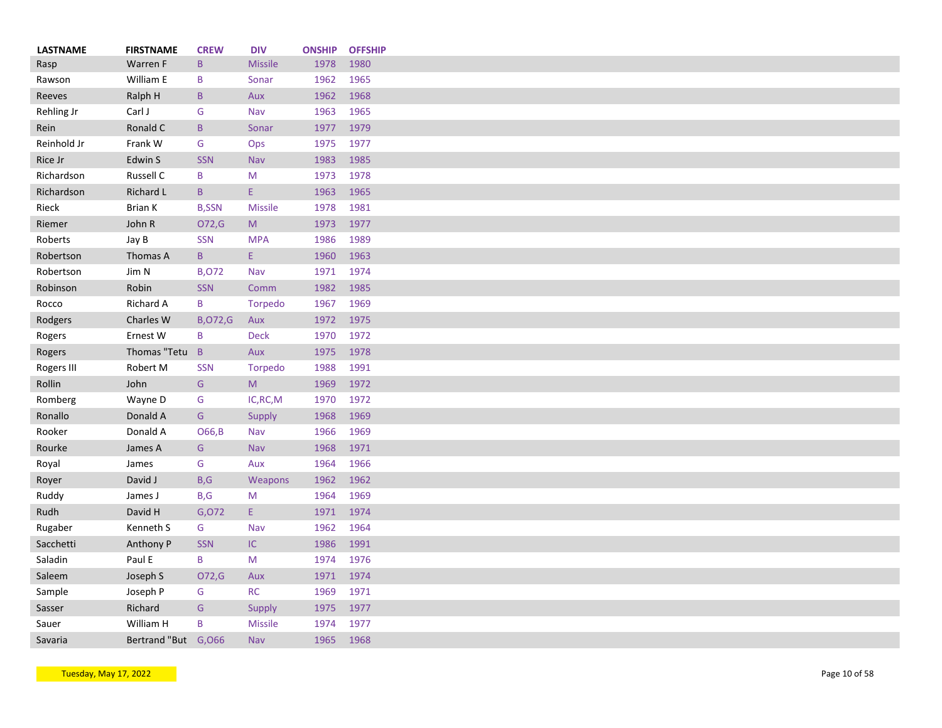| <b>LASTNAME</b> | <b>FIRSTNAME</b>     | <b>CREW</b>     | <b>DIV</b>     | <b>ONSHIP</b> | <b>OFFSHIP</b> |
|-----------------|----------------------|-----------------|----------------|---------------|----------------|
| Rasp            | Warren F             | $\mathsf B$     | <b>Missile</b> | 1978          | 1980           |
| Rawson          | William E            | B               | Sonar          | 1962          | 1965           |
| Reeves          | Ralph H              | $\sf B$         | Aux            | 1962          | 1968           |
| Rehling Jr      | Carl J               | G               | Nav            | 1963          | 1965           |
| Rein            | Ronald C             | $\mathsf B$     | Sonar          | 1977          | 1979           |
| Reinhold Jr     | Frank W              | G               | Ops            | 1975          | 1977           |
| Rice Jr         | Edwin S              | <b>SSN</b>      | Nav            | 1983          | 1985           |
| Richardson      | Russell C            | B               | M              | 1973          | 1978           |
| Richardson      | Richard L            | $\, {\bf B} \,$ | E.             | 1963          | 1965           |
| Rieck           | <b>Brian K</b>       | <b>B,SSN</b>    | <b>Missile</b> | 1978          | 1981           |
| Riemer          | John R               | O72,G           | M              | 1973          | 1977           |
| Roberts         | Jay B                | <b>SSN</b>      | <b>MPA</b>     | 1986          | 1989           |
|                 |                      |                 |                |               |                |
| Robertson       | Thomas A             | $\mathsf B$     | Ε.             | 1960          | 1963           |
| Robertson       | Jim N                | <b>B,072</b>    | Nav            | 1971          | 1974           |
| Robinson        | Robin                | SSN             | Comm           | 1982          | 1985           |
| Rocco           | Richard A            | B               | Torpedo        | 1967          | 1969           |
| Rodgers         | Charles W            | <b>B,072,G</b>  | Aux            | 1972          | 1975           |
| Rogers          | Ernest W             | B               | <b>Deck</b>    | 1970          | 1972           |
| Rogers          | Thomas "Tetu         | $\overline{B}$  | Aux            | 1975          | 1978           |
| Rogers III      | Robert M             | <b>SSN</b>      | Torpedo        | 1988          | 1991           |
| Rollin          | John                 | ${\mathsf G}$   | M.             | 1969          | 1972           |
| Romberg         | Wayne D              | G               | IC, RC, M      | 1970          | 1972           |
| Ronallo         | Donald A             | G               | Supply         | 1968          | 1969           |
| Rooker          | Donald A             | O66, B          | Nav            | 1966          | 1969           |
| Rourke          | James A              | G               | Nav            | 1968          | 1971           |
| Royal           | James                | G               | Aux            | 1964          | 1966           |
| Royer           | David J              | B,G             | Weapons        | 1962          | 1962           |
| Ruddy           | James J              | B,G             | M              | 1964          | 1969           |
| Rudh            | David H              | G,072           | Ε.             | 1971          | 1974           |
| Rugaber         | Kenneth S            | G               | Nav            | 1962          | 1964           |
|                 |                      |                 | $\sf IC$       |               |                |
| Sacchetti       | Anthony P            | <b>SSN</b>      |                | 1986          | 1991           |
| Saladin         | Paul E               | B               | M              | 1974          | 1976           |
| Saleem          | Joseph S             | O72,G           | Aux            | 1971          | 1974           |
| Sample          | Joseph P             | G               | <b>RC</b>      | 1969          | 1971           |
| Sasser          | Richard              | G               | Supply         | 1975          | 1977           |
| Sauer           | William H            | B               | <b>Missile</b> | 1974          | 1977           |
| Savaria         | Bertrand "But G, 066 |                 | <b>Nav</b>     | 1965          | 1968           |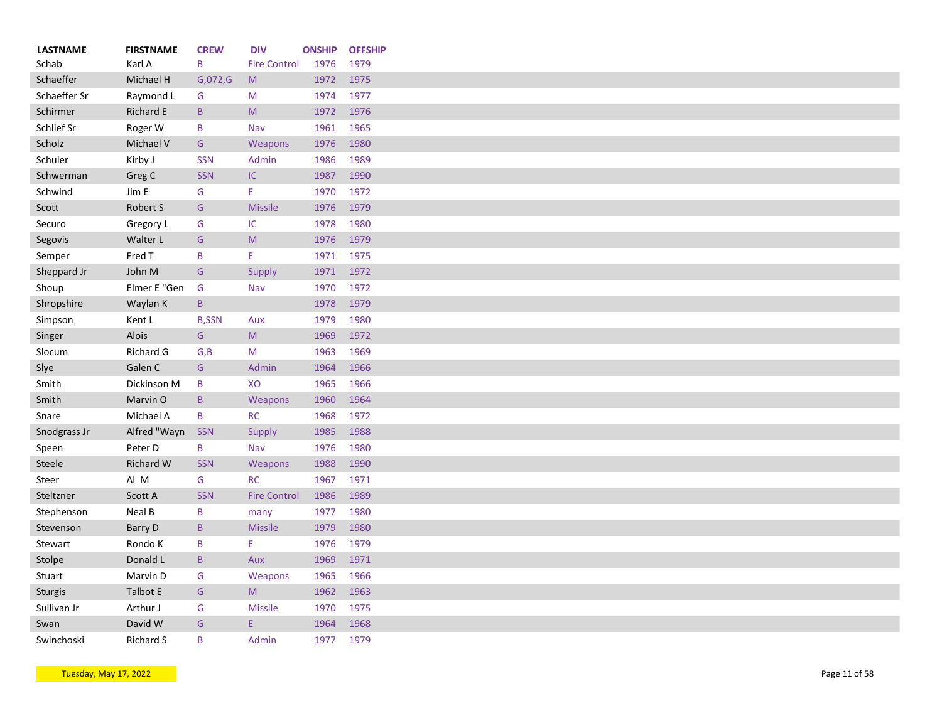| <b>LASTNAME</b>     | <b>FIRSTNAME</b>    | <b>CREW</b>  | <b>DIV</b>          | <b>ONSHIP</b> | <b>OFFSHIP</b> |
|---------------------|---------------------|--------------|---------------------|---------------|----------------|
| Schab               | Karl A              | B            | <b>Fire Control</b> | 1976          | 1979           |
| Schaeffer           | Michael H           | G,072,G      | M                   | 1972          | 1975           |
| Schaeffer Sr        | Raymond L           | G            | M                   | 1974          | 1977           |
| Schirmer            | Richard E           | $\mathsf{B}$ | M                   | 1972          | 1976           |
| Schlief Sr          | Roger W             | B            | Nav                 | 1961          | 1965           |
| Scholz              | Michael V           | G            | Weapons             | 1976          | 1980           |
| Schuler             | Kirby J             | <b>SSN</b>   | Admin               | 1986          | 1989           |
| Schwerman           | Greg C              | <b>SSN</b>   | IC.                 | 1987          | 1990           |
| Schwind             | Jim E               | G            | E.                  | 1970          | 1972           |
| Scott               | Robert S            | G            | <b>Missile</b>      | 1976          | 1979           |
| Securo              | Gregory L           | G            | IC                  | 1978          | 1980           |
| Segovis             | Walter L            | G            | ${\sf M}$           | 1976          | 1979           |
| Semper              | Fred T              | B            | E                   | 1971          | 1975           |
| Sheppard Jr         | John M              | G            | Supply              | 1971          | 1972           |
| Shoup               | Elmer E "Gen        | G            | Nav                 | 1970          | 1972           |
| Shropshire          | Waylan K            | B            |                     | 1978          | 1979           |
| Simpson             | Kent L              | <b>B,SSN</b> | Aux                 | 1979          | 1980           |
| Singer              | <b>Alois</b>        | G            | M                   | 1969          | 1972           |
| Slocum              | Richard G           | G, B         | M                   | 1963          | 1969           |
| Slye                | Galen C             | G            | Admin               | 1964          | 1966           |
| Smith               | Dickinson M         | B            | XO                  | 1965          | 1966           |
| Smith               | Marvin O            | $\mathsf{B}$ | Weapons             | 1960          | 1964           |
| Snare               | Michael A           | B            | RC                  | 1968          | 1972           |
| Snodgrass Jr        | Alfred "Wayn        | <b>SSN</b>   | Supply              | 1985          | 1988           |
| Speen               | Peter D             | B            | Nav                 | 1976          | 1980           |
| Steele              | <b>Richard W</b>    | <b>SSN</b>   | Weapons             | 1988          | 1990           |
| Steer               | Al M                | G            | <b>RC</b>           | 1967          | 1971           |
| Steltzner           | Scott A             | <b>SSN</b>   | <b>Fire Control</b> | 1986          | 1989           |
| Stephenson          | Neal B              | B            | many                | 1977          | 1980           |
| Stevenson           | Barry D             | $\mathsf B$  | <b>Missile</b>      | 1979          | 1980           |
| Stewart             | Rondo K             | B            | E.                  | 1976          | 1979           |
| Stolpe              | Donald L            | $\mathsf{B}$ | Aux                 | 1969          | 1971           |
| Stuart              | Marvin D            | G            | Weapons             | 1965          | 1966           |
| Sturgis             | Talbot E            | G            | M                   | 1962          | 1963           |
|                     |                     | G            | <b>Missile</b>      |               |                |
| Sullivan Jr<br>Swan | Arthur J<br>David W | G            | E.                  | 1970<br>1964  | 1975<br>1968   |
| Swinchoski          | <b>Richard S</b>    | B            | Admin               | 1977          | 1979           |
|                     |                     |              |                     |               |                |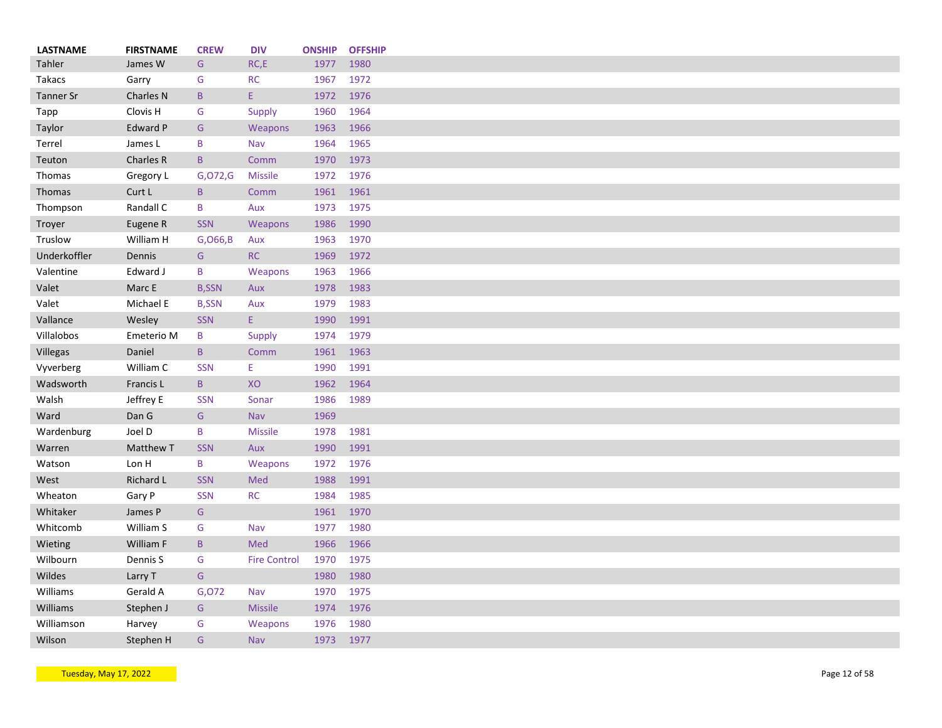| <b>LASTNAME</b> | <b>FIRSTNAME</b> | <b>CREW</b>     | <b>DIV</b>          | <b>ONSHIP</b> | <b>OFFSHIP</b> |
|-----------------|------------------|-----------------|---------------------|---------------|----------------|
| Tahler          | James W          | G               | RC,E                | 1977          | 1980           |
| <b>Takacs</b>   | Garry            | G               | <b>RC</b>           | 1967          | 1972           |
| Tanner Sr       | Charles N        | $\, {\sf B}$    | E.                  | 1972          | 1976           |
| Tapp            | Clovis H         | G               | Supply              | 1960          | 1964           |
| Taylor          | Edward P         | G               | Weapons             | 1963          | 1966           |
| Terrel          | James L          | B               | Nav                 | 1964          | 1965           |
| Teuton          | Charles R        | $\mathsf{B}$    | Comm                | 1970          | 1973           |
| Thomas          | Gregory L        | G,072,G         | <b>Missile</b>      | 1972          | 1976           |
| Thomas          | Curt L           | $\, {\bf B} \,$ | Comm                | 1961          | 1961           |
| Thompson        | Randall C        | B               | Aux                 | 1973          | 1975           |
| Troyer          | Eugene R         | <b>SSN</b>      | Weapons             | 1986          | 1990           |
| Truslow         | William H        | G, 066, B       | Aux                 | 1963          | 1970           |
| Underkoffler    | Dennis           | G               | <b>RC</b>           | 1969          | 1972           |
| Valentine       | Edward J         | B               | Weapons             | 1963          | 1966           |
| Valet           | Marc E           | <b>B,SSN</b>    | Aux                 | 1978          | 1983           |
| Valet           | Michael E        | <b>B,SSN</b>    | Aux                 | 1979          | 1983           |
| Vallance        | Wesley           | <b>SSN</b>      | Ε.                  | 1990          | 1991           |
| Villalobos      | Emeterio M       | B               | <b>Supply</b>       | 1974          | 1979           |
| Villegas        | Daniel           | $\mathsf{B}$    | Comm                | 1961          | 1963           |
| Vyverberg       | William C        | <b>SSN</b>      | Ε                   | 1990          | 1991           |
| Wadsworth       | Francis L        | $\, {\bf B} \,$ | XO                  | 1962          | 1964           |
| Walsh           | Jeffrey E        | <b>SSN</b>      | Sonar               | 1986          | 1989           |
| Ward            | Dan G            | G               | Nav                 | 1969          |                |
| Wardenburg      | Joel D           | B               | <b>Missile</b>      | 1978          | 1981           |
| Warren          | Matthew T        | <b>SSN</b>      | Aux                 | 1990          | 1991           |
| Watson          | Lon H            | B               | Weapons             | 1972          | 1976           |
| West            | Richard L        | <b>SSN</b>      | Med                 | 1988          | 1991           |
| Wheaton         | Gary P           | <b>SSN</b>      | <b>RC</b>           | 1984          | 1985           |
| Whitaker        | James P          | G               |                     | 1961          | 1970           |
| Whitcomb        | William S        | G               | Nav                 | 1977          | 1980           |
| Wieting         | William F        | $\mathsf B$     | Med                 | 1966          | 1966           |
| Wilbourn        | Dennis S         | G               | <b>Fire Control</b> | 1970          | 1975           |
| Wildes          | Larry T          | G               |                     | 1980          | 1980           |
| Williams        | Gerald A         | G,072           | Nav                 | 1970          | 1975           |
| Williams        | Stephen J        | G               | <b>Missile</b>      | 1974          | 1976           |
| Williamson      | Harvey           | G               | Weapons             | 1976          | 1980           |
| Wilson          | Stephen H        | G               | Nav                 | 1973          | 1977           |
|                 |                  |                 |                     |               |                |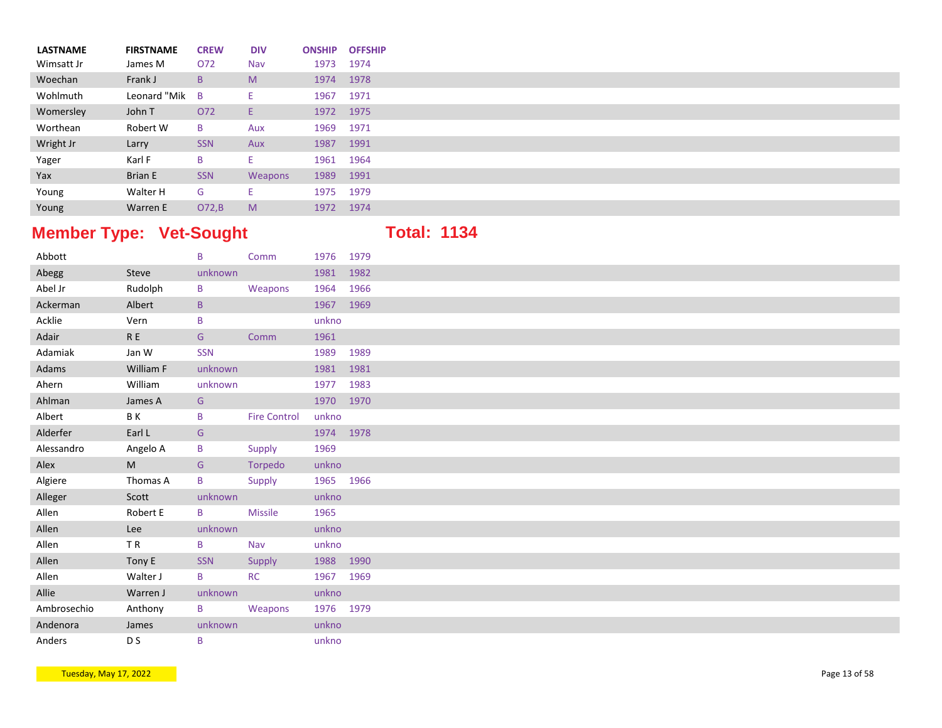| <b>LASTNAME</b> | <b>FIRSTNAME</b> | <b>CREW</b>  | <b>DIV</b> | <b>ONSHIP</b> | <b>OFFSHIP</b> |
|-----------------|------------------|--------------|------------|---------------|----------------|
| Wimsatt Jr      | James M          | O72          | Nav        | 1973          | 1974           |
| Woechan         | Frank J          | $\mathsf{B}$ | M          | 1974          | 1978           |
| Wohlmuth        | Leonard "Mik B   |              | Ε.         | 1967          | 1971           |
| Womersley       | John T           | O72          | Е.         | 1972          | 1975           |
| Worthean        | Robert W         | B            | Aux        | 1969          | 1971           |
| Wright Jr       | Larry            | <b>SSN</b>   | Aux        | 1987          | 1991           |
| Yager           | Karl F           | B            | Ε.         | 1961 1964     |                |
| Yax             | <b>Brian E</b>   | <b>SSN</b>   | Weapons    | 1989          | 1991           |
| Young           | Walter H         | G            | Е.         | 1975          | 1979           |
| Young           | Warren E         | O72,B        | M          | 1972          | 1974           |

## **Member Type: Vet-Sought <b>Total: 1134**

| Abbott      |                                                                                                            | B          | Comm                | 1976 1979 |      |
|-------------|------------------------------------------------------------------------------------------------------------|------------|---------------------|-----------|------|
| Abegg       | Steve                                                                                                      | unknown    |                     | 1981 1982 |      |
| Abel Jr     | Rudolph                                                                                                    | B          | Weapons             | 1964      | 1966 |
| Ackerman    | Albert                                                                                                     | $\sf{B}$   |                     | 1967 1969 |      |
| Acklie      | Vern                                                                                                       | B          |                     | unkno     |      |
| Adair       | $\mathsf R$ E                                                                                              | G          | Comm                | 1961      |      |
| Adamiak     | Jan W                                                                                                      | <b>SSN</b> |                     | 1989 1989 |      |
| Adams       | William F                                                                                                  | unknown    |                     | 1981 1981 |      |
| Ahern       | William                                                                                                    | unknown    |                     | 1977 1983 |      |
| Ahlman      | James A                                                                                                    | G          |                     | 1970 1970 |      |
| Albert      | B K                                                                                                        | B          | <b>Fire Control</b> | unkno     |      |
| Alderfer    | Earl L                                                                                                     | G          |                     | 1974 1978 |      |
| Alessandro  | Angelo A                                                                                                   | B          | Supply              | 1969      |      |
| Alex        | $\mathsf{M}% _{T}=\mathsf{M}_{T}\!\left( a,b\right) ,\ \mathsf{M}_{T}=\mathsf{M}_{T}\!\left( a,b\right) ,$ | G          | Torpedo             | unkno     |      |
| Algiere     | Thomas A                                                                                                   | B          | Supply              | 1965 1966 |      |
| Alleger     | Scott                                                                                                      | unknown    |                     | unkno     |      |
| Allen       | Robert E                                                                                                   | B          | <b>Missile</b>      | 1965      |      |
| Allen       | Lee                                                                                                        | unknown    |                     | unkno     |      |
| Allen       | TR                                                                                                         | B          | Nav                 | unkno     |      |
| Allen       | Tony E                                                                                                     | SSN        | Supply              | 1988 1990 |      |
| Allen       | Walter J                                                                                                   | B          | <b>RC</b>           | 1967 1969 |      |
| Allie       | Warren J                                                                                                   | unknown    |                     | unkno     |      |
| Ambrosechio | Anthony                                                                                                    | B          | Weapons             | 1976 1979 |      |
| Andenora    | James                                                                                                      | unknown    |                     | unkno     |      |
| Anders      | D S                                                                                                        | B          |                     | unkno     |      |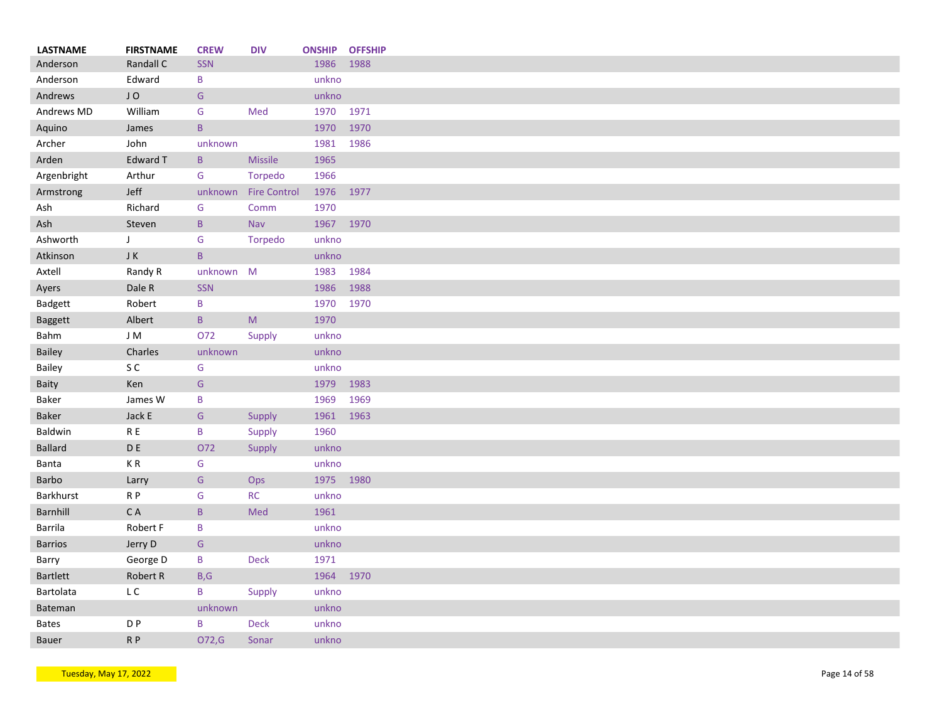| <b>LASTNAME</b> | <b>FIRSTNAME</b> | <b>CREW</b>  | <b>DIV</b>           | <b>ONSHIP OFFSHIP</b> |      |
|-----------------|------------------|--------------|----------------------|-----------------------|------|
| Anderson        | Randall C        | <b>SSN</b>   |                      | 1986                  | 1988 |
| Anderson        | Edward           | B            |                      | unkno                 |      |
| Andrews         | JO               | G            |                      | unkno                 |      |
| Andrews MD      | William          | G            | Med                  | 1970 1971             |      |
| Aquino          | James            | $\mathsf{B}$ |                      | 1970                  | 1970 |
| Archer          | John             | unknown      |                      | 1981                  | 1986 |
| Arden           | Edward T         | $\mathsf B$  | <b>Missile</b>       | 1965                  |      |
| Argenbright     | Arthur           | G            | Torpedo              | 1966                  |      |
| Armstrong       | Jeff             |              | unknown Fire Control | 1976 1977             |      |
| Ash             | Richard          | G            | Comm                 | 1970                  |      |
| Ash             | Steven           | $\mathsf{B}$ | <b>Nav</b>           | 1967 1970             |      |
| Ashworth        | $\mathsf{J}$     | G            | Torpedo              | unkno                 |      |
|                 |                  |              |                      |                       |      |
| Atkinson        | JK               | $\mathsf{B}$ |                      | unkno                 |      |
| Axtell          | Randy R          | unknown M    |                      | 1983                  | 1984 |
| Ayers           | Dale R           | SSN          |                      | 1986                  | 1988 |
| Badgett         | Robert           | B            |                      | 1970                  | 1970 |
| <b>Baggett</b>  | Albert           | B            | M                    | 1970                  |      |
| Bahm            | J M              | O72          | Supply               | unkno                 |      |
| Bailey          | Charles          | unknown      |                      | unkno                 |      |
| Bailey          | S C              | G            |                      | unkno                 |      |
| Baity           | Ken              | G            |                      | 1979                  | 1983 |
| Baker           | James W          | B            |                      | 1969                  | 1969 |
| <b>Baker</b>    | Jack E           | G            | Supply               | 1961                  | 1963 |
| Baldwin         | R E              | B            | Supply               | 1960                  |      |
| <b>Ballard</b>  | $\mathsf D$ E    | 072          | Supply               | unkno                 |      |
| Banta           | K R              | G            |                      | unkno                 |      |
| <b>Barbo</b>    | Larry            | G            | Ops                  | 1975                  | 1980 |
| Barkhurst       | R P              | G            | RC                   | unkno                 |      |
| Barnhill        | C A              | $\mathsf B$  | Med                  | 1961                  |      |
| Barrila         | Robert F         | B            |                      | unkno                 |      |
|                 |                  |              |                      | unkno                 |      |
| <b>Barrios</b>  | Jerry D          | G            |                      |                       |      |
| Barry           | George D         | B            | Deck                 | 1971                  |      |
| <b>Bartlett</b> | Robert R         | B,G          |                      | 1964                  | 1970 |
| Bartolata       | L C              | B            | Supply               | unkno                 |      |
| Bateman         |                  | unknown      |                      | unkno                 |      |
| <b>Bates</b>    | D <sub>P</sub>   | B            | <b>Deck</b>          | unkno                 |      |
| <b>Bauer</b>    | R <sub>P</sub>   | 072,G        | Sonar                | unkno                 |      |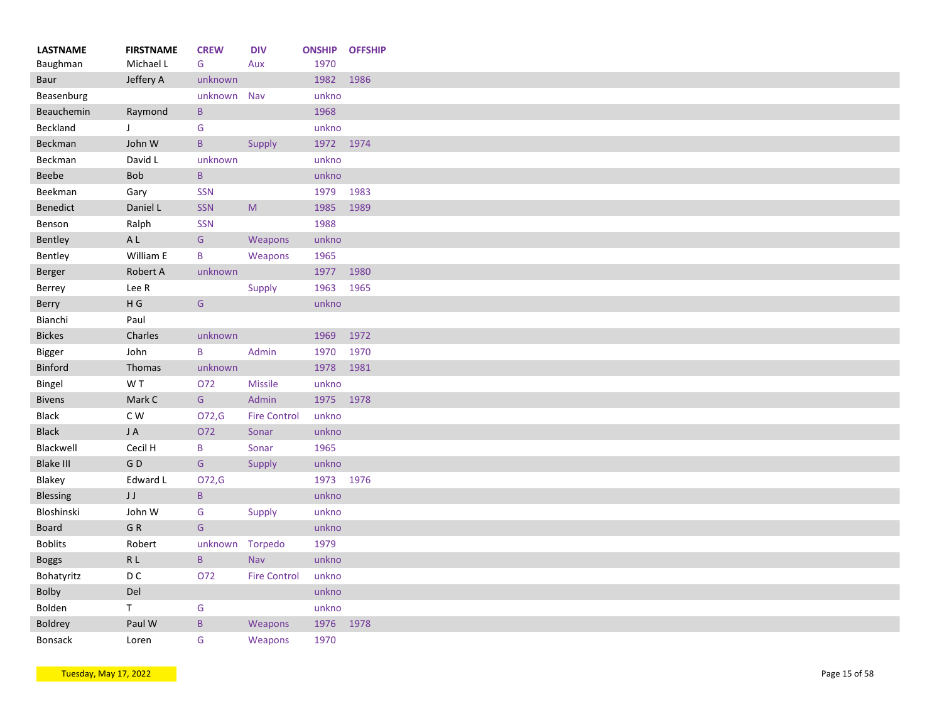| <b>LASTNAME</b>  | <b>FIRSTNAME</b>         | <b>CREW</b>     | <b>DIV</b>          | <b>ONSHIP</b> | <b>OFFSHIP</b> |
|------------------|--------------------------|-----------------|---------------------|---------------|----------------|
| Baughman         | Michael L                | G               | Aux                 | 1970          |                |
| Baur             | Jeffery A                | unknown         |                     | 1982          | 1986           |
| Beasenburg       |                          | unknown         | Nav                 | unkno         |                |
| Beauchemin       | Raymond                  | $\mathsf B$     |                     | 1968          |                |
| Beckland         | J                        | G               |                     | unkno         |                |
| Beckman          | John W                   | $\, {\bf B} \,$ | Supply              | 1972 1974     |                |
| Beckman          | David L                  | unknown         |                     | unkno         |                |
| Beebe            | <b>Bob</b>               | $\, {\bf B} \,$ |                     | unkno         |                |
| Beekman          | Gary                     | SSN             |                     | 1979          | 1983           |
| Benedict         | Daniel L                 | SSN             | M                   | 1985          | 1989           |
| Benson           | Ralph                    | SSN             |                     | 1988          |                |
| Bentley          | $\mathsf{A}\ \mathsf{L}$ | G               | Weapons             | unkno         |                |
| Bentley          | William E                | B               | Weapons             | 1965          |                |
| Berger           | Robert A                 | unknown         |                     | 1977          | 1980           |
| Berrey           | Lee R                    |                 | Supply              | 1963          | 1965           |
| Berry            | $\mathsf H$ G            | ${\mathsf G}$   |                     | unkno         |                |
| Bianchi          | Paul                     |                 |                     |               |                |
| <b>Bickes</b>    | Charles                  | unknown         |                     | 1969          | 1972           |
| Bigger           | John                     | B               | Admin               | 1970          | 1970           |
| Binford          | Thomas                   | unknown         |                     | 1978          | 1981           |
| Bingel           | W T                      | O72             | <b>Missile</b>      | unkno         |                |
| <b>Bivens</b>    | Mark C                   | ${\mathsf G}$   | Admin               | 1975 1978     |                |
| <b>Black</b>     | C W                      | O72,G           | <b>Fire Control</b> | unkno         |                |
| <b>Black</b>     | JA                       | O72             | Sonar               | unkno         |                |
| Blackwell        | Cecil H                  | B               | Sonar               | 1965          |                |
| <b>Blake III</b> | GD                       | ${\mathsf G}$   | Supply              | unkno         |                |
| Blakey           | Edward L                 | O72,G           |                     | 1973 1976     |                |
| <b>Blessing</b>  | JJ                       | $\mathsf{B}$    |                     | unkno         |                |
| Bloshinski       | John W                   | G               | Supply              | unkno         |                |
| <b>Board</b>     | GR                       | ${\mathsf G}$   |                     | unkno         |                |
| <b>Boblits</b>   | Robert                   | unknown         | Torpedo             | 1979          |                |
| <b>Boggs</b>     | R L                      | $\, {\bf B} \,$ | Nav                 | unkno         |                |
| Bohatyritz       | D <sub>C</sub>           | O72             | <b>Fire Control</b> | unkno         |                |
| Bolby            | Del                      |                 |                     | unkno         |                |
|                  |                          |                 |                     |               |                |
| Bolden           | T.                       | G               |                     | unkno         |                |
| Boldrey          | Paul W                   | $\, {\bf B} \,$ | Weapons             | 1976          | 1978           |
| <b>Bonsack</b>   | Loren                    | G               | Weapons             | 1970          |                |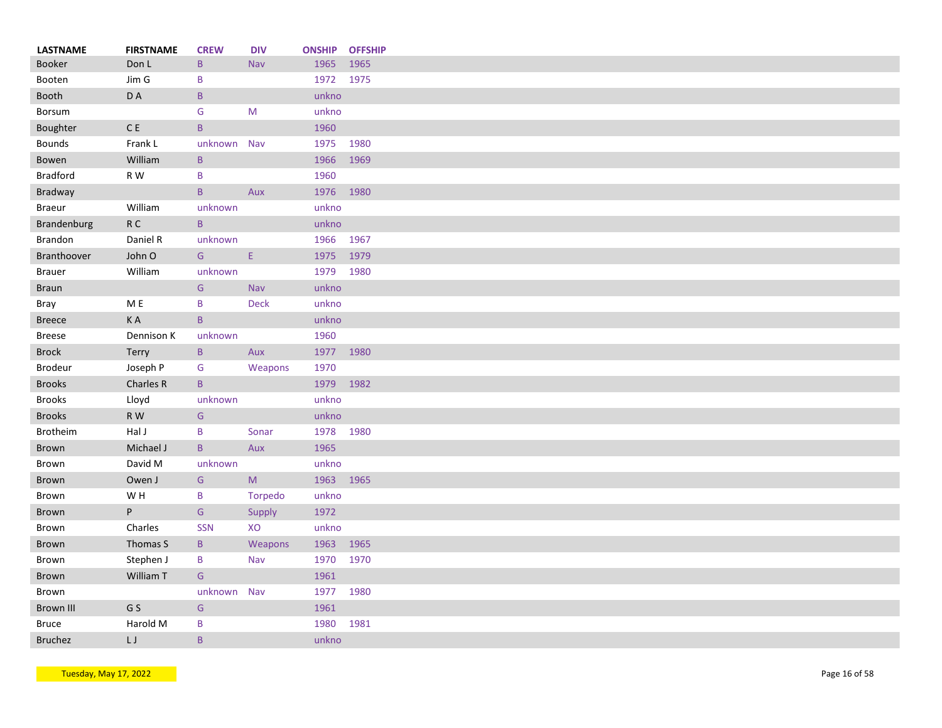| <b>LASTNAME</b> | <b>FIRSTNAME</b> | <b>CREW</b>     | <b>DIV</b>   | <b>ONSHIP</b> | <b>OFFSHIP</b> |
|-----------------|------------------|-----------------|--------------|---------------|----------------|
| <b>Booker</b>   | Don L            | $\mathsf{B}$    | Nav          | 1965          | 1965           |
| Booten          | Jim G            | B               |              | 1972 1975     |                |
| Booth           | D A              | $\mathsf{B}$    |              | unkno         |                |
| Borsum          |                  | G               | M            | unkno         |                |
| Boughter        | $\mathsf C$ E    | $\, {\bf B} \,$ |              | 1960          |                |
| <b>Bounds</b>   | Frank L          | unknown         | Nav          | 1975          | 1980           |
| Bowen           | William          | $\mathsf{B}$    |              | 1966          | 1969           |
| <b>Bradford</b> | R W              | B               |              | 1960          |                |
| Bradway         |                  | $\mathsf{B}$    | Aux          | 1976          | 1980           |
| <b>Braeur</b>   | William          | unknown         |              | unkno         |                |
| Brandenburg     | ${\sf R}$ C      | $\mathsf{B}$    |              | unkno         |                |
| Brandon         | Daniel R         | unknown         |              | 1966          | 1967           |
| Branthoover     | John O           | G               | $\mathsf{E}$ | 1975          | 1979           |
| <b>Brauer</b>   | William          | unknown         |              | 1979          | 1980           |
| <b>Braun</b>    |                  | ${\mathsf G}$   | Nav          | unkno         |                |
| Bray            | M E              | B               | <b>Deck</b>  | unkno         |                |
| <b>Breece</b>   | KA               | $\mathsf{B}$    |              | unkno         |                |
| <b>Breese</b>   | Dennison K       | unknown         |              | 1960          |                |
| <b>Brock</b>    | <b>Terry</b>     | $\, {\bf B} \,$ | Aux          | 1977 1980     |                |
| <b>Brodeur</b>  | Joseph P         | G               | Weapons      | 1970          |                |
| <b>Brooks</b>   | Charles R        | $\mathsf{B}$    |              | 1979          | 1982           |
| <b>Brooks</b>   | Lloyd            | unknown         |              | unkno         |                |
| <b>Brooks</b>   | R W              | G               |              | unkno         |                |
| Brotheim        | Hal J            | B               | Sonar        | 1978          | 1980           |
| <b>Brown</b>    | Michael J        | $\mathsf{B}$    | Aux          | 1965          |                |
| Brown           |                  |                 |              | unkno         |                |
|                 | David M          | unknown         |              |               |                |
| <b>Brown</b>    | Owen J           | G               | ${\sf M}$    | 1963          | 1965           |
| Brown           | W H              | B               | Torpedo      | unkno         |                |
| <b>Brown</b>    | P                | G               | Supply       | 1972          |                |
| Brown           | Charles          | SSN             | XO           | unkno         |                |
| Brown           | Thomas S         | $\mathsf B$     | Weapons      | 1963          | 1965           |
| Brown           | Stephen J        | B               | Nav          | 1970          | 1970           |
| Brown           | William T        | G               |              | 1961          |                |
| Brown           |                  | unknown         | Nav          | 1977          | 1980           |
| Brown III       | G S              | G               |              | 1961          |                |
| <b>Bruce</b>    | Harold M         | B               |              | 1980          | 1981           |
| <b>Bruchez</b>  | LJ               | B               |              | unkno         |                |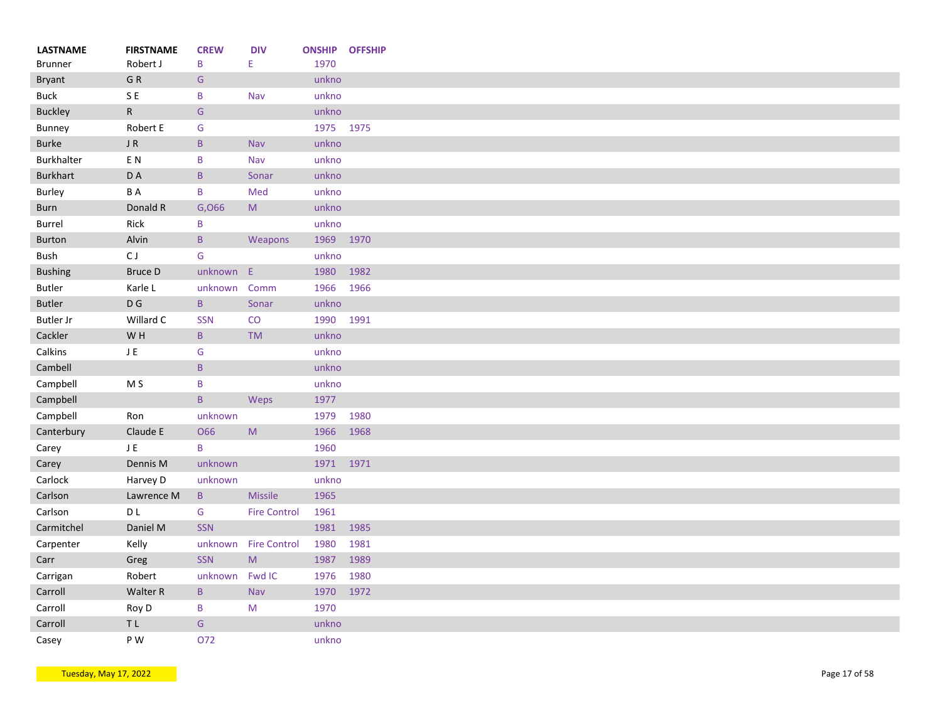| <b>LASTNAME</b>  | <b>FIRSTNAME</b> | <b>CREW</b>     | <b>DIV</b>                                                                                                 | <b>ONSHIP</b> | <b>OFFSHIP</b> |
|------------------|------------------|-----------------|------------------------------------------------------------------------------------------------------------|---------------|----------------|
| <b>Brunner</b>   | Robert J         | B               | E.                                                                                                         | 1970          |                |
| <b>Bryant</b>    | GR               | ${\mathsf G}$   |                                                                                                            | unkno         |                |
| <b>Buck</b>      | SE               | B               | Nav                                                                                                        | unkno         |                |
| <b>Buckley</b>   | ${\sf R}$        | ${\mathsf G}$   |                                                                                                            | unkno         |                |
| Bunney           | Robert E         | G               |                                                                                                            | 1975 1975     |                |
| Burke            | $\sf J$ R        | $\mathsf{B}$    | Nav                                                                                                        | unkno         |                |
| Burkhalter       | EN               | B               | Nav                                                                                                        | unkno         |                |
| Burkhart         | D A              | $\sf{B}$        | Sonar                                                                                                      | unkno         |                |
| Burley           | B A              | B               | Med                                                                                                        | unkno         |                |
| Burn             | Donald R         | G,066           | $\mathsf{M}% _{T}=\mathsf{M}_{T}\!\left( a,b\right) ,\ \mathsf{M}_{T}=\mathsf{M}_{T}\!\left( a,b\right) ,$ | unkno         |                |
| <b>Burrel</b>    | Rick             | B               |                                                                                                            | unkno         |                |
| <b>Burton</b>    | Alvin            | $\mathsf{B}$    | Weapons                                                                                                    | 1969 1970     |                |
| Bush             | CJ               | ${\mathsf G}$   |                                                                                                            | unkno         |                |
| <b>Bushing</b>   | <b>Bruce D</b>   | unknown E       |                                                                                                            | 1980          | 1982           |
| <b>Butler</b>    | Karle L          | unknown         | Comm                                                                                                       | 1966          | 1966           |
| <b>Butler</b>    | $\mathsf D$ G    | $\mathsf{B}$    | Sonar                                                                                                      | unkno         |                |
| <b>Butler Jr</b> | Willard C        | <b>SSN</b>      | CO                                                                                                         | 1990          | 1991           |
| Cackler          | W H              | $\, {\bf B} \,$ | <b>TM</b>                                                                                                  | unkno         |                |
| Calkins          | $\sf J$ E        | G               |                                                                                                            | unkno         |                |
| Cambell          |                  | $\, {\bf B} \,$ |                                                                                                            | unkno         |                |
| Campbell         | M <sub>S</sub>   | $\sf B$         |                                                                                                            | unkno         |                |
| Campbell         |                  | $\mathsf{B}$    | Weps                                                                                                       | 1977          |                |
| Campbell         | Ron              | unknown         |                                                                                                            | 1979          | 1980           |
| Canterbury       | Claude E         | <b>O66</b>      | $\mathsf{M}% _{T}=\mathsf{M}_{T}\!\left( a,b\right) ,\ \mathsf{M}_{T}=\mathsf{M}_{T}\!\left( a,b\right) ,$ | 1966          | 1968           |
|                  |                  | B               |                                                                                                            |               |                |
| Carey            | JE               |                 |                                                                                                            | 1960          |                |
| Carey            | Dennis M         | unknown         |                                                                                                            | 1971          | 1971           |
| Carlock          | Harvey D         | unknown         |                                                                                                            | unkno         |                |
| Carlson          | Lawrence M       | $\mathsf{B}$    | <b>Missile</b>                                                                                             | 1965          |                |
| Carlson          | D L              | ${\mathsf G}$   | <b>Fire Control</b>                                                                                        | 1961          |                |
| Carmitchel       | Daniel M         | <b>SSN</b>      |                                                                                                            | 1981          | 1985           |
| Carpenter        | Kelly            | unknown         | <b>Fire Control</b>                                                                                        | 1980          | 1981           |
| Carr             | Greg             | SSN             | ${\sf M}$                                                                                                  | 1987          | 1989           |
| Carrigan         | Robert           | unknown         | Fwd IC                                                                                                     | 1976          | 1980           |
| Carroll          | Walter R         | $\, {\bf B} \,$ | Nav                                                                                                        | 1970          | 1972           |
| Carroll          | Roy D            | B               | M                                                                                                          | 1970          |                |
| Carroll          | $\top$ L         | ${\mathsf G}$   |                                                                                                            | unkno         |                |
| Casey            | P W              | 072             |                                                                                                            | unkno         |                |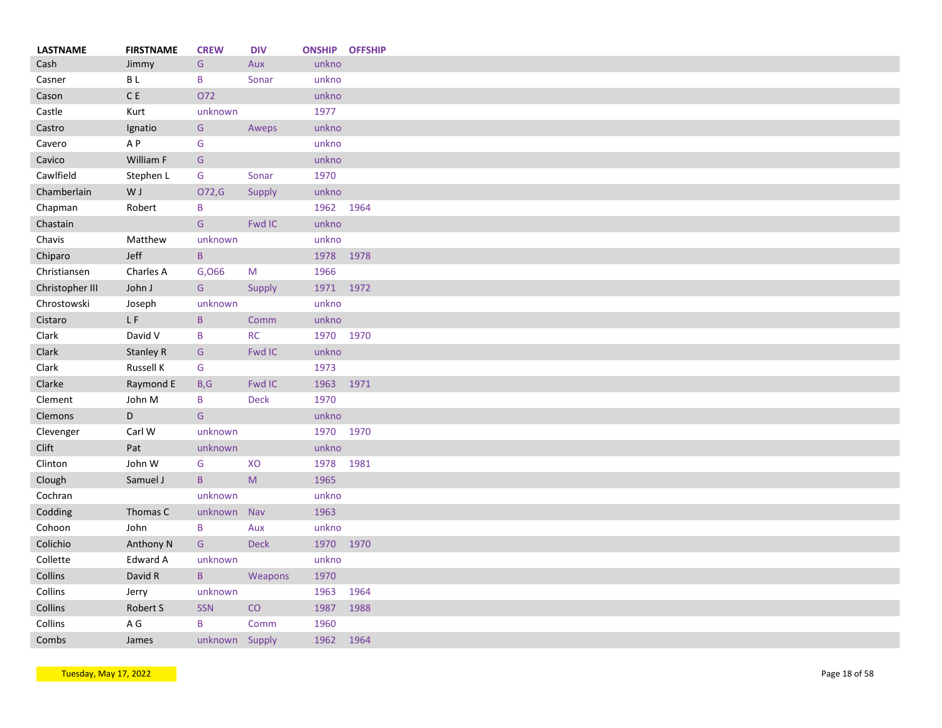| <b>LASTNAME</b> | <b>FIRSTNAME</b> | <b>CREW</b>     | <b>DIV</b>                                                                                                 | <b>ONSHIP OFFSHIP</b> |      |
|-----------------|------------------|-----------------|------------------------------------------------------------------------------------------------------------|-----------------------|------|
| Cash            | Jimmy            | G               | Aux                                                                                                        | unkno                 |      |
| Casner          | B L              | B               | Sonar                                                                                                      | unkno                 |      |
| Cason           | $\mathsf C$ E    | O72             |                                                                                                            | unkno                 |      |
| Castle          | Kurt             | unknown         |                                                                                                            | 1977                  |      |
| Castro          | Ignatio          | G               | Aweps                                                                                                      | unkno                 |      |
| Cavero          | A P              | G               |                                                                                                            | unkno                 |      |
| Cavico          | William F        | G               |                                                                                                            | unkno                 |      |
| Cawlfield       | Stephen L        | G               | Sonar                                                                                                      | 1970                  |      |
| Chamberlain     | W J              | O72,G           | Supply                                                                                                     | unkno                 |      |
| Chapman         | Robert           | B               |                                                                                                            | 1962 1964             |      |
|                 |                  | G               | Fwd IC                                                                                                     |                       |      |
| Chastain        |                  |                 |                                                                                                            | unkno                 |      |
| Chavis          | Matthew          | unknown         |                                                                                                            | unkno                 |      |
| Chiparo         | Jeff             | $\sf B$         |                                                                                                            | 1978 1978             |      |
| Christiansen    | Charles A        | G,066           | M                                                                                                          | 1966                  |      |
| Christopher III | John J           | ${\mathsf G}$   | Supply                                                                                                     | 1971 1972             |      |
| Chrostowski     | Joseph           | unknown         |                                                                                                            | unkno                 |      |
| Cistaro         | LF               | $\mathsf{B}$    | Comm                                                                                                       | unkno                 |      |
| Clark           | David V          | B               | <b>RC</b>                                                                                                  | 1970 1970             |      |
| Clark           | <b>Stanley R</b> | G               | Fwd IC                                                                                                     | unkno                 |      |
| Clark           | Russell K        | G               |                                                                                                            | 1973                  |      |
| Clarke          | Raymond E        | B, G            | Fwd IC                                                                                                     | 1963                  | 1971 |
| Clement         | John M           | B               | <b>Deck</b>                                                                                                | 1970                  |      |
| Clemons         | D                | G               |                                                                                                            | unkno                 |      |
| Clevenger       | Carl W           | unknown         |                                                                                                            | 1970 1970             |      |
| <b>Clift</b>    | Pat              | unknown         |                                                                                                            | unkno                 |      |
| Clinton         | John W           | G               | XO                                                                                                         | 1978                  | 1981 |
| Clough          | Samuel J         | $\, {\bf B} \,$ | $\mathsf{M}% _{T}=\mathsf{M}_{T}\!\left( a,b\right) ,\ \mathsf{M}_{T}=\mathsf{M}_{T}\!\left( a,b\right) ,$ | 1965                  |      |
| Cochran         |                  | unknown         |                                                                                                            | unkno                 |      |
| Codding         | Thomas C         | unknown Nav     |                                                                                                            | 1963                  |      |
|                 |                  |                 |                                                                                                            |                       |      |
| Cohoon          | John             | B               | Aux                                                                                                        | unkno                 |      |
| Colichio        | Anthony N        | G               | Deck                                                                                                       | 1970                  | 1970 |
| Collette        | Edward A         | unknown         |                                                                                                            | unkno                 |      |
| Collins         | David R          | $\mathsf{B}$    | Weapons                                                                                                    | 1970                  |      |
| Collins         | Jerry            | unknown         |                                                                                                            | 1963                  | 1964 |
| Collins         | Robert S         | <b>SSN</b>      | CO                                                                                                         | 1987                  | 1988 |
| Collins         | A G              | B               | Comm                                                                                                       | 1960                  |      |
| Combs           | James            | unknown Supply  |                                                                                                            | 1962                  | 1964 |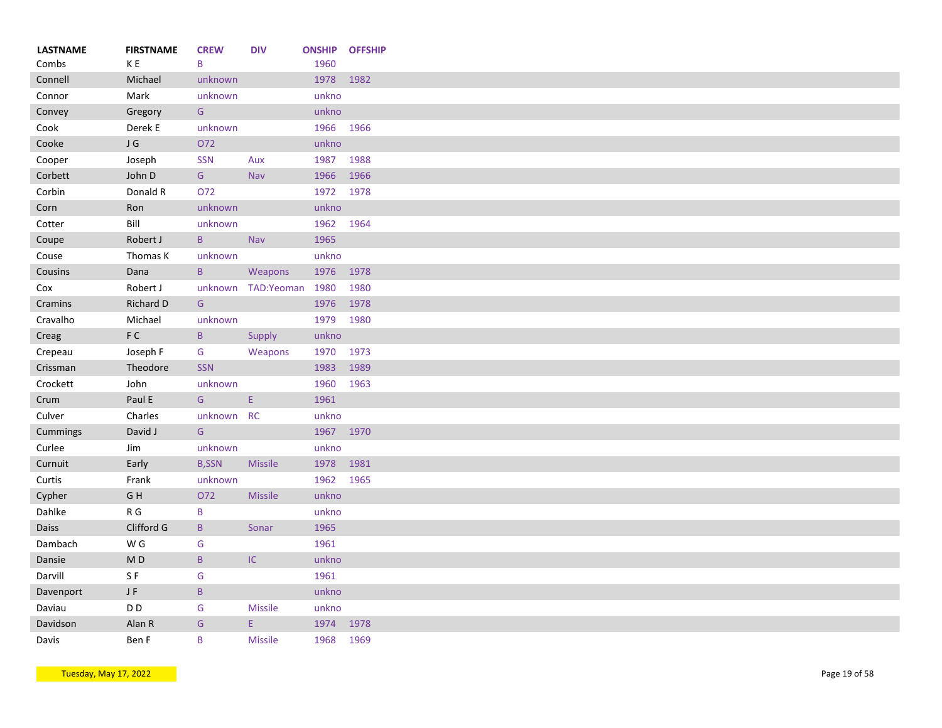| <b>FIRSTNAME</b> | <b>CREW</b>                                                                                                                                                                                                                                                       | <b>DIV</b>                                                                                                                                                                                                                      |                                                                                    | <b>OFFSHIP</b>                                                                                                                                                                                                           |
|------------------|-------------------------------------------------------------------------------------------------------------------------------------------------------------------------------------------------------------------------------------------------------------------|---------------------------------------------------------------------------------------------------------------------------------------------------------------------------------------------------------------------------------|------------------------------------------------------------------------------------|--------------------------------------------------------------------------------------------------------------------------------------------------------------------------------------------------------------------------|
|                  |                                                                                                                                                                                                                                                                   |                                                                                                                                                                                                                                 |                                                                                    | 1982                                                                                                                                                                                                                     |
|                  |                                                                                                                                                                                                                                                                   |                                                                                                                                                                                                                                 |                                                                                    |                                                                                                                                                                                                                          |
|                  |                                                                                                                                                                                                                                                                   |                                                                                                                                                                                                                                 |                                                                                    |                                                                                                                                                                                                                          |
|                  |                                                                                                                                                                                                                                                                   |                                                                                                                                                                                                                                 |                                                                                    | 1966                                                                                                                                                                                                                     |
|                  |                                                                                                                                                                                                                                                                   |                                                                                                                                                                                                                                 |                                                                                    |                                                                                                                                                                                                                          |
|                  |                                                                                                                                                                                                                                                                   |                                                                                                                                                                                                                                 |                                                                                    | 1988                                                                                                                                                                                                                     |
|                  |                                                                                                                                                                                                                                                                   |                                                                                                                                                                                                                                 |                                                                                    | 1966                                                                                                                                                                                                                     |
|                  |                                                                                                                                                                                                                                                                   |                                                                                                                                                                                                                                 |                                                                                    | 1978                                                                                                                                                                                                                     |
|                  |                                                                                                                                                                                                                                                                   |                                                                                                                                                                                                                                 |                                                                                    |                                                                                                                                                                                                                          |
|                  |                                                                                                                                                                                                                                                                   |                                                                                                                                                                                                                                 |                                                                                    | 1964                                                                                                                                                                                                                     |
|                  |                                                                                                                                                                                                                                                                   |                                                                                                                                                                                                                                 |                                                                                    |                                                                                                                                                                                                                          |
|                  |                                                                                                                                                                                                                                                                   |                                                                                                                                                                                                                                 |                                                                                    |                                                                                                                                                                                                                          |
|                  |                                                                                                                                                                                                                                                                   |                                                                                                                                                                                                                                 |                                                                                    |                                                                                                                                                                                                                          |
|                  |                                                                                                                                                                                                                                                                   |                                                                                                                                                                                                                                 |                                                                                    |                                                                                                                                                                                                                          |
|                  |                                                                                                                                                                                                                                                                   |                                                                                                                                                                                                                                 |                                                                                    | 1980                                                                                                                                                                                                                     |
|                  |                                                                                                                                                                                                                                                                   |                                                                                                                                                                                                                                 |                                                                                    | 1978                                                                                                                                                                                                                     |
|                  |                                                                                                                                                                                                                                                                   |                                                                                                                                                                                                                                 |                                                                                    | 1980                                                                                                                                                                                                                     |
|                  | $\mathsf{B}$                                                                                                                                                                                                                                                      |                                                                                                                                                                                                                                 | unkno                                                                              |                                                                                                                                                                                                                          |
| Joseph F         | G                                                                                                                                                                                                                                                                 | Weapons                                                                                                                                                                                                                         | 1970                                                                               | 1973                                                                                                                                                                                                                     |
| Theodore         | <b>SSN</b>                                                                                                                                                                                                                                                        |                                                                                                                                                                                                                                 | 1983                                                                               | 1989                                                                                                                                                                                                                     |
| John             | unknown                                                                                                                                                                                                                                                           |                                                                                                                                                                                                                                 | 1960                                                                               | 1963                                                                                                                                                                                                                     |
| Paul E           | G                                                                                                                                                                                                                                                                 | E.                                                                                                                                                                                                                              | 1961                                                                               |                                                                                                                                                                                                                          |
| Charles          |                                                                                                                                                                                                                                                                   |                                                                                                                                                                                                                                 | unkno                                                                              |                                                                                                                                                                                                                          |
| David J          | G                                                                                                                                                                                                                                                                 |                                                                                                                                                                                                                                 | 1967 1970                                                                          |                                                                                                                                                                                                                          |
| Jim              | unknown                                                                                                                                                                                                                                                           |                                                                                                                                                                                                                                 | unkno                                                                              |                                                                                                                                                                                                                          |
| Early            | <b>B,SSN</b>                                                                                                                                                                                                                                                      | <b>Missile</b>                                                                                                                                                                                                                  | 1978                                                                               | 1981                                                                                                                                                                                                                     |
| Frank            | unknown                                                                                                                                                                                                                                                           |                                                                                                                                                                                                                                 | 1962                                                                               | 1965                                                                                                                                                                                                                     |
| GH               | O72                                                                                                                                                                                                                                                               | <b>Missile</b>                                                                                                                                                                                                                  | unkno                                                                              |                                                                                                                                                                                                                          |
| R G              | B                                                                                                                                                                                                                                                                 |                                                                                                                                                                                                                                 | unkno                                                                              |                                                                                                                                                                                                                          |
| Clifford G       | $\, {\bf B} \,$                                                                                                                                                                                                                                                   | Sonar                                                                                                                                                                                                                           | 1965                                                                               |                                                                                                                                                                                                                          |
| W G              |                                                                                                                                                                                                                                                                   |                                                                                                                                                                                                                                 | 1961                                                                               |                                                                                                                                                                                                                          |
|                  |                                                                                                                                                                                                                                                                   |                                                                                                                                                                                                                                 |                                                                                    |                                                                                                                                                                                                                          |
|                  |                                                                                                                                                                                                                                                                   |                                                                                                                                                                                                                                 |                                                                                    |                                                                                                                                                                                                                          |
|                  |                                                                                                                                                                                                                                                                   |                                                                                                                                                                                                                                 |                                                                                    |                                                                                                                                                                                                                          |
|                  |                                                                                                                                                                                                                                                                   |                                                                                                                                                                                                                                 |                                                                                    |                                                                                                                                                                                                                          |
|                  |                                                                                                                                                                                                                                                                   |                                                                                                                                                                                                                                 |                                                                                    |                                                                                                                                                                                                                          |
| Alan R           | ${\mathsf G}$                                                                                                                                                                                                                                                     | E.                                                                                                                                                                                                                              | 1974                                                                               | 1978                                                                                                                                                                                                                     |
|                  | K E<br>Michael<br>Mark<br>Gregory<br>Derek E<br>$\sf J$ $\sf G$<br>Joseph<br>John D<br>Donald R<br>Ron<br>Bill<br>Robert J<br>Thomas K<br>Dana<br>Robert J<br>Richard D<br>Michael<br>$\mathsf{F} \ \mathsf{C}$<br>M <sub>D</sub><br>SF<br>$\sf J$ $\sf F$<br>D D | B<br>unknown<br>unknown<br>G<br>unknown<br>072<br><b>SSN</b><br>G<br>O72<br>unknown<br>unknown<br>$\mathsf{B}$<br>unknown<br>$\mathsf{B}$<br>${\mathsf G}$<br>unknown<br>${\mathsf G}$<br>$\mathsf B$<br>G<br>$\, {\bf B}$<br>G | Aux<br>Nav<br>Nav<br>Weapons<br>Supply<br>unknown RC<br>$\sf IC$<br><b>Missile</b> | <b>ONSHIP</b><br>1960<br>1978<br>unkno<br>unkno<br>1966<br>unkno<br>1987<br>1966<br>1972<br>unkno<br>1962<br>1965<br>unkno<br>1976 1978<br>1980<br>unknown TAD:Yeoman<br>1976<br>1979<br>unkno<br>1961<br>unkno<br>unkno |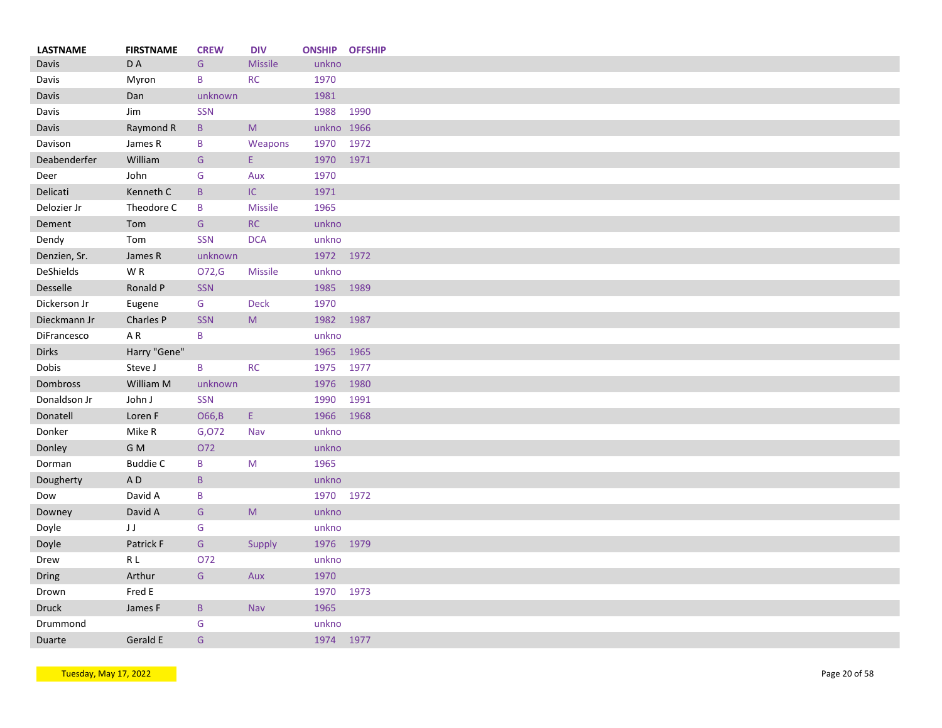| <b>LASTNAME</b> | <b>FIRSTNAME</b> | <b>CREW</b>     | <b>DIV</b>                                                                                                 | <b>ONSHIP OFFSHIP</b> |      |
|-----------------|------------------|-----------------|------------------------------------------------------------------------------------------------------------|-----------------------|------|
| Davis           | D A              | G               | <b>Missile</b>                                                                                             | unkno                 |      |
| Davis           | Myron            | B               | <b>RC</b>                                                                                                  | 1970                  |      |
| Davis           | Dan              | unknown         |                                                                                                            | 1981                  |      |
| Davis           | Jim              | SSN             |                                                                                                            | 1988                  | 1990 |
| Davis           | Raymond R        | $\mathsf B$     | M                                                                                                          | unkno 1966            |      |
| Davison         | James R          | B               | Weapons                                                                                                    | 1970                  | 1972 |
| Deabenderfer    | William          | G               | E.                                                                                                         | 1970                  | 1971 |
| Deer            | John             | G               | Aux                                                                                                        | 1970                  |      |
| Delicati        | Kenneth C        | $\mathsf{B}$    | IC                                                                                                         | 1971                  |      |
| Delozier Jr     | Theodore C       | B               | <b>Missile</b>                                                                                             | 1965                  |      |
| Dement          | Tom              | ${\mathsf G}$   | RC                                                                                                         | unkno                 |      |
| Dendy           | Tom              | <b>SSN</b>      | <b>DCA</b>                                                                                                 | unkno                 |      |
| Denzien, Sr.    | James R          | unknown         |                                                                                                            | 1972 1972             |      |
| DeShields       | WR               | O72,G           | Missile                                                                                                    | unkno                 |      |
| <b>Desselle</b> | Ronald P         | SSN             |                                                                                                            | 1985                  | 1989 |
| Dickerson Jr    | Eugene           | G               | <b>Deck</b>                                                                                                | 1970                  |      |
| Dieckmann Jr    | Charles P        | <b>SSN</b>      | M                                                                                                          | 1982                  | 1987 |
| DiFrancesco     | AR               | B               |                                                                                                            | unkno                 |      |
| <b>Dirks</b>    | Harry "Gene"     |                 |                                                                                                            | 1965                  | 1965 |
| Dobis           | Steve J          | B               | <b>RC</b>                                                                                                  | 1975                  | 1977 |
| Dombross        | William M        | unknown         |                                                                                                            | 1976                  | 1980 |
| Donaldson Jr    | John J           | <b>SSN</b>      |                                                                                                            | 1990                  | 1991 |
| Donatell        | Loren F          | O66,B           | E.                                                                                                         | 1966                  | 1968 |
| Donker          | Mike R           | G,072           | Nav                                                                                                        | unkno                 |      |
|                 | G M              | O72             |                                                                                                            | unkno                 |      |
| Donley          |                  |                 | M                                                                                                          | 1965                  |      |
| Dorman          | <b>Buddie C</b>  | B               |                                                                                                            |                       |      |
| Dougherty       | AD               | $\, {\bf B} \,$ |                                                                                                            | unkno                 |      |
| Dow             | David A          | B               |                                                                                                            | 1970 1972             |      |
| Downey          | David A          | G               | $\mathsf{M}% _{T}=\mathsf{M}_{T}\!\left( a,b\right) ,\ \mathsf{M}_{T}=\mathsf{M}_{T}\!\left( a,b\right) ,$ | unkno                 |      |
| Doyle           | JJ               | G               |                                                                                                            | unkno                 |      |
| Doyle           | Patrick F        | ${\mathsf G}$   | Supply                                                                                                     | 1976 1979             |      |
| Drew            | $\mathsf R$ L    | O72             |                                                                                                            | unkno                 |      |
| Dring           | Arthur           | ${\mathsf G}$   | Aux                                                                                                        | 1970                  |      |
| Drown           | Fred E           |                 |                                                                                                            | 1970                  | 1973 |
| <b>Druck</b>    | James F          | $\mathsf B$     | Nav                                                                                                        | 1965                  |      |
| Drummond        |                  | ${\mathsf G}$   |                                                                                                            | unkno                 |      |
| Duarte          | Gerald E         | G               |                                                                                                            | 1974 1977             |      |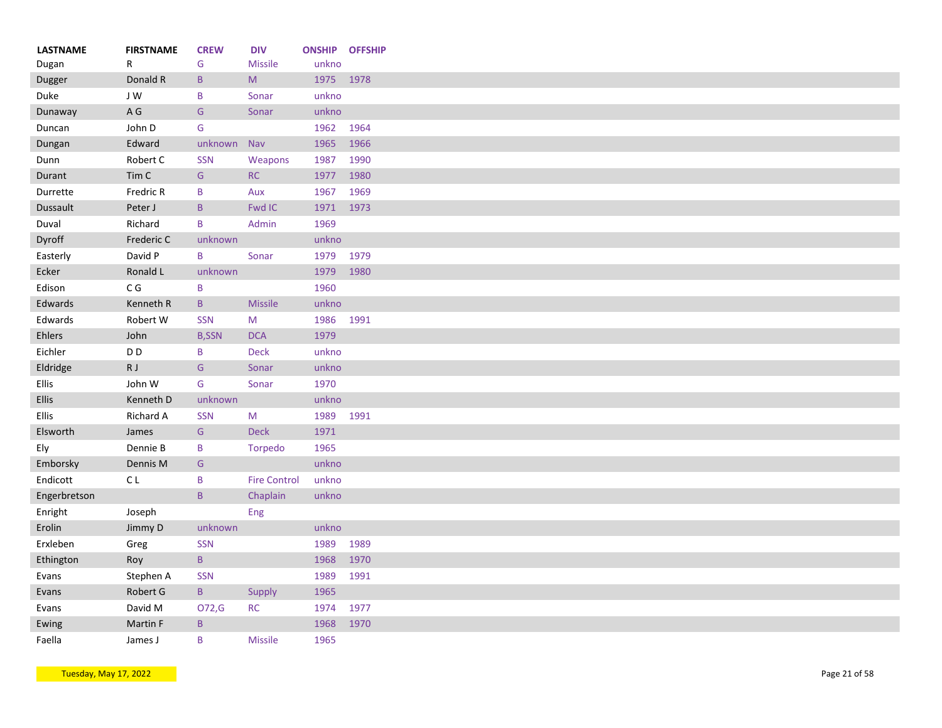| <b>LASTNAME</b> | <b>FIRSTNAME</b>        | <b>CREW</b>     | <b>DIV</b>                                                                                                 |       | <b>ONSHIP OFFSHIP</b> |
|-----------------|-------------------------|-----------------|------------------------------------------------------------------------------------------------------------|-------|-----------------------|
| Dugan           | R                       | G               | <b>Missile</b>                                                                                             | unkno |                       |
| Dugger          | Donald R                | $\, {\bf B}$    | $\mathsf{M}% _{T}=\mathsf{M}_{T}\!\left( a,b\right) ,\ \mathsf{M}_{T}=\mathsf{M}_{T}\!\left( a,b\right) ,$ | 1975  | 1978                  |
| Duke            | J W                     | B               | Sonar                                                                                                      | unkno |                       |
| Dunaway         | $\mathsf{A} \mathsf{G}$ | ${\mathsf G}$   | Sonar                                                                                                      | unkno |                       |
| Duncan          | John D                  | G               |                                                                                                            | 1962  | 1964                  |
| Dungan          | Edward                  | unknown         | Nav                                                                                                        | 1965  | 1966                  |
| Dunn            | Robert C                | <b>SSN</b>      | Weapons                                                                                                    | 1987  | 1990                  |
| Durant          | Tim <sub>C</sub>        | ${\mathsf G}$   | RC                                                                                                         | 1977  | 1980                  |
| Durrette        | Fredric R               | B               | Aux                                                                                                        | 1967  | 1969                  |
| Dussault        | Peter J                 | $\mathsf{B}$    | Fwd IC                                                                                                     | 1971  | 1973                  |
| Duval           | Richard                 | B               | Admin                                                                                                      | 1969  |                       |
| Dyroff          | Frederic C              | unknown         |                                                                                                            | unkno |                       |
| Easterly        | David P                 | $\mathsf B$     | Sonar                                                                                                      | 1979  | 1979                  |
| Ecker           | Ronald L                | unknown         |                                                                                                            | 1979  | 1980                  |
| Edison          | C G                     | B               |                                                                                                            | 1960  |                       |
| Edwards         | Kenneth R               | $\mathsf{B}$    | <b>Missile</b>                                                                                             | unkno |                       |
| Edwards         | Robert W                | <b>SSN</b>      | M                                                                                                          | 1986  | 1991                  |
| Ehlers          | John                    | <b>B,SSN</b>    | <b>DCA</b>                                                                                                 | 1979  |                       |
| Eichler         | D <sub>D</sub>          | B               | <b>Deck</b>                                                                                                | unkno |                       |
| Eldridge        | RJ                      | ${\mathsf G}$   | Sonar                                                                                                      | unkno |                       |
| Ellis           | John W                  | G               | Sonar                                                                                                      | 1970  |                       |
| <b>Ellis</b>    | Kenneth D               | unknown         |                                                                                                            | unkno |                       |
| Ellis           | Richard A               | <b>SSN</b>      | M                                                                                                          | 1989  | 1991                  |
| Elsworth        | James                   | ${\mathsf G}$   | <b>Deck</b>                                                                                                | 1971  |                       |
| Ely             | Dennie B                | B               | Torpedo                                                                                                    | 1965  |                       |
| Emborsky        | Dennis M                | G               |                                                                                                            | unkno |                       |
| Endicott        | C L                     | B               | <b>Fire Control</b>                                                                                        | unkno |                       |
| Engerbretson    |                         | $\mathsf B$     | Chaplain                                                                                                   | unkno |                       |
|                 |                         |                 |                                                                                                            |       |                       |
| Enright         | Joseph                  |                 | Eng                                                                                                        |       |                       |
| Erolin          | Jimmy D                 | unknown         |                                                                                                            | unkno |                       |
| Erxleben        | Greg                    | <b>SSN</b>      |                                                                                                            | 1989  | 1989                  |
| Ethington       | Roy                     | $\, {\bf B} \,$ |                                                                                                            | 1968  | 1970                  |
| Evans           | Stephen A               | <b>SSN</b>      |                                                                                                            | 1989  | 1991                  |
| Evans           | Robert G                | $\, {\bf B} \,$ | Supply                                                                                                     | 1965  |                       |
| Evans           | David M                 | O72,G           | <b>RC</b>                                                                                                  | 1974  | 1977                  |
| Ewing           | Martin F                | $\sf B$         |                                                                                                            | 1968  | 1970                  |
| Faella          | James J                 | B               | <b>Missile</b>                                                                                             | 1965  |                       |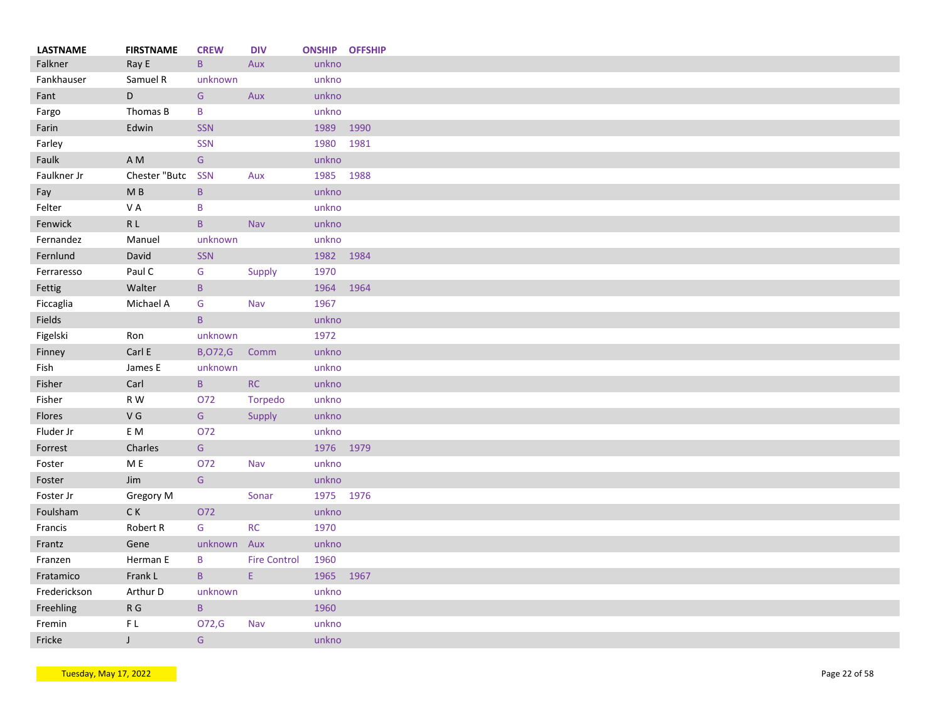| <b>LASTNAME</b> | <b>FIRSTNAME</b>         | <b>CREW</b>    | <b>DIV</b>                                                                     |           | <b>ONSHIP OFFSHIP</b> |
|-----------------|--------------------------|----------------|--------------------------------------------------------------------------------|-----------|-----------------------|
| Falkner         | Ray E                    | $\mathsf{B}$   | Aux                                                                            | unkno     |                       |
| Fankhauser      | Samuel R                 | unknown        |                                                                                | unkno     |                       |
| Fant            | D                        | G              | Aux                                                                            | unkno     |                       |
| Fargo           | Thomas B                 | B              |                                                                                | unkno     |                       |
| Farin           | Edwin                    | <b>SSN</b>     |                                                                                | 1989      | 1990                  |
| Farley          |                          | SSN            |                                                                                | 1980      | 1981                  |
| Faulk           | A M                      | ${\mathsf G}$  |                                                                                | unkno     |                       |
| Faulkner Jr     | Chester "Butc            | <b>SSN</b>     | Aux                                                                            | 1985 1988 |                       |
| Fay             | M B                      | $\mathsf{B}$   |                                                                                | unkno     |                       |
| Felter          | VA                       | B              |                                                                                | unkno     |                       |
| Fenwick         | $\mathsf R$ L            | $\mathsf{B}$   | Nav                                                                            | unkno     |                       |
| Fernandez       | Manuel                   | unknown        |                                                                                | unkno     |                       |
| Fernlund        | David                    | <b>SSN</b>     |                                                                                | 1982 1984 |                       |
| Ferraresso      | Paul C                   | G              | Supply                                                                         | 1970      |                       |
| Fettig          | Walter                   | $\mathsf{B}$   |                                                                                | 1964      | 1964                  |
| Ficcaglia       | Michael A                | G              | Nav                                                                            | 1967      |                       |
| Fields          |                          | $\mathsf{B}$   |                                                                                | unkno     |                       |
| Figelski        | Ron                      | unknown        |                                                                                | 1972      |                       |
| Finney          | Carl E                   | <b>B,072,G</b> | Comm                                                                           | unkno     |                       |
| Fish            | James E                  | unknown        |                                                                                | unkno     |                       |
| Fisher          | Carl                     | $\mathsf{B}$   | RC                                                                             | unkno     |                       |
| Fisher          | R W                      | O72            |                                                                                | unkno     |                       |
|                 |                          |                | Torpedo                                                                        |           |                       |
| Flores          | V G                      | G              | Supply                                                                         | unkno     |                       |
| Fluder Jr       | E M                      | 072            |                                                                                | unkno     |                       |
| Forrest         | Charles                  | G              |                                                                                | 1976 1979 |                       |
| Foster          | M E                      | O72            | Nav                                                                            | unkno     |                       |
| Foster          | Jim                      | ${\mathsf G}$  |                                                                                | unkno     |                       |
| Foster Jr       | Gregory M                |                | Sonar                                                                          | 1975 1976 |                       |
| Foulsham        | $\mathsf{C}\,\mathsf{K}$ | O72            |                                                                                | unkno     |                       |
| Francis         | Robert R                 | G              | RC                                                                             | 1970      |                       |
| Frantz          | Gene                     | unknown Aux    |                                                                                | unkno     |                       |
| Franzen         | Herman E                 | B              | <b>Fire Control</b>                                                            | 1960      |                       |
| Fratamico       | Frank L                  | $\mathsf{B}$   | $\mathsf{E}% _{0}\left( t\right) \equiv\mathsf{E}_{\mathrm{H}}\left( t\right)$ | 1965      | 1967                  |
| Frederickson    | Arthur D                 | unknown        |                                                                                | unkno     |                       |
| Freehling       | $\mathsf R$ G            | $\sf{B}$       |                                                                                | 1960      |                       |
| Fremin          | FL                       | O72,G          | Nav                                                                            | unkno     |                       |
| Fricke          | $\mathsf{J}$             | ${\mathsf G}$  |                                                                                | unkno     |                       |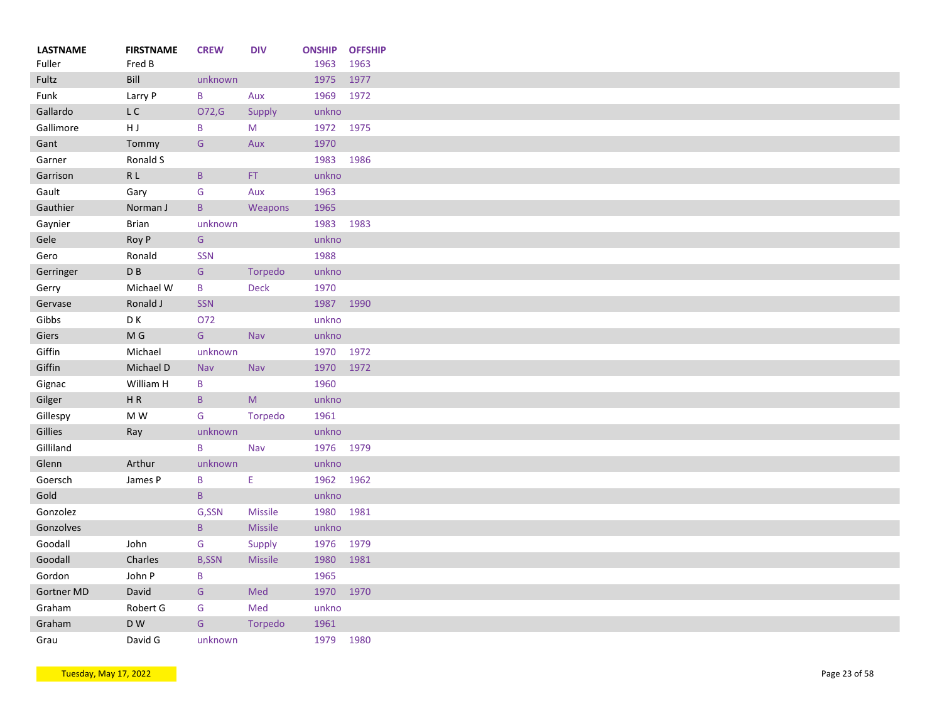| <b>LASTNAME</b><br>Fuller | <b>FIRSTNAME</b><br>Fred B | <b>CREW</b>     | <b>DIV</b>     | <b>ONSHIP</b><br>1963 | <b>OFFSHIP</b><br>1963 |
|---------------------------|----------------------------|-----------------|----------------|-----------------------|------------------------|
| Fultz                     | Bill                       | unknown         |                | 1975                  | 1977                   |
| Funk                      | Larry P                    | B               | Aux            | 1969                  | 1972                   |
| Gallardo                  | $\mathsf{L}\ \mathsf{C}$   | O72,G           | Supply         | unkno                 |                        |
| Gallimore                 | HJ                         | B               | M              | 1972                  | 1975                   |
| Gant                      | Tommy                      | ${\mathsf G}$   | Aux            | 1970                  |                        |
| Garner                    | Ronald S                   |                 |                | 1983                  | 1986                   |
| Garrison                  | R <sub>L</sub>             | $\, {\bf B} \,$ | $\mathsf{FT}$  | unkno                 |                        |
| Gault                     | Gary                       | G               | Aux            | 1963                  |                        |
| Gauthier                  | Norman J                   | $\mathsf{B}$    | Weapons        | 1965                  |                        |
| Gaynier                   | <b>Brian</b>               | unknown         |                | 1983                  | 1983                   |
| Gele                      | Roy P                      | G               |                | unkno                 |                        |
| Gero                      | Ronald                     | <b>SSN</b>      |                | 1988                  |                        |
| Gerringer                 | D B                        | ${\mathsf G}$   | Torpedo        | unkno                 |                        |
| Gerry                     | Michael W                  | B               | Deck           | 1970                  |                        |
| Gervase                   | Ronald J                   | <b>SSN</b>      |                | 1987 1990             |                        |
| Gibbs                     | D K                        | O72             |                | unkno                 |                        |
| Giers                     | M G                        | G               | <b>Nav</b>     | unkno                 |                        |
| Giffin                    | Michael                    | unknown         |                | 1970 1972             |                        |
| Giffin                    | Michael D                  | Nav             | Nav            | 1970 1972             |                        |
| Gignac                    | William H                  | B               |                | 1960                  |                        |
| Gilger                    | HR                         | $\mathsf{B}$    | M              | unkno                 |                        |
| Gillespy                  | M W                        | G               | Torpedo        | 1961                  |                        |
| Gillies                   | Ray                        | unknown         |                | unkno                 |                        |
| Gilliland                 |                            | $\sf B$         | Nav            | 1976 1979             |                        |
| Glenn                     | Arthur                     | unknown         |                | unkno                 |                        |
| Goersch                   | James P                    | B               | Ε              | 1962 1962             |                        |
| Gold                      |                            | $\mathsf{B}$    |                | unkno                 |                        |
| Gonzolez                  |                            | G,SSN           | <b>Missile</b> | 1980                  | 1981                   |
| Gonzolves                 |                            | $\, {\bf B} \,$ | Missile        | unkno                 |                        |
| Goodall                   | John                       | G               | Supply         | 1976                  | 1979                   |
| Goodall                   | Charles                    | <b>B,SSN</b>    | Missile        | 1980                  | 1981                   |
| Gordon                    | John P                     | B               |                | 1965                  |                        |
| <b>Gortner MD</b>         | David                      | ${\mathsf G}$   | Med            | 1970                  | 1970                   |
| Graham                    | Robert G                   | G               | Med            | unkno                 |                        |
| Graham                    | D W                        | ${\mathsf G}$   | Torpedo        | 1961                  |                        |
| Grau                      | David G                    | unknown         |                | 1979                  | 1980                   |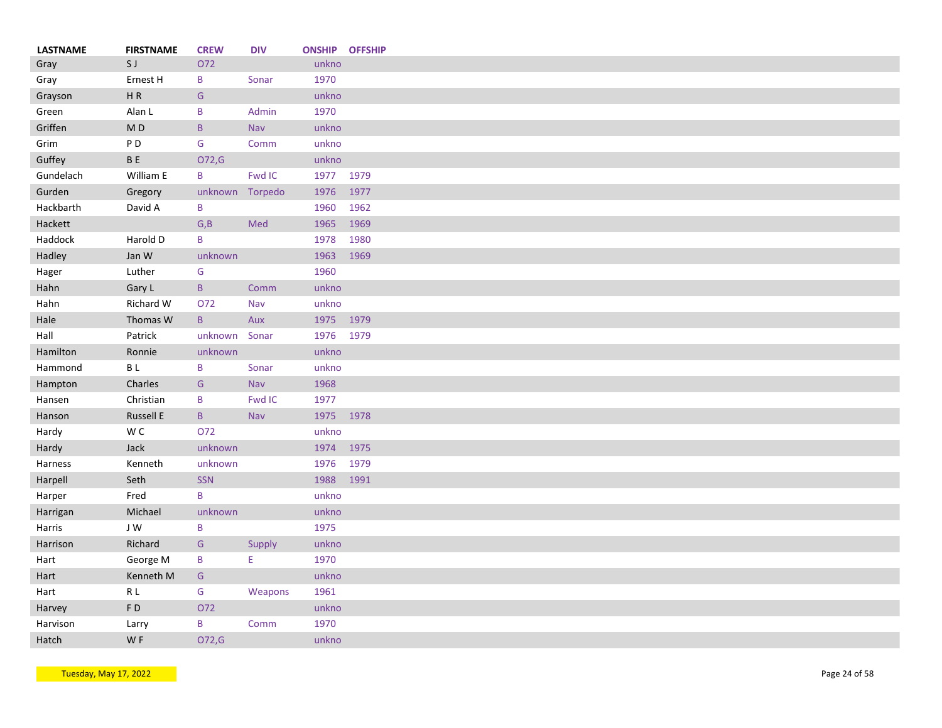| <b>LASTNAME</b> | <b>FIRSTNAME</b>         | <b>CREW</b>     | <b>DIV</b> | <b>ONSHIP OFFSHIP</b> |      |
|-----------------|--------------------------|-----------------|------------|-----------------------|------|
| Gray            | SJ                       | O72             |            | unkno                 |      |
| Gray            | Ernest H                 | B               | Sonar      | 1970                  |      |
| Grayson         | HR                       | G               |            | unkno                 |      |
| Green           | Alan L                   | B               | Admin      | 1970                  |      |
| Griffen         | $\mathsf{M}\,\mathsf{D}$ | $\, {\sf B}$    | Nav        | unkno                 |      |
| Grim            | PD                       | G               | Comm       | unkno                 |      |
| Guffey          | <b>BE</b>                | O72,G           |            | unkno                 |      |
| Gundelach       | William E                | B               | Fwd IC     | 1977 1979             |      |
| Gurden          | Gregory                  | unknown Torpedo |            | 1976                  | 1977 |
| Hackbarth       | David A                  | B               |            | 1960                  | 1962 |
| Hackett         |                          | G, B            | Med        | 1965                  | 1969 |
| Haddock         | Harold D                 | B               |            | 1978                  | 1980 |
| Hadley          | Jan W                    | unknown         |            | 1963                  | 1969 |
| Hager           | Luther                   | G               |            | 1960                  |      |
| Hahn            | Gary L                   | $\mathsf{B}$    | Comm       | unkno                 |      |
| Hahn            | Richard W                | O72             | Nav        | unkno                 |      |
| Hale            | Thomas W                 | B               | Aux        | 1975                  | 1979 |
| Hall            | Patrick                  | unknown         | Sonar      | 1976 1979             |      |
| Hamilton        | Ronnie                   | unknown         |            | unkno                 |      |
| Hammond         | B L                      | B               | Sonar      | unkno                 |      |
| Hampton         | Charles                  | G               | <b>Nav</b> | 1968                  |      |
| Hansen          | Christian                | B               | Fwd IC     | 1977                  |      |
|                 | <b>Russell E</b>         | $\mathsf{B}$    | Nav        | 1975 1978             |      |
| Hanson          |                          |                 |            |                       |      |
| Hardy           | W C                      | O72             |            | unkno                 |      |
| Hardy           | Jack                     | unknown         |            | 1974                  | 1975 |
| Harness         | Kenneth                  | unknown         |            | 1976                  | 1979 |
| Harpell         | Seth                     | SSN             |            | 1988                  | 1991 |
| Harper          | Fred                     | $\sf{B}$        |            | unkno                 |      |
| Harrigan        | Michael                  | unknown         |            | unkno                 |      |
| Harris          | JW                       | B               |            | 1975                  |      |
| Harrison        | Richard                  | G               | Supply     | unkno                 |      |
| Hart            | George M                 | B               | E          | 1970                  |      |
| Hart            | Kenneth M                | ${\mathsf G}$   |            | unkno                 |      |
| Hart            | R L                      | ${\mathsf G}$   | Weapons    | 1961                  |      |
| Harvey          | FD                       | O72             |            | unkno                 |      |
| Harvison        | Larry                    | B               | Comm       | 1970                  |      |
| Hatch           | WF                       | O72,G           |            | unkno                 |      |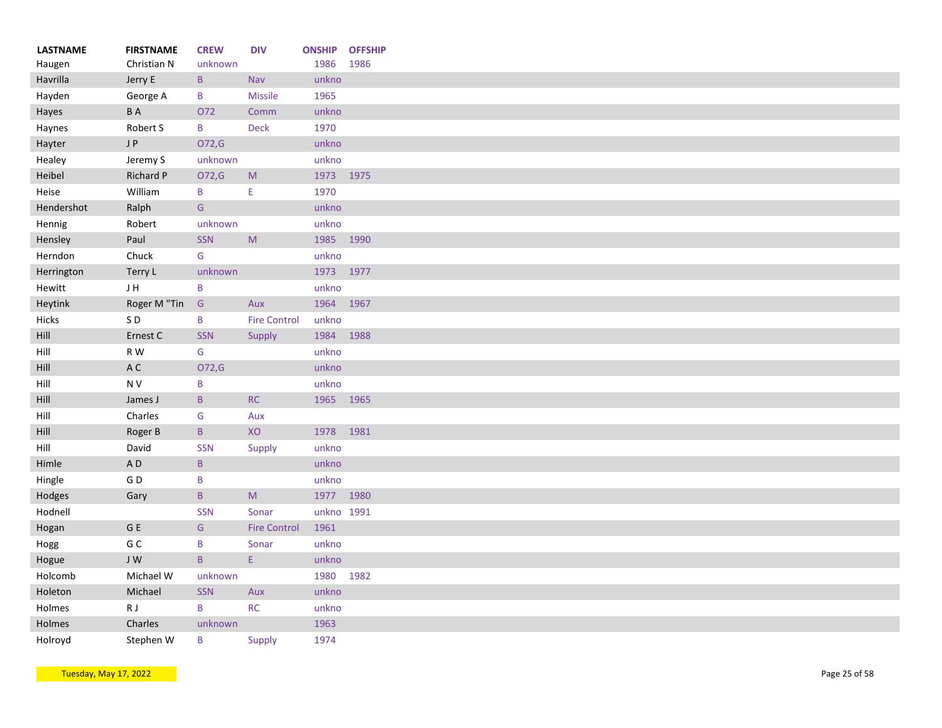| <b>LASTNAME</b> | <b>FIRSTNAME</b> | <b>CREW</b>     | <b>DIV</b>                                                                                                 | <b>ONSHIP</b> | <b>OFFSHIP</b><br>1986 |
|-----------------|------------------|-----------------|------------------------------------------------------------------------------------------------------------|---------------|------------------------|
| Haugen          | Christian N      | unknown         |                                                                                                            | 1986          |                        |
| Havrilla        | Jerry E          | $\mathsf{B}$    | Nav                                                                                                        | unkno         |                        |
| Hayden          | George A         | $\, {\bf B}$    | <b>Missile</b>                                                                                             | 1965          |                        |
| Hayes           | <b>BA</b>        | O72             | Comm                                                                                                       | unkno         |                        |
| Haynes          | Robert S         | B               | <b>Deck</b>                                                                                                | 1970          |                        |
| Hayter          | J P              | O72,G           |                                                                                                            | unkno         |                        |
| Healey          | Jeremy S         | unknown         |                                                                                                            | unkno         |                        |
| Heibel          | Richard P        | O72,G           | ${\sf M}$                                                                                                  | 1973 1975     |                        |
| Heise           | William          | B               | Ε                                                                                                          | 1970          |                        |
| Hendershot      | Ralph            | ${\mathsf G}$   |                                                                                                            | unkno         |                        |
| Hennig          | Robert           | unknown         |                                                                                                            | unkno         |                        |
| Hensley         | Paul             | SSN             | M                                                                                                          | 1985          | 1990                   |
| Herndon         | Chuck            | G               |                                                                                                            | unkno         |                        |
| Herrington      | Terry L          | unknown         |                                                                                                            | 1973 1977     |                        |
| Hewitt          | JH               | B               |                                                                                                            | unkno         |                        |
| Heytink         | Roger M "Tin     | ${\mathsf G}$   | Aux                                                                                                        | 1964 1967     |                        |
| Hicks           | SD               | B               | <b>Fire Control</b>                                                                                        | unkno         |                        |
| Hill            | Ernest C         | SSN             | Supply                                                                                                     | 1984          | 1988                   |
| Hill            | R W              | G               |                                                                                                            | unkno         |                        |
| Hill            | A C              | O72,G           |                                                                                                            | unkno         |                        |
| Hill            | N V              | $\sf B$         |                                                                                                            | unkno         |                        |
| Hill            | James J          | $\, {\bf B} \,$ | RC                                                                                                         | 1965 1965     |                        |
| Hill            | Charles          | G               | Aux                                                                                                        |               |                        |
| Hill            | Roger B          | $\mathsf B$     | XO                                                                                                         | 1978          | 1981                   |
| Hill            | David            | SSN             | Supply                                                                                                     | unkno         |                        |
| Himle           | AD               | $\, {\bf B} \,$ |                                                                                                            | unkno         |                        |
| Hingle          | GD               | B               |                                                                                                            | unkno         |                        |
| Hodges          | Gary             | $\, {\bf B} \,$ | $\mathsf{M}% _{T}=\mathsf{M}_{T}\!\left( a,b\right) ,\ \mathsf{M}_{T}=\mathsf{M}_{T}\!\left( a,b\right) ,$ | 1977          | 1980                   |
| Hodnell         |                  | <b>SSN</b>      | Sonar                                                                                                      | unkno 1991    |                        |
| Hogan           | G E              | ${\mathsf G}$   | <b>Fire Control</b>                                                                                        | 1961          |                        |
| Hogg            | G C              | B               | Sonar                                                                                                      | unkno         |                        |
| Hogue           | J W              | $\mathsf{B}$    | E.                                                                                                         | unkno         |                        |
| Holcomb         | Michael W        | unknown         |                                                                                                            | 1980          |                        |
|                 | Michael          | SSN             | Aux                                                                                                        | unkno         |                        |
| Holeton         |                  |                 |                                                                                                            |               |                        |
| Holmes          | R J              | $\sf B$         | RC                                                                                                         | unkno         |                        |
| Holmes          | Charles          | unknown         |                                                                                                            | 1963          |                        |
| Holroyd         | Stephen W        | B               | Supply                                                                                                     | 1974          |                        |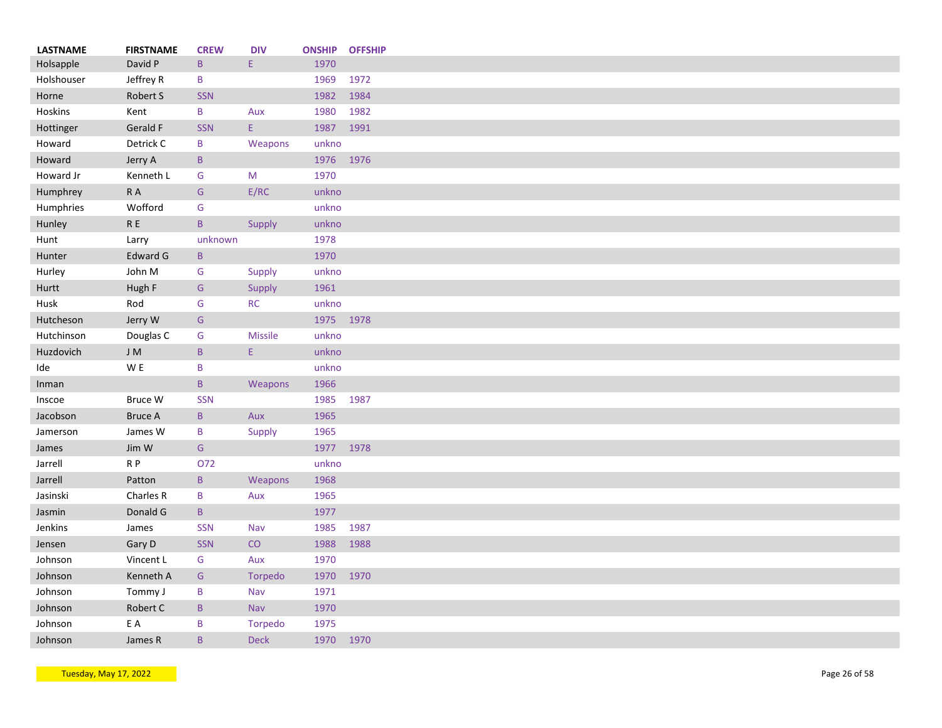| <b>LASTNAME</b> | <b>FIRSTNAME</b>    | <b>CREW</b>     | <b>DIV</b>  | <b>ONSHIP</b> | <b>OFFSHIP</b> |
|-----------------|---------------------|-----------------|-------------|---------------|----------------|
| Holsapple       | David P             | $\mathsf{B}$    | E.          | 1970          |                |
| Holshouser      | Jeffrey R           | B               |             | 1969          | 1972           |
| Horne           | Robert S            | <b>SSN</b>      |             | 1982          | 1984           |
| Hoskins         | Kent                | B               | Aux         | 1980          | 1982           |
| Hottinger       | Gerald F            | <b>SSN</b>      | E           | 1987          | 1991           |
| Howard          | Detrick C           | B               | Weapons     | unkno         |                |
| Howard          | Jerry A             | $\mathsf{B}$    |             | 1976          | 1976           |
| Howard Jr       | Kenneth L           | G               | M           | 1970          |                |
| Humphrey        | $\mathsf R$ A       | G               | E/RC        | unkno         |                |
| Humphries       | Wofford             | G               |             | unkno         |                |
| Hunley          | ${\sf R}$ ${\sf E}$ | $\mathsf{B}$    | Supply      | unkno         |                |
| Hunt            | Larry               | unknown         |             | 1978          |                |
| Hunter          | Edward G            | $\mathsf B$     |             | 1970          |                |
| Hurley          | John M              | G               | Supply      | unkno         |                |
| Hurtt           | Hugh F              | G               | Supply      | 1961          |                |
| Husk            | Rod                 | G               | RC          | unkno         |                |
| Hutcheson       | Jerry W             | ${\mathsf G}$   |             | 1975 1978     |                |
| Hutchinson      | Douglas C           | ${\mathsf G}$   | Missile     | unkno         |                |
| Huzdovich       | J M                 | $\, {\bf B} \,$ | E.          | unkno         |                |
|                 | W E                 |                 |             |               |                |
| Ide             |                     | B               |             | unkno         |                |
| Inman           |                     | $\mathsf B$     | Weapons     | 1966          |                |
| Inscoe          | Bruce W             | <b>SSN</b>      |             | 1985          | 1987           |
| Jacobson        | <b>Bruce A</b>      | $\mathsf B$     | Aux         | 1965          |                |
| Jamerson        | James W             | B               | Supply      | 1965          |                |
| James           | Jim W               | G               |             | 1977          | 1978           |
| Jarrell         | $R$ $P$             | O72             |             | unkno         |                |
| Jarrell         | Patton              | $\, {\bf B} \,$ | Weapons     | 1968          |                |
| Jasinski        | Charles R           | B               | Aux         | 1965          |                |
| Jasmin          | Donald G            | B               |             | 1977          |                |
| Jenkins         | James               | SSN             | Nav         | 1985          | 1987           |
| Jensen          | Gary D              | <b>SSN</b>      | CO          | 1988          | 1988           |
| Johnson         | Vincent L           | G               | Aux         | 1970          |                |
| Johnson         | Kenneth A           | ${\mathsf G}$   | Torpedo     | 1970          | 1970           |
| Johnson         | Tommy J             | $\, {\bf B}$    | Nav         | 1971          |                |
| Johnson         | Robert C            | $\mathsf B$     | Nav         | 1970          |                |
| Johnson         | E A                 | B               | Torpedo     | 1975          |                |
| Johnson         | James R             | B               | <b>Deck</b> | 1970          | 1970           |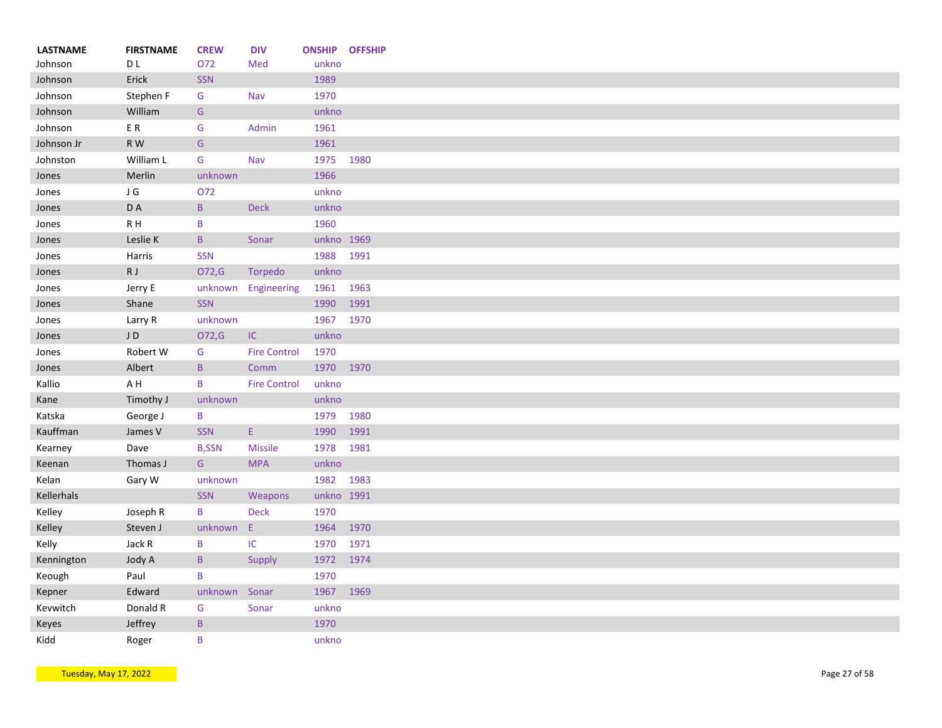| <b>LASTNAME</b> | <b>FIRSTNAME</b> | <b>CREW</b>   | <b>DIV</b>          |            | <b>ONSHIP OFFSHIP</b> |
|-----------------|------------------|---------------|---------------------|------------|-----------------------|
| Johnson         | D L              | O72           | Med                 | unkno      |                       |
| Johnson         | Erick            | SSN           |                     | 1989       |                       |
| Johnson         | Stephen F        | G             | Nav                 | 1970       |                       |
| Johnson         | William          | G             |                     | unkno      |                       |
| Johnson         | ER               | G             | Admin               | 1961       |                       |
| Johnson Jr      | R W              | ${\mathsf G}$ |                     | 1961       |                       |
| Johnston        | William L        | G             | Nav                 | 1975 1980  |                       |
| Jones           | Merlin           | unknown       |                     | 1966       |                       |
| Jones           | J G              | O72           |                     | unkno      |                       |
| Jones           | D A              | $\mathsf{B}$  | <b>Deck</b>         | unkno      |                       |
| Jones           | R H              | B             |                     | 1960       |                       |
| Jones           | Leslie K         | $\mathsf B$   | Sonar               | unkno 1969 |                       |
| Jones           | Harris           | SSN           |                     | 1988 1991  |                       |
| Jones           | R J              | O72,G         | Torpedo             | unkno      |                       |
| Jones           | Jerry E          | unknown       | Engineering         | 1961       | 1963                  |
| Jones           | Shane            | SSN           |                     | 1990       | 1991                  |
| Jones           | Larry R          | unknown       |                     | 1967       | 1970                  |
| Jones           | JD               | O72,G         | IC                  | unkno      |                       |
| Jones           | Robert W         | G             | <b>Fire Control</b> | 1970       |                       |
| Jones           | Albert           | $\mathsf B$   | Comm                | 1970 1970  |                       |
| Kallio          | A H              | B             | <b>Fire Control</b> | unkno      |                       |
| Kane            | Timothy J        | unknown       |                     | unkno      |                       |
| Katska          | George J         | B             |                     | 1979       | 1980                  |
| Kauffman        | James V          | SSN           | $\mathsf{E}$        | 1990       | 1991                  |
| Kearney         | Dave             | <b>B,SSN</b>  | <b>Missile</b>      | 1978       | 1981                  |
| Keenan          | Thomas J         | G             | <b>MPA</b>          | unkno      |                       |
| Kelan           | Gary W           | unknown       |                     | 1982       | 1983                  |
| Kellerhals      |                  | <b>SSN</b>    | Weapons             | unkno 1991 |                       |
| Kelley          | Joseph R         | B             | <b>Deck</b>         | 1970       |                       |
|                 |                  |               | E                   |            |                       |
| Kelley          | Steven J         | unknown       |                     | 1964       | 1970                  |
| Kelly           | Jack R           | B             | $\sf IC$            | 1970       | 1971                  |
| Kennington      | Jody A           | $\mathsf B$   | Supply              | 1972       | 1974                  |
| Keough          | Paul             | B             |                     | 1970       |                       |
| Kepner          | Edward           | unknown       | Sonar               | 1967       | 1969                  |
| Kevwitch        | Donald R         | G             | Sonar               | unkno      |                       |
| Keyes           | Jeffrey          | $\mathsf{B}$  |                     | 1970       |                       |
| Kidd            | Roger            | B             |                     | unkno      |                       |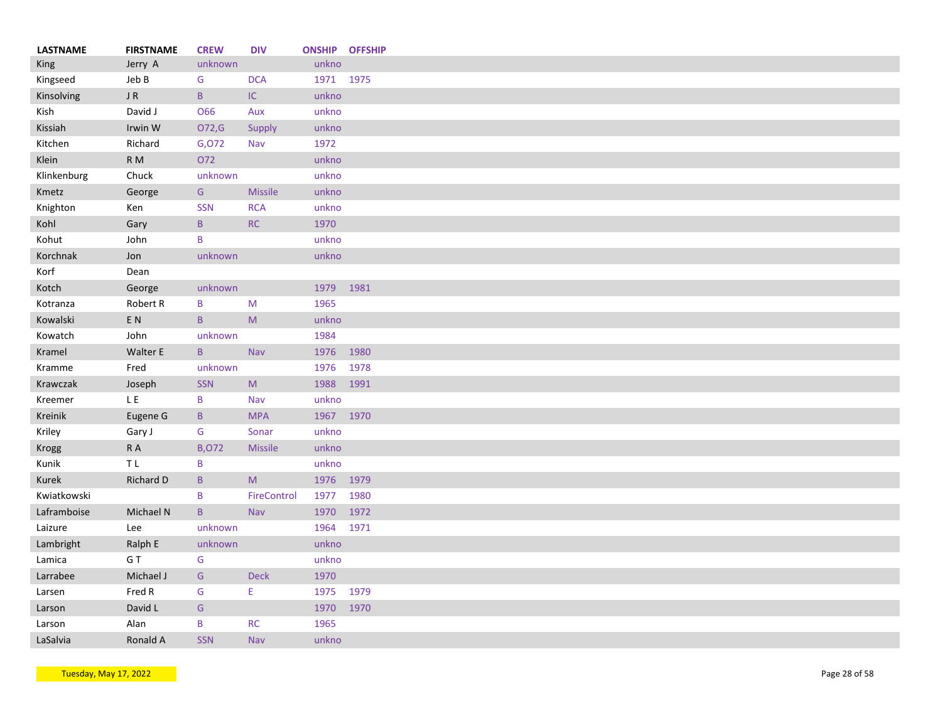| <b>LASTNAME</b> | <b>FIRSTNAME</b>         | <b>CREW</b>   | <b>DIV</b>                                                                                                 | <b>ONSHIP OFFSHIP</b> |      |
|-----------------|--------------------------|---------------|------------------------------------------------------------------------------------------------------------|-----------------------|------|
| <b>King</b>     | Jerry A                  | unknown       |                                                                                                            | unkno                 |      |
| Kingseed        | Jeb B                    | G             | <b>DCA</b>                                                                                                 | 1971 1975             |      |
| Kinsolving      | $\sf J$ R                | $\sf{B}$      | $\sf IC$                                                                                                   | unkno                 |      |
| Kish            | David J                  | O66           | Aux                                                                                                        | unkno                 |      |
| Kissiah         | Irwin W                  | O72,G         | Supply                                                                                                     | unkno                 |      |
| Kitchen         | Richard                  | G,072         | Nav                                                                                                        | 1972                  |      |
| Klein           | R <sub>M</sub>           | 072           |                                                                                                            | unkno                 |      |
| Klinkenburg     | Chuck                    | unknown       |                                                                                                            | unkno                 |      |
| Kmetz           | George                   | ${\mathsf G}$ | <b>Missile</b>                                                                                             | unkno                 |      |
| Knighton        | Ken                      | <b>SSN</b>    | <b>RCA</b>                                                                                                 | unkno                 |      |
| Kohl            | Gary                     | $\mathsf B$   | RC                                                                                                         | 1970                  |      |
| Kohut           | John                     | B             |                                                                                                            | unkno                 |      |
| Korchnak        | Jon                      | unknown       |                                                                                                            | unkno                 |      |
| Korf            | Dean                     |               |                                                                                                            |                       |      |
| Kotch           | George                   | unknown       |                                                                                                            | 1979                  | 1981 |
| Kotranza        | Robert R                 | B             | M                                                                                                          | 1965                  |      |
| Kowalski        | $\mathsf{E}\ \mathsf{N}$ | $\mathsf{B}$  | $\mathsf{M}% _{T}=\mathsf{M}_{T}\!\left( a,b\right) ,\ \mathsf{M}_{T}=\mathsf{M}_{T}\!\left( a,b\right) ,$ | unkno                 |      |
| Kowatch         | John                     | unknown       |                                                                                                            | 1984                  |      |
| Kramel          | <b>Walter E</b>          | $\mathsf{B}$  | Nav                                                                                                        | 1976                  | 1980 |
| Kramme          | Fred                     | unknown       |                                                                                                            | 1976                  | 1978 |
| Krawczak        | Joseph                   | <b>SSN</b>    | ${\sf M}$                                                                                                  | 1988                  | 1991 |
| Kreemer         | L E                      | B             | Nav                                                                                                        | unkno                 |      |
| Kreinik         | Eugene G                 | $\mathsf B$   | <b>MPA</b>                                                                                                 | 1967 1970             |      |
| Kriley          | Gary J                   | G             | Sonar                                                                                                      | unkno                 |      |
|                 | R A                      | <b>B,072</b>  | <b>Missile</b>                                                                                             | unkno                 |      |
| Krogg           |                          |               |                                                                                                            |                       |      |
| Kunik           | ΤL                       | B             |                                                                                                            | unkno                 |      |
| Kurek           | Richard D                | $\mathsf{B}$  | M                                                                                                          | 1976 1979             |      |
| Kwiatkowski     |                          | B             | FireControl                                                                                                | 1977                  | 1980 |
| Laframboise     | Michael N                | $\mathsf B$   | <b>Nav</b>                                                                                                 | 1970                  | 1972 |
| Laizure         | Lee                      | unknown       |                                                                                                            | 1964                  | 1971 |
| Lambright       | Ralph E                  | unknown       |                                                                                                            | unkno                 |      |
| Lamica          | G T                      | G             |                                                                                                            | unkno                 |      |
| Larrabee        | Michael J                | G             | <b>Deck</b>                                                                                                | 1970                  |      |
| Larsen          | Fred R                   | ${\mathsf G}$ | E                                                                                                          | 1975                  | 1979 |
| Larson          | David L                  | G             |                                                                                                            | 1970                  | 1970 |
| Larson          | Alan                     | B             | <b>RC</b>                                                                                                  | 1965                  |      |
| LaSalvia        | Ronald A                 | <b>SSN</b>    | Nav                                                                                                        | unkno                 |      |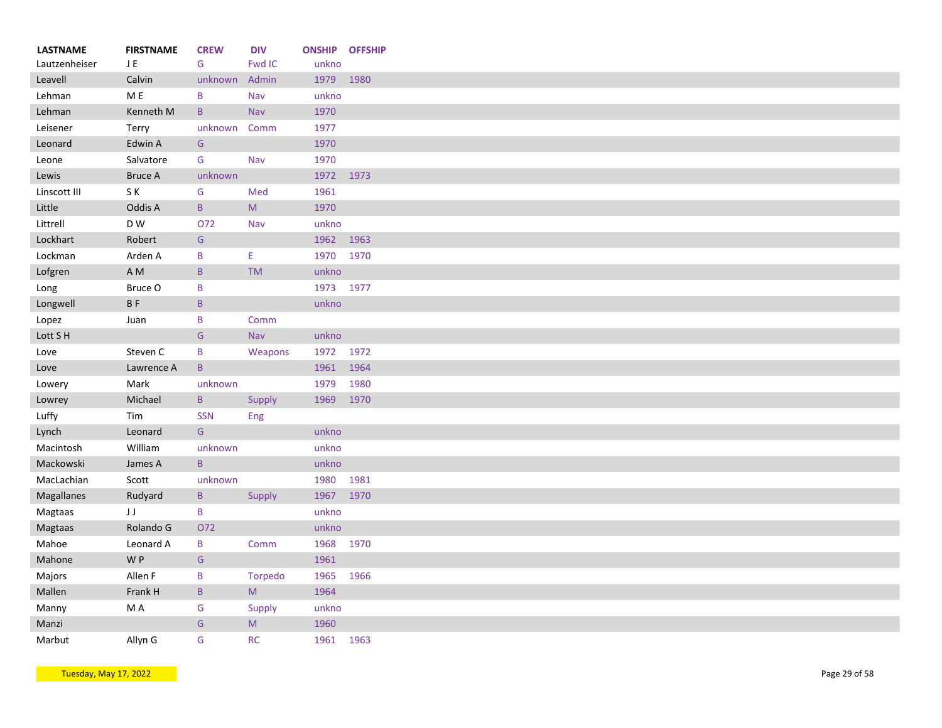| <b>LASTNAME</b> | <b>FIRSTNAME</b>       | <b>CREW</b>   | <b>DIV</b>  |           | <b>ONSHIP OFFSHIP</b> |
|-----------------|------------------------|---------------|-------------|-----------|-----------------------|
| Lautzenheiser   | JE                     | G             | Fwd IC      | unkno     |                       |
| Leavell         | Calvin                 | unknown       | Admin       | 1979      | 1980                  |
| Lehman          | M E                    | B             | Nav         | unkno     |                       |
| Lehman          | Kenneth M              | $\mathsf{B}$  | Nav         | 1970      |                       |
| Leisener        | Terry                  | unknown       | Comm        | 1977      |                       |
| Leonard         | Edwin A                | ${\mathsf G}$ |             | 1970      |                       |
| Leone           | Salvatore              | G             | Nav         | 1970      |                       |
| Lewis           | <b>Bruce A</b>         | unknown       |             | 1972 1973 |                       |
| Linscott III    | SK                     | G             | Med         | 1961      |                       |
| Little          | Oddis A                | $\mathsf{B}$  | M           | 1970      |                       |
| Littrell        | D W                    | 072           | Nav         | unkno     |                       |
| Lockhart        | Robert                 | G             |             | 1962 1963 |                       |
| Lockman         | Arden A                | B             | Ε.          | 1970      | 1970                  |
| Lofgren         | $\mathsf A\,\mathsf M$ | $\, {\bf B}$  | <b>TM</b>   | unkno     |                       |
| Long            | Bruce O                | B             |             | 1973 1977 |                       |
| Longwell        | <b>BF</b>              | $\sf{B}$      |             | unkno     |                       |
| Lopez           | Juan                   | B             | Comm        |           |                       |
| Lott S H        |                        | ${\mathsf G}$ | Nav         | unkno     |                       |
| Love            | Steven C               | $\sf B$       | Weapons     | 1972 1972 |                       |
| Love            | Lawrence A             | $\mathsf B$   |             | 1961      | 1964                  |
| Lowery          | Mark                   | unknown       |             | 1979      | 1980                  |
| Lowrey          | Michael                | $\, {\bf B}$  | Supply      | 1969      | 1970                  |
| Luffy           | Tim                    | <b>SSN</b>    | Eng         |           |                       |
| Lynch           | Leonard                | ${\mathsf G}$ |             | unkno     |                       |
| Macintosh       | William                | unknown       |             | unkno     |                       |
| Mackowski       | James A                | $\mathsf{B}$  |             | unkno     |                       |
| MacLachian      | Scott                  | unknown       |             | 1980      | 1981                  |
| Magallanes      | Rudyard                | $\mathsf B$   | Supply      | 1967      | 1970                  |
| Magtaas         | JJ                     | B             |             | unkno     |                       |
| Magtaas         | Rolando G              | O72           |             | unkno     |                       |
| Mahoe           | Leonard A              | B             | Comm        | 1968      | 1970                  |
| Mahone          | W P                    | ${\mathsf G}$ |             | 1961      |                       |
| Majors          | Allen F                | B             | Torpedo     | 1965      | 1966                  |
| Mallen          | Frank H                | $\mathsf B$   | M           | 1964      |                       |
|                 | M A                    | G             |             | unkno     |                       |
| Manny           |                        | G             | Supply<br>M | 1960      |                       |
| Manzi           |                        |               |             |           |                       |
| Marbut          | Allyn G                | G             | RC          | 1961 1963 |                       |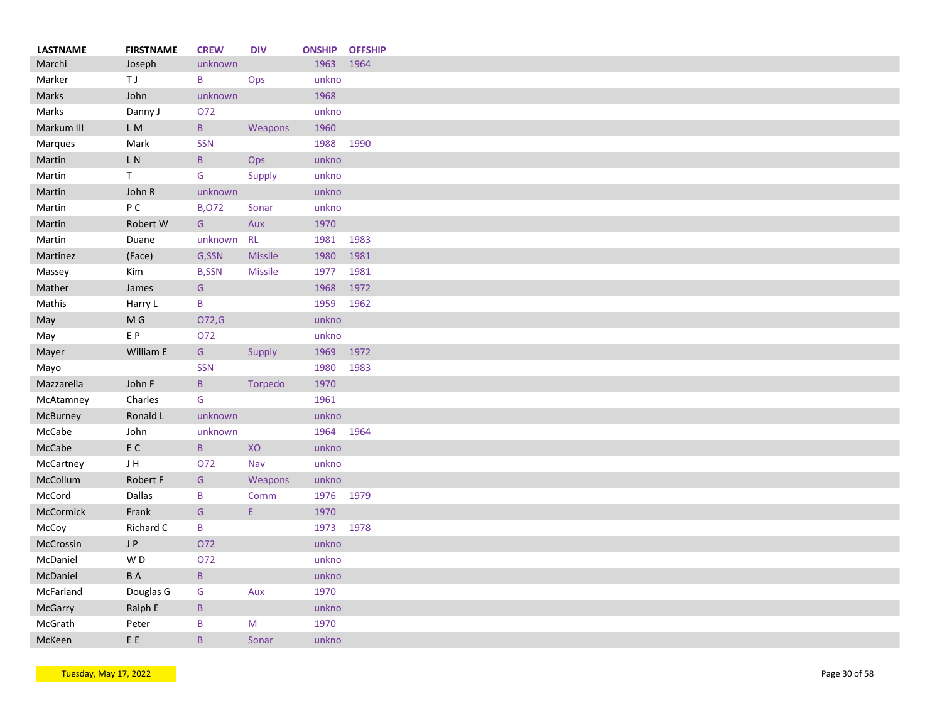| LASTNAME   | <b>FIRSTNAME</b>          | <b>CREW</b>     | <b>DIV</b>     | <b>ONSHIP</b> | <b>OFFSHIP</b> |
|------------|---------------------------|-----------------|----------------|---------------|----------------|
| Marchi     | Joseph                    | unknown         |                | 1963          | 1964           |
| Marker     | ΤJ                        | B               | Ops            | unkno         |                |
| Marks      | John                      | unknown         |                | 1968          |                |
| Marks      | Danny J                   | 072             |                | unkno         |                |
| Markum III | L M                       | $\mathsf{B}$    | Weapons        | 1960          |                |
| Marques    | Mark                      | SSN             |                | 1988          | 1990           |
| Martin     | $\mathsf{L}\ \mathsf{N}$  | $\mathsf B$     | Ops            | unkno         |                |
| Martin     | T.                        | G               | Supply         | unkno         |                |
| Martin     | John R                    | unknown         |                | unkno         |                |
| Martin     | P C                       | <b>B,072</b>    | Sonar          | unkno         |                |
| Martin     | Robert W                  | G               | Aux            | 1970          |                |
| Martin     | Duane                     | unknown         | <b>RL</b>      | 1981 1983     |                |
| Martinez   | (Face)                    | G,SSN           | <b>Missile</b> | 1980          | 1981           |
| Massey     | Kim                       | <b>B,SSN</b>    | Missile        | 1977          | 1981           |
| Mather     | James                     | ${\mathsf G}$   |                | 1968          | 1972           |
| Mathis     | Harry L                   | B               |                | 1959          | 1962           |
| May        | M G                       | O72,G           |                | unkno         |                |
| May        | E P                       | O72             |                | unkno         |                |
| Mayer      | William E                 | G               | Supply         | 1969          | 1972           |
| Mayo       |                           | <b>SSN</b>      |                | 1980          | 1983           |
| Mazzarella | John F                    | $\mathsf{B}$    | Torpedo        | 1970          |                |
| McAtamney  | Charles                   | G               |                | 1961          |                |
|            |                           |                 |                | unkno         |                |
| McBurney   | Ronald L                  | unknown         |                |               | 1964           |
| McCabe     | John                      | unknown         |                | 1964          |                |
| McCabe     | $\mathsf{E} \ \mathsf{C}$ | $\, {\bf B} \,$ | XO             | unkno         |                |
| McCartney  | JH                        | 072             | Nav            | unkno         |                |
| McCollum   | Robert F                  | G               | Weapons        | unkno         |                |
| McCord     | Dallas                    | B               | Comm           | 1976 1979     |                |
| McCormick  | Frank                     | ${\mathsf G}$   | E.             | 1970          |                |
| McCoy      | Richard C                 | B               |                | 1973          | 1978           |
| McCrossin  | J P                       | O72             |                | unkno         |                |
| McDaniel   | WD                        | O72             |                | unkno         |                |
| McDaniel   | <b>BA</b>                 | $\sf B$         |                | unkno         |                |
| McFarland  | Douglas G                 | ${\mathsf G}$   | Aux            | 1970          |                |
| McGarry    | Ralph E                   | $\mathsf B$     |                | unkno         |                |
| McGrath    | Peter                     | B               | M              | 1970          |                |
| McKeen     | E E                       | B               | Sonar          | unkno         |                |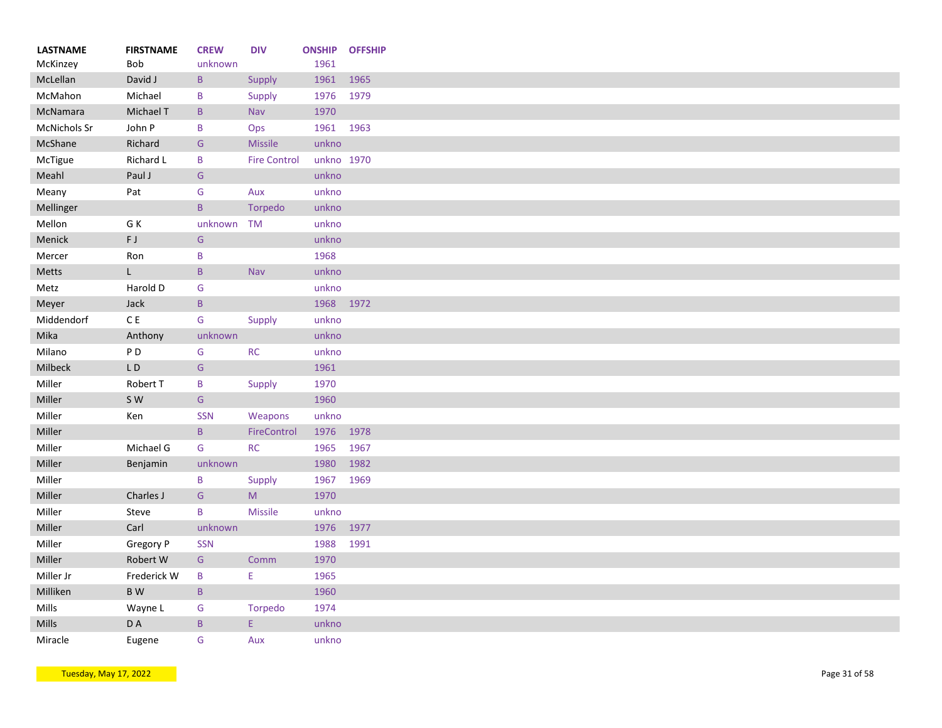| <b>LASTNAME</b> | <b>FIRSTNAME</b>         | <b>CREW</b>     | <b>DIV</b>          | <b>ONSHIP</b> | <b>OFFSHIP</b> |
|-----------------|--------------------------|-----------------|---------------------|---------------|----------------|
| McKinzey        | <b>Bob</b>               | unknown         |                     | 1961          |                |
| McLellan        | David J                  | $\, {\bf B} \,$ | Supply              | 1961          | 1965           |
| McMahon         | Michael                  | B               | Supply              | 1976          | 1979           |
| McNamara        | Michael T                | $\mathsf B$     | Nav                 | 1970          |                |
| McNichols Sr    | John P                   | B               | Ops                 | 1961          | 1963           |
| McShane         | Richard                  | G               | <b>Missile</b>      | unkno         |                |
| McTigue         | Richard L                | $\, {\bf B}$    | <b>Fire Control</b> | unkno 1970    |                |
| Meahl           | Paul J                   | ${\mathsf G}$   |                     | unkno         |                |
| Meany           | Pat                      | G               | Aux                 | unkno         |                |
| Mellinger       |                          | $\mathsf{B}$    | Torpedo             | unkno         |                |
| Mellon          | G K                      | unknown         | <b>TM</b>           | unkno         |                |
| Menick          | F J                      | G               |                     | unkno         |                |
| Mercer          | Ron                      | B               |                     | 1968          |                |
| <b>Metts</b>    | $\mathsf{L}$             | $\mathsf B$     | Nav                 | unkno         |                |
| Metz            | Harold D                 | G               |                     | unkno         |                |
| Meyer           | Jack                     | $\mathsf{B}$    |                     | 1968 1972     |                |
| Middendorf      | C E                      | G               | Supply              | unkno         |                |
| Mika            | Anthony                  | unknown         |                     | unkno         |                |
| Milano          | P <sub>D</sub>           | G               | <b>RC</b>           | unkno         |                |
| <b>Milbeck</b>  | $\mathsf{L}\:\mathsf{D}$ | ${\mathsf G}$   |                     | 1961          |                |
| Miller          | Robert T                 | B               | Supply              | 1970          |                |
| Miller          | S W                      | G               |                     | 1960          |                |
| Miller          | Ken                      | SSN             | Weapons             | unkno         |                |
| Miller          |                          | $\, {\bf B} \,$ | FireControl         | 1976          | 1978           |
| Miller          | Michael G                | G               | <b>RC</b>           | 1965          | 1967           |
| Miller          | Benjamin                 | unknown         |                     | 1980          | 1982           |
| Miller          |                          | B               | Supply              | 1967          | 1969           |
| Miller          | Charles J                | G               | M                   | 1970          |                |
| Miller          | Steve                    | B               | <b>Missile</b>      | unkno         |                |
| Miller          | Carl                     | unknown         |                     | 1976          | 1977           |
| Miller          | Gregory P                | <b>SSN</b>      |                     | 1988          | 1991           |
| Miller          | Robert W                 | G               | Comm                | 1970          |                |
| Miller Jr       | Frederick W              | B               | E                   | 1965          |                |
| Milliken        | <b>BW</b>                | $\, {\bf B} \,$ |                     | 1960          |                |
| Mills           | Wayne L                  | G               | Torpedo             | 1974          |                |
| <b>Mills</b>    | D A                      | $\sf{B}$        | E.                  | unkno         |                |
| Miracle         | Eugene                   | G               | Aux                 | unkno         |                |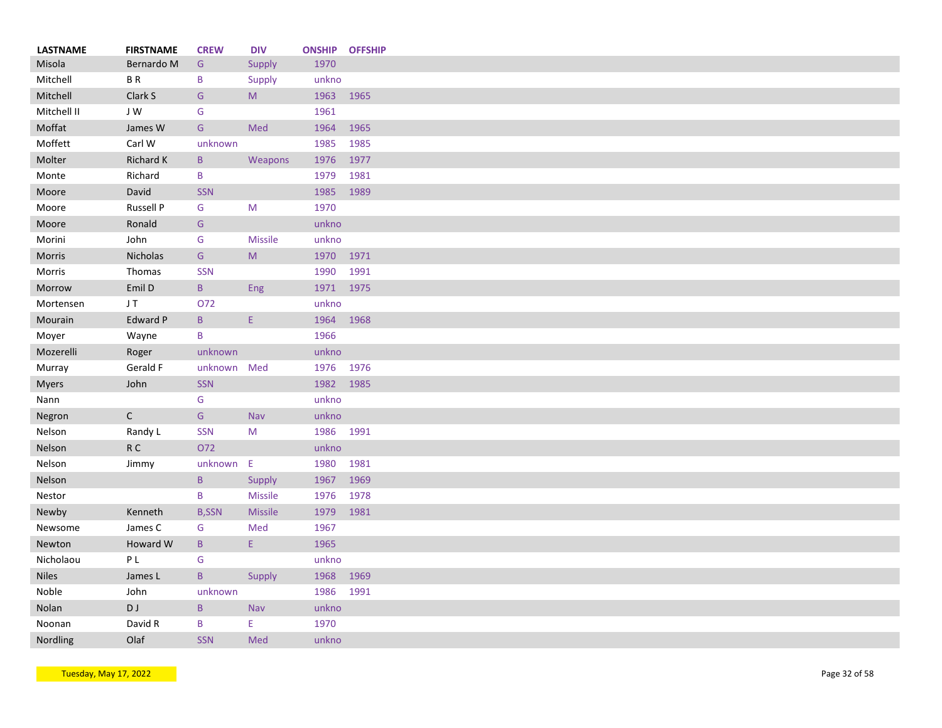| <b>LASTNAME</b> | <b>FIRSTNAME</b> | <b>CREW</b>  | <b>DIV</b>     | <b>ONSHIP</b> | <b>OFFSHIP</b> |
|-----------------|------------------|--------------|----------------|---------------|----------------|
| Misola          | Bernardo M       | G            | Supply         | 1970          |                |
| Mitchell        | <b>BR</b>        | B            | Supply         | unkno         |                |
| Mitchell        | Clark S          | G            | M              | 1963          | 1965           |
| Mitchell II     | JW               | G            |                | 1961          |                |
| Moffat          | James W          | G            | Med            | 1964          | 1965           |
| Moffett         | Carl W           | unknown      |                | 1985          | 1985           |
| Molter          | Richard K        | $\mathsf{B}$ | Weapons        | 1976          | 1977           |
| Monte           | Richard          | B            |                | 1979          | 1981           |
| Moore           | David            | <b>SSN</b>   |                | 1985          | 1989           |
| Moore           | Russell P        | G            | M              | 1970          |                |
| Moore           | Ronald           | G            |                | unkno         |                |
| Morini          | John             | G            | Missile        | unkno         |                |
| Morris          | Nicholas         | G            | M              | 1970          | 1971           |
| Morris          | Thomas           | <b>SSN</b>   |                | 1990          | 1991           |
| Morrow          | Emil D           | B            | Eng            | 1971 1975     |                |
| Mortensen       | JT.              | 072          |                | unkno         |                |
|                 | Edward P         | B            | E.             | 1964          | 1968           |
| Mourain         |                  |              |                |               |                |
| Moyer           | Wayne            | B            |                | 1966          |                |
| Mozerelli       | Roger            | unknown      |                | unkno         |                |
| Murray          | Gerald F         | unknown      | Med            | 1976 1976     |                |
| <b>Myers</b>    | John             | <b>SSN</b>   |                | 1982          | 1985           |
| Nann            |                  | G            |                | unkno         |                |
| Negron          | $\mathsf{C}$     | G            | Nav            | unkno         |                |
| Nelson          | Randy L          | <b>SSN</b>   | M              | 1986 1991     |                |
| Nelson          | ${\sf R}$ C      | O72          |                | unkno         |                |
| Nelson          | Jimmy            | unknown E    |                | 1980          | 1981           |
| Nelson          |                  | $\, {\bf B}$ | Supply         | 1967          | 1969           |
| Nestor          |                  | B            | <b>Missile</b> | 1976          | 1978           |
| Newby           | Kenneth          | <b>B,SSN</b> | Missile        | 1979          | 1981           |
| Newsome         | James C          | G            | Med            | 1967          |                |
| Newton          | Howard W         | B            | Ε.             | 1965          |                |
| Nicholaou       | P L              | G            |                | unkno         |                |
| <b>Niles</b>    | James L          | B            | Supply         | 1968          | 1969           |
| Noble           | John             | unknown      |                | 1986          | 1991           |
| Nolan           | D J              | B            | Nav            | unkno         |                |
| Noonan          | David R          | B            | E.             | 1970          |                |
| Nordling        | Olaf             | <b>SSN</b>   | Med            | unkno         |                |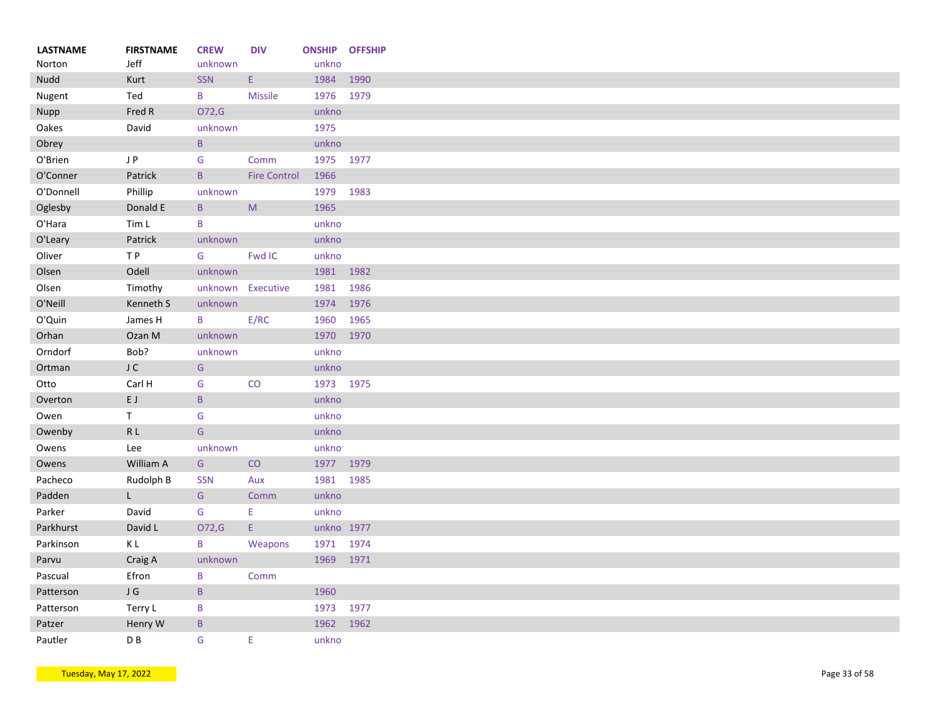| <b>FIRSTNAME</b> | <b>CREW</b>                                                                                                                                                                                                                        | <b>DIV</b>                                                                                                                                                                                        | <b>ONSHIP OFFSHIP</b>                                                                                                                                                                                                    |                                                                                                                                                                                                                  |
|------------------|------------------------------------------------------------------------------------------------------------------------------------------------------------------------------------------------------------------------------------|---------------------------------------------------------------------------------------------------------------------------------------------------------------------------------------------------|--------------------------------------------------------------------------------------------------------------------------------------------------------------------------------------------------------------------------|------------------------------------------------------------------------------------------------------------------------------------------------------------------------------------------------------------------|
|                  |                                                                                                                                                                                                                                    |                                                                                                                                                                                                   |                                                                                                                                                                                                                          | 1990                                                                                                                                                                                                             |
|                  |                                                                                                                                                                                                                                    |                                                                                                                                                                                                   |                                                                                                                                                                                                                          |                                                                                                                                                                                                                  |
|                  |                                                                                                                                                                                                                                    |                                                                                                                                                                                                   |                                                                                                                                                                                                                          |                                                                                                                                                                                                                  |
|                  |                                                                                                                                                                                                                                    |                                                                                                                                                                                                   |                                                                                                                                                                                                                          |                                                                                                                                                                                                                  |
|                  |                                                                                                                                                                                                                                    |                                                                                                                                                                                                   |                                                                                                                                                                                                                          |                                                                                                                                                                                                                  |
|                  |                                                                                                                                                                                                                                    |                                                                                                                                                                                                   |                                                                                                                                                                                                                          |                                                                                                                                                                                                                  |
|                  |                                                                                                                                                                                                                                    |                                                                                                                                                                                                   |                                                                                                                                                                                                                          |                                                                                                                                                                                                                  |
|                  |                                                                                                                                                                                                                                    |                                                                                                                                                                                                   |                                                                                                                                                                                                                          |                                                                                                                                                                                                                  |
|                  |                                                                                                                                                                                                                                    |                                                                                                                                                                                                   |                                                                                                                                                                                                                          | 1983                                                                                                                                                                                                             |
|                  | $\, {\bf B} \,$                                                                                                                                                                                                                    |                                                                                                                                                                                                   | 1965                                                                                                                                                                                                                     |                                                                                                                                                                                                                  |
| Tim L            | B                                                                                                                                                                                                                                  |                                                                                                                                                                                                   | unkno                                                                                                                                                                                                                    |                                                                                                                                                                                                                  |
| Patrick          | unknown                                                                                                                                                                                                                            |                                                                                                                                                                                                   | unkno                                                                                                                                                                                                                    |                                                                                                                                                                                                                  |
| TP               | G                                                                                                                                                                                                                                  | Fwd IC                                                                                                                                                                                            | unkno                                                                                                                                                                                                                    |                                                                                                                                                                                                                  |
| Odell            | unknown                                                                                                                                                                                                                            |                                                                                                                                                                                                   | 1981 1982                                                                                                                                                                                                                |                                                                                                                                                                                                                  |
| Timothy          |                                                                                                                                                                                                                                    |                                                                                                                                                                                                   | 1981                                                                                                                                                                                                                     | 1986                                                                                                                                                                                                             |
| Kenneth S        | unknown                                                                                                                                                                                                                            |                                                                                                                                                                                                   | 1974                                                                                                                                                                                                                     | 1976                                                                                                                                                                                                             |
| James H          | B                                                                                                                                                                                                                                  | E/RC                                                                                                                                                                                              | 1960                                                                                                                                                                                                                     | 1965                                                                                                                                                                                                             |
| Ozan M           | unknown                                                                                                                                                                                                                            |                                                                                                                                                                                                   | 1970 1970                                                                                                                                                                                                                |                                                                                                                                                                                                                  |
|                  | unknown                                                                                                                                                                                                                            |                                                                                                                                                                                                   |                                                                                                                                                                                                                          |                                                                                                                                                                                                                  |
|                  |                                                                                                                                                                                                                                    |                                                                                                                                                                                                   |                                                                                                                                                                                                                          |                                                                                                                                                                                                                  |
|                  |                                                                                                                                                                                                                                    |                                                                                                                                                                                                   |                                                                                                                                                                                                                          |                                                                                                                                                                                                                  |
|                  |                                                                                                                                                                                                                                    |                                                                                                                                                                                                   |                                                                                                                                                                                                                          |                                                                                                                                                                                                                  |
|                  |                                                                                                                                                                                                                                    |                                                                                                                                                                                                   |                                                                                                                                                                                                                          |                                                                                                                                                                                                                  |
|                  |                                                                                                                                                                                                                                    |                                                                                                                                                                                                   |                                                                                                                                                                                                                          |                                                                                                                                                                                                                  |
|                  |                                                                                                                                                                                                                                    |                                                                                                                                                                                                   |                                                                                                                                                                                                                          |                                                                                                                                                                                                                  |
|                  |                                                                                                                                                                                                                                    |                                                                                                                                                                                                   |                                                                                                                                                                                                                          |                                                                                                                                                                                                                  |
|                  |                                                                                                                                                                                                                                    |                                                                                                                                                                                                   |                                                                                                                                                                                                                          |                                                                                                                                                                                                                  |
|                  |                                                                                                                                                                                                                                    |                                                                                                                                                                                                   |                                                                                                                                                                                                                          |                                                                                                                                                                                                                  |
| L.               | G                                                                                                                                                                                                                                  | Comm                                                                                                                                                                                              |                                                                                                                                                                                                                          |                                                                                                                                                                                                                  |
| David            | ${\mathsf G}$                                                                                                                                                                                                                      | Ε                                                                                                                                                                                                 | unkno                                                                                                                                                                                                                    |                                                                                                                                                                                                                  |
| David L          | O72,G                                                                                                                                                                                                                              | E.                                                                                                                                                                                                | unkno 1977                                                                                                                                                                                                               |                                                                                                                                                                                                                  |
| ΚL               | B                                                                                                                                                                                                                                  | Weapons                                                                                                                                                                                           | 1971 1974                                                                                                                                                                                                                |                                                                                                                                                                                                                  |
| Craig A          | unknown                                                                                                                                                                                                                            |                                                                                                                                                                                                   | 1969 1971                                                                                                                                                                                                                |                                                                                                                                                                                                                  |
| Efron            | B                                                                                                                                                                                                                                  | Comm                                                                                                                                                                                              |                                                                                                                                                                                                                          |                                                                                                                                                                                                                  |
|                  |                                                                                                                                                                                                                                    |                                                                                                                                                                                                   | 1960                                                                                                                                                                                                                     |                                                                                                                                                                                                                  |
|                  |                                                                                                                                                                                                                                    |                                                                                                                                                                                                   |                                                                                                                                                                                                                          | 1977                                                                                                                                                                                                             |
|                  |                                                                                                                                                                                                                                    |                                                                                                                                                                                                   |                                                                                                                                                                                                                          | 1962                                                                                                                                                                                                             |
|                  |                                                                                                                                                                                                                                    |                                                                                                                                                                                                   |                                                                                                                                                                                                                          |                                                                                                                                                                                                                  |
|                  | Jeff<br>Kurt<br>Ted<br>Fred R<br>David<br>J P<br>Patrick<br>Phillip<br>Donald E<br>Bob?<br>J C<br>Carl H<br>E J<br>T.<br>R L<br>Lee<br>William A<br>Rudolph B<br>$\sf J$ $\sf G$<br>Terry L<br>Henry W<br>$\mathsf{D}\,\mathsf{B}$ | unknown<br>SSN<br>B<br>O72,G<br>unknown<br>$\mathsf{B}$<br>G<br>$\mathsf{B}$<br>unknown<br>G<br>G<br>$\, {\bf B} \,$<br>G<br>G<br>unknown<br>G<br><b>SSN</b><br>$\sf{B}$<br>B<br>$\mathsf B$<br>G | $\mathsf{E}$<br><b>Missile</b><br>Comm<br><b>Fire Control</b><br>$\mathsf{M}% _{T}=\mathsf{M}_{T}\!\left( a,b\right) ,\ \mathsf{M}_{T}=\mathsf{M}_{T}\!\left( a,b\right) ,$<br>unknown Executive<br>CO<br>CO<br>Aux<br>Ε | unkno<br>1984<br>1976 1979<br>unkno<br>1975<br>unkno<br>1975 1977<br>1966<br>1979<br>unkno<br>unkno<br>1973 1975<br>unkno<br>unkno<br>unkno<br>unkno<br>1977 1979<br>1981 1985<br>unkno<br>1973<br>1962<br>unkno |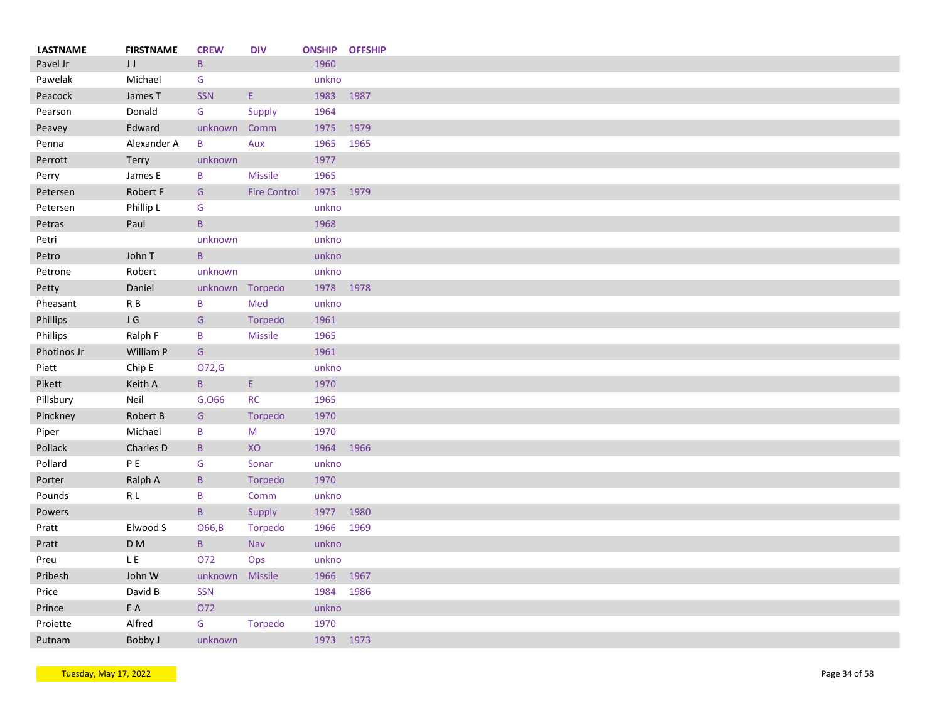| <b>LASTNAME</b> | <b>FIRSTNAME</b>   | <b>CREW</b>     | <b>DIV</b>          | <b>ONSHIP OFFSHIP</b> |      |
|-----------------|--------------------|-----------------|---------------------|-----------------------|------|
| Pavel Jr        | $\sf J$<br>$\sf J$ | $\mathsf{B}$    |                     | 1960                  |      |
| Pawelak         | Michael            | G               |                     | unkno                 |      |
| Peacock         | James T            | <b>SSN</b>      | Ε.                  | 1983                  | 1987 |
| Pearson         | Donald             | G               | Supply              | 1964                  |      |
| Peavey          | Edward             | unknown         | Comm                | 1975                  | 1979 |
| Penna           | Alexander A        | B               | Aux                 | 1965                  | 1965 |
| Perrott         | Terry              | unknown         |                     | 1977                  |      |
| Perry           | James E            | B               | <b>Missile</b>      | 1965                  |      |
| Petersen        | Robert F           | G               | <b>Fire Control</b> | 1975 1979             |      |
| Petersen        | Phillip L          | G               |                     | unkno                 |      |
|                 | Paul               | $\mathsf{B}$    |                     | 1968                  |      |
| Petras          |                    |                 |                     |                       |      |
| Petri           |                    | unknown         |                     | unkno                 |      |
| Petro           | John T             | B               |                     | unkno                 |      |
| Petrone         | Robert             | unknown         |                     | unkno                 |      |
| Petty           | Daniel             | unknown Torpedo |                     | 1978 1978             |      |
| Pheasant        | R B                | B               | Med                 | unkno                 |      |
| Phillips        | J G                | G               | Torpedo             | 1961                  |      |
| Phillips        | Ralph F            | B               | Missile             | 1965                  |      |
| Photinos Jr     | William P          | ${\mathsf G}$   |                     | 1961                  |      |
| Piatt           | Chip E             | O72,G           |                     | unkno                 |      |
| Pikett          | Keith A            | B               | Ε.                  | 1970                  |      |
| Pillsbury       | Neil               | G,066           | <b>RC</b>           | 1965                  |      |
| Pinckney        | Robert B           | G               | Torpedo             | 1970                  |      |
| Piper           | Michael            | B               | M                   | 1970                  |      |
| Pollack         | Charles D          | B               | XO                  | 1964                  | 1966 |
| Pollard         | PE                 | G               | Sonar               | unkno                 |      |
| Porter          | Ralph A            | B               | Torpedo             | 1970                  |      |
| Pounds          | R L                | B               | Comm                | unkno                 |      |
|                 |                    |                 |                     |                       |      |
| Powers          |                    | $\mathsf B$     | Supply              | 1977                  | 1980 |
| Pratt           | Elwood S           | O66, B          | Torpedo             | 1966                  | 1969 |
| Pratt           | D <sub>M</sub>     | $\sf{B}$        | <b>Nav</b>          | unkno                 |      |
| Preu            | LE.                | 072             | Ops                 | unkno                 |      |
| Pribesh         | John W             | unknown         | Missile             | 1966                  | 1967 |
| Price           | David B            | SSN             |                     | 1984                  | 1986 |
| Prince          | E A                | O72             |                     | unkno                 |      |
| Proiette        | Alfred             | G               | Torpedo             | 1970                  |      |
| Putnam          | Bobby J            | unknown         |                     | 1973 1973             |      |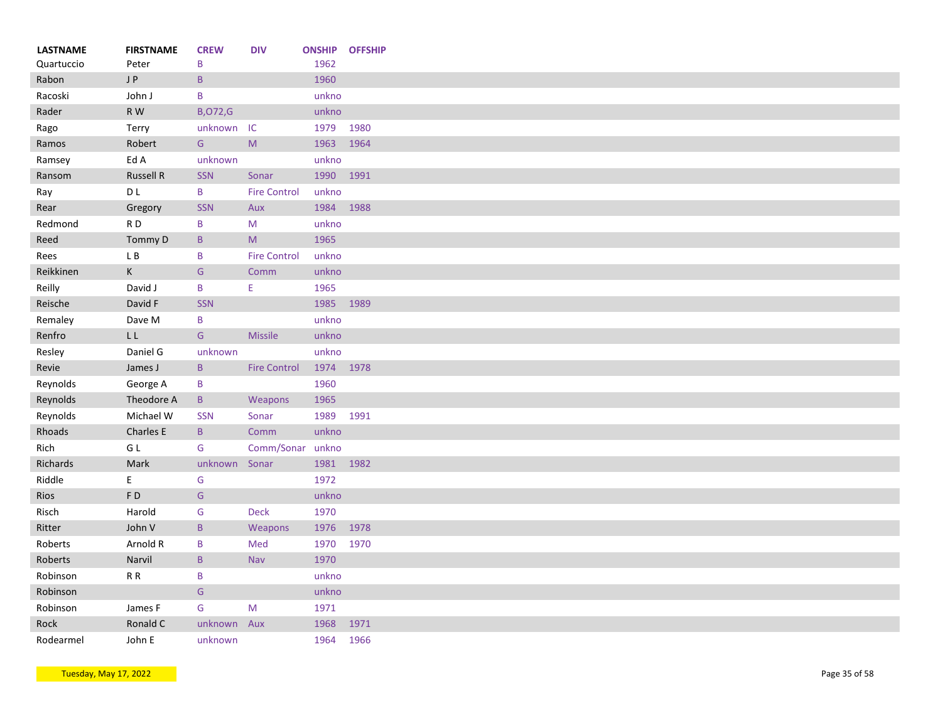| <b>LASTNAME</b><br>Quartuccio | <b>FIRSTNAME</b><br>Peter | <b>CREW</b><br>B | <b>DIV</b>          | <b>ONSHIP</b><br>1962 | <b>OFFSHIP</b> |
|-------------------------------|---------------------------|------------------|---------------------|-----------------------|----------------|
| Rabon                         | J P                       | B                |                     | 1960                  |                |
| Racoski                       | John J                    | B                |                     | unkno                 |                |
| Rader                         | R W                       | <b>B,072,G</b>   |                     | unkno                 |                |
|                               |                           |                  | IC                  | 1979                  | 1980           |
| Rago                          | Terry                     | unknown          |                     |                       |                |
| Ramos                         | Robert                    | G                | ${\sf M}$           | 1963                  | 1964           |
| Ramsey                        | Ed A                      | unknown          |                     | unkno                 |                |
| Ransom                        | <b>Russell R</b>          | SSN              | Sonar               | 1990                  | 1991           |
| Ray                           | D <sub>L</sub>            | B                | <b>Fire Control</b> | unkno                 |                |
| Rear                          | Gregory                   | <b>SSN</b>       | Aux                 | 1984                  | 1988           |
| Redmond                       | RD                        | B                | M                   | unkno                 |                |
| Reed                          | Tommy D                   | B                | M                   | 1965                  |                |
| Rees                          | L B                       | B                | <b>Fire Control</b> | unkno                 |                |
| Reikkinen                     | $\mathsf K$               | G                | Comm                | unkno                 |                |
| Reilly                        | David J                   | B                | E.                  | 1965                  |                |
| Reische                       | David F                   | SSN              |                     | 1985                  | 1989           |
| Remaley                       | Dave M                    | B                |                     | unkno                 |                |
| Renfro                        | $\mathsf{L}\,\mathsf{L}$  | G                | <b>Missile</b>      | unkno                 |                |
| Resley                        | Daniel G                  | unknown          |                     | unkno                 |                |
| Revie                         | James J                   | B                | <b>Fire Control</b> | 1974                  | 1978           |
| Reynolds                      | George A                  | B                |                     | 1960                  |                |
| Reynolds                      | Theodore A                | B                | Weapons             | 1965                  |                |
| Reynolds                      | Michael W                 | <b>SSN</b>       | Sonar               | 1989                  | 1991           |
| Rhoads                        | Charles E                 | B                | Comm                | unkno                 |                |
| Rich                          | G L                       | G                | Comm/Sonar unkno    |                       |                |
| Richards                      | Mark                      | unknown          | Sonar               | 1981                  | 1982           |
| Riddle                        | E                         | G                |                     | 1972                  |                |
| <b>Rios</b>                   | F <sub>D</sub>            | G                |                     | unkno                 |                |
| Risch                         | Harold                    | G                | <b>Deck</b>         | 1970                  |                |
| Ritter                        | John V                    | $\mathsf B$      | Weapons             | 1976                  | 1978           |
| Roberts                       | Arnold R                  | B                | Med                 | 1970                  | 1970           |
|                               | Narvil                    | B                | Nav                 | 1970                  |                |
| Roberts                       | R R                       | B                |                     |                       |                |
| Robinson                      |                           |                  |                     | unkno                 |                |
| Robinson                      |                           | G                |                     | unkno                 |                |
| Robinson                      | James F                   | G                | M                   | 1971                  |                |
| Rock                          | Ronald C                  | unknown          | Aux                 | 1968                  | 1971           |
| Rodearmel                     | John E                    | unknown          |                     | 1964                  | 1966           |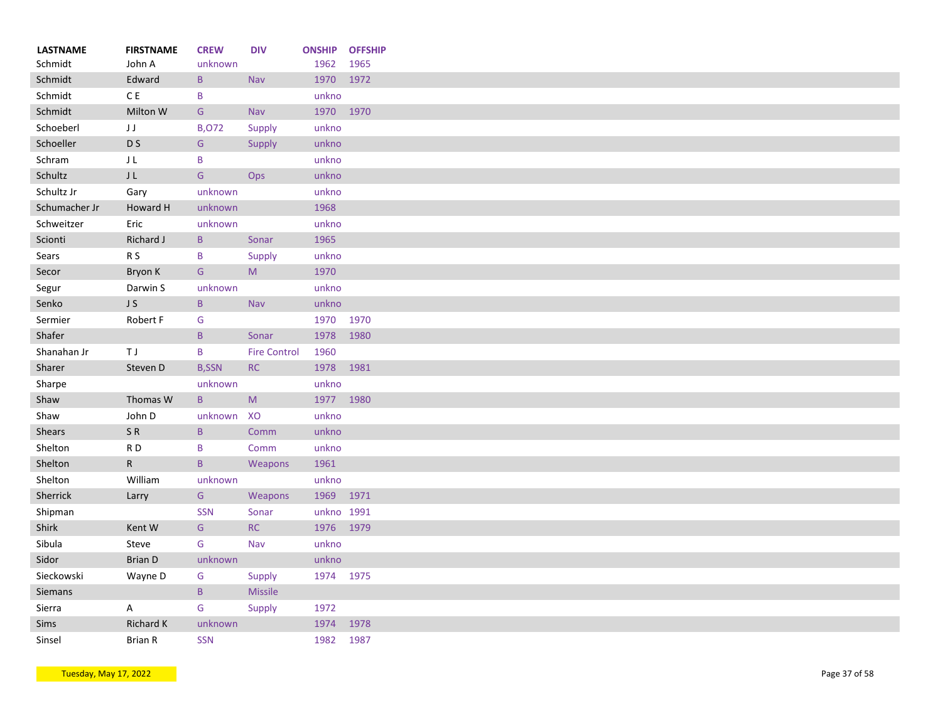| <b>LASTNAME</b> | <b>FIRSTNAME</b> | <b>CREW</b>     | <b>DIV</b>          | <b>ONSHIP</b> | <b>OFFSHIP</b> |
|-----------------|------------------|-----------------|---------------------|---------------|----------------|
| Schmidt         | John A           | unknown         |                     | 1962          | 1965           |
| Schmidt         | Edward           | $\, {\bf B} \,$ | Nav                 | 1970          | 1972           |
| Schmidt         | $\mathsf C$ E    | B               |                     | unkno         |                |
| Schmidt         | Milton W         | G               | Nav                 | 1970          | 1970           |
| Schoeberl       | JJ               | <b>B,072</b>    | Supply              | unkno         |                |
| Schoeller       | D <sub>S</sub>   | G               | Supply              | unkno         |                |
| Schram          | JL               | B               |                     | unkno         |                |
| Schultz         | J <sub>L</sub>   | ${\mathsf G}$   | Ops                 | unkno         |                |
| Schultz Jr      | Gary             | unknown         |                     | unkno         |                |
| Schumacher Jr   | Howard H         | unknown         |                     | 1968          |                |
| Schweitzer      | Eric             | unknown         |                     | unkno         |                |
| Scionti         | Richard J        | $\mathsf{B}$    | Sonar               | 1965          |                |
| Sears           | R <sub>S</sub>   | B               | Supply              | unkno         |                |
| Secor           | Bryon K          | G               | M                   | 1970          |                |
| Segur           | Darwin S         | unknown         |                     | unkno         |                |
| Senko           | J S              | $\mathsf{B}$    | Nav                 | unkno         |                |
| Sermier         | Robert F         | G               |                     | 1970          | 1970           |
| Shafer          |                  | $\, {\bf B} \,$ | Sonar               | 1978          | 1980           |
| Shanahan Jr     | ΤJ               | B               | <b>Fire Control</b> | 1960          |                |
| Sharer          | Steven D         | <b>B,SSN</b>    | RC                  | 1978          | 1981           |
| Sharpe          |                  | unknown         |                     | unkno         |                |
| Shaw            | Thomas W         | $\mathsf{B}$    | M                   | 1977          | 1980           |
| Shaw            | John D           | unknown         | XO                  | unkno         |                |
| <b>Shears</b>   | SR               | $\, {\bf B} \,$ | Comm                | unkno         |                |
| Shelton         | RD               | B               | Comm                | unkno         |                |
| Shelton         | $\mathsf{R}$     | $\mathsf{B}$    |                     | 1961          |                |
|                 |                  |                 | Weapons             |               |                |
| Shelton         | William          | unknown         |                     | unkno         |                |
| Sherrick        | Larry            | G               | Weapons             | 1969 1971     |                |
| Shipman         |                  | SSN             | Sonar               | unkno 1991    |                |
| Shirk           | Kent W           | G               | RC                  | 1976 1979     |                |
| Sibula          | Steve            | G               | Nav                 | unkno         |                |
| Sidor           | <b>Brian D</b>   | unknown         |                     | unkno         |                |
| Sieckowski      | Wayne D          | G               | Supply              | 1974 1975     |                |
| Siemans         |                  | $\, {\bf B} \,$ | <b>Missile</b>      |               |                |
| Sierra          | A                | G               | Supply              | 1972          |                |
| Sims            | <b>Richard K</b> | unknown         |                     | 1974          | 1978           |
| Sinsel          | <b>Brian R</b>   | SSN             |                     | 1982          | 1987           |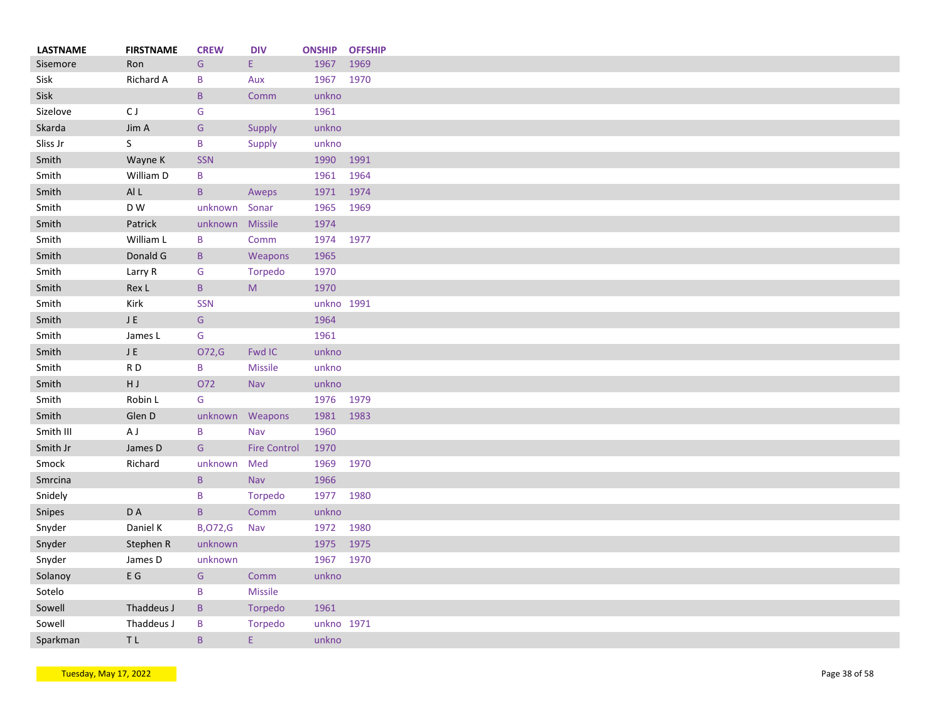| <b>LASTNAME</b> | <b>FIRSTNAME</b>    | <b>CREW</b>     | <b>DIV</b>          |              | <b>ONSHIP OFFSHIP</b> |
|-----------------|---------------------|-----------------|---------------------|--------------|-----------------------|
| Sisemore        | Ron                 | G               | E.                  | 1967         | 1969                  |
| Sisk            | Richard A           | B               | Aux                 | 1967 1970    |                       |
| Sisk            |                     | $\mathsf{B}$    | Comm                | unkno        |                       |
| Sizelove        | C J                 | G               |                     | 1961         |                       |
| Skarda          | Jim A               | G               | Supply              | unkno        |                       |
| Sliss Jr        | S                   | $\, {\bf B}$    | Supply              | unkno        |                       |
| Smith           | Wayne K             | <b>SSN</b>      |                     | 1990         | 1991                  |
| Smith           | William D           | B               |                     | 1961         | 1964                  |
| Smith           | Al L                | $\mathsf{B}$    | Aweps               | 1971         | 1974                  |
| Smith           | D W                 | unknown         | Sonar               | 1965         | 1969                  |
| Smith           | Patrick             | unknown Missile |                     | 1974         |                       |
| Smith           | William L           | B               | Comm                | 1974 1977    |                       |
| Smith           | Donald G            | $\, {\bf B} \,$ | Weapons             | 1965         |                       |
| Smith           | Larry R             | G               | Torpedo             | 1970         |                       |
| Smith           | Rex L               | $\, {\bf B} \,$ | M                   | 1970         |                       |
| Smith           | Kirk                | <b>SSN</b>      |                     | unkno 1991   |                       |
| Smith           | ${\sf J}$ ${\sf E}$ | G               |                     | 1964         |                       |
| Smith           | James L             | G               |                     | 1961         |                       |
| Smith           | ${\sf J}$ E         | O72,G           | Fwd IC              | unkno        |                       |
| Smith           | RD                  | B               | <b>Missile</b>      | unkno        |                       |
| Smith           | HJ.                 | O72             | <b>Nav</b>          | unkno        |                       |
| Smith           | Robin L             | G               |                     | 1976 1979    |                       |
| Smith           | Glen D              |                 | unknown Weapons     | 1981 1983    |                       |
| Smith III       | A J                 | B               | Nav                 | 1960         |                       |
| Smith Jr        | James D             | G               | <b>Fire Control</b> | 1970         |                       |
|                 | Richard             |                 | Med                 |              |                       |
| Smock           |                     | unknown         |                     | 1969<br>1966 | 1970                  |
| Smrcina         |                     | $\mathsf{B}$    | <b>Nav</b>          |              |                       |
| Snidely         |                     | B               | Torpedo             | 1977         | 1980                  |
| <b>Snipes</b>   | D A                 | $\mathsf{B}$    | Comm                | unkno        |                       |
| Snyder          | Daniel K            | <b>B,072,G</b>  | Nav                 | 1972         | 1980                  |
| Snyder          | Stephen R           | unknown         |                     | 1975         | 1975                  |
| Snyder          | James D             | unknown         |                     | 1967 1970    |                       |
| Solanoy         | $\mathsf E$ G       | ${\mathsf G}$   | Comm                | unkno        |                       |
| Sotelo          |                     | $\, {\bf B}$    | <b>Missile</b>      |              |                       |
| Sowell          | Thaddeus J          | $\mathsf B$     | Torpedo             | 1961         |                       |
| Sowell          | Thaddeus J          | B               | Torpedo             | unkno 1971   |                       |
| Sparkman        | $\mathsf T$ L       | $\mathsf{B}$    | E.                  | unkno        |                       |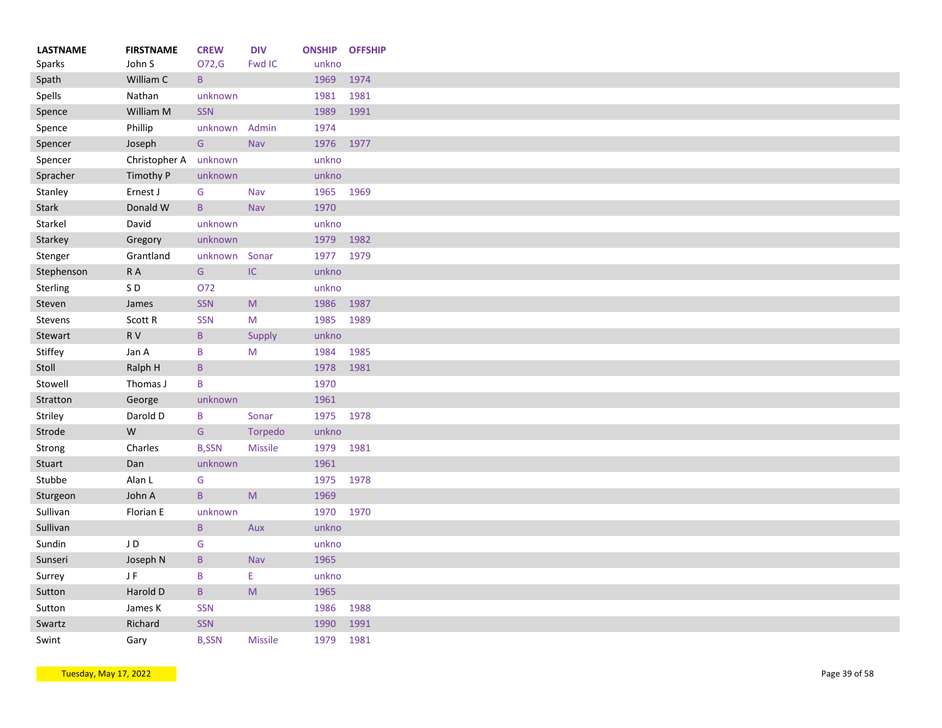| <b>LASTNAME</b> | <b>FIRSTNAME</b><br>John S | <b>CREW</b><br>O72,G | <b>DIV</b><br>Fwd IC                                                                                       | <b>ONSHIP OFFSHIP</b><br>unkno |      |
|-----------------|----------------------------|----------------------|------------------------------------------------------------------------------------------------------------|--------------------------------|------|
| Sparks          | William C                  | $\overline{B}$       |                                                                                                            | 1969                           |      |
| Spath           |                            |                      |                                                                                                            |                                | 1974 |
| Spells          | Nathan                     | unknown              |                                                                                                            | 1981                           | 1981 |
| Spence          | William M                  | SSN                  |                                                                                                            | 1989                           | 1991 |
| Spence          | Phillip                    | unknown              | Admin                                                                                                      | 1974                           |      |
| Spencer         | Joseph                     | G                    | Nav                                                                                                        | 1976                           | 1977 |
| Spencer         | Christopher A unknown      |                      |                                                                                                            | unkno                          |      |
| Spracher        | Timothy P                  | unknown              |                                                                                                            | unkno                          |      |
| Stanley         | Ernest J                   | G                    | Nav                                                                                                        | 1965                           | 1969 |
| <b>Stark</b>    | Donald W                   | $\mathsf{B}$         | Nav                                                                                                        | 1970                           |      |
| Starkel         | David                      | unknown              |                                                                                                            | unkno                          |      |
| Starkey         | Gregory                    | unknown              |                                                                                                            | 1979                           | 1982 |
| Stenger         | Grantland                  | unknown              | Sonar                                                                                                      | 1977 1979                      |      |
| Stephenson      | $\mathsf R$ A              | G                    | $\sf IC$                                                                                                   | unkno                          |      |
| Sterling        | SD                         | 072                  |                                                                                                            | unkno                          |      |
| Steven          | James                      | <b>SSN</b>           | ${\sf M}$                                                                                                  | 1986                           | 1987 |
| Stevens         | Scott R                    | <b>SSN</b>           | M                                                                                                          | 1985                           | 1989 |
| Stewart         | R V                        | $\sf{B}$             | Supply                                                                                                     | unkno                          |      |
| Stiffey         | Jan A                      | B                    | M                                                                                                          | 1984                           | 1985 |
| Stoll           | Ralph H                    | $\mathsf B$          |                                                                                                            | 1978                           | 1981 |
| Stowell         | Thomas J                   | $\sf B$              |                                                                                                            | 1970                           |      |
| Stratton        | George                     | unknown              |                                                                                                            | 1961                           |      |
| Striley         | Darold D                   | B                    | Sonar                                                                                                      | 1975 1978                      |      |
| Strode          | W                          | G                    | Torpedo                                                                                                    | unkno                          |      |
| Strong          | Charles                    | <b>B,SSN</b>         | <b>Missile</b>                                                                                             | 1979                           | 1981 |
| Stuart          | Dan                        | unknown              |                                                                                                            | 1961                           |      |
|                 |                            |                      |                                                                                                            |                                |      |
| Stubbe          | Alan L                     | G                    |                                                                                                            | 1975                           | 1978 |
| Sturgeon        | John A                     | $\, {\bf B} \,$      | $\mathsf{M}% _{T}=\mathsf{M}_{T}\!\left( a,b\right) ,\ \mathsf{M}_{T}=\mathsf{M}_{T}\!\left( a,b\right) ,$ | 1969                           |      |
| Sullivan        | Florian E                  | unknown              |                                                                                                            | 1970                           | 1970 |
| Sullivan        |                            | $\mathsf B$          | Aux                                                                                                        | unkno                          |      |
| Sundin          | JD                         | G                    |                                                                                                            | unkno                          |      |
| Sunseri         | Joseph N                   | $\mathsf B$          | Nav                                                                                                        | 1965                           |      |
| Surrey          | JF                         | B                    | E                                                                                                          | unkno                          |      |
| Sutton          | Harold D                   | $\sf{B}$             | ${\sf M}$                                                                                                  | 1965                           |      |
| Sutton          | James K                    | <b>SSN</b>           |                                                                                                            | 1986                           | 1988 |
| Swartz          | Richard                    | SSN                  |                                                                                                            | 1990                           | 1991 |
| Swint           | Gary                       | <b>B,SSN</b>         | <b>Missile</b>                                                                                             | 1979                           | 1981 |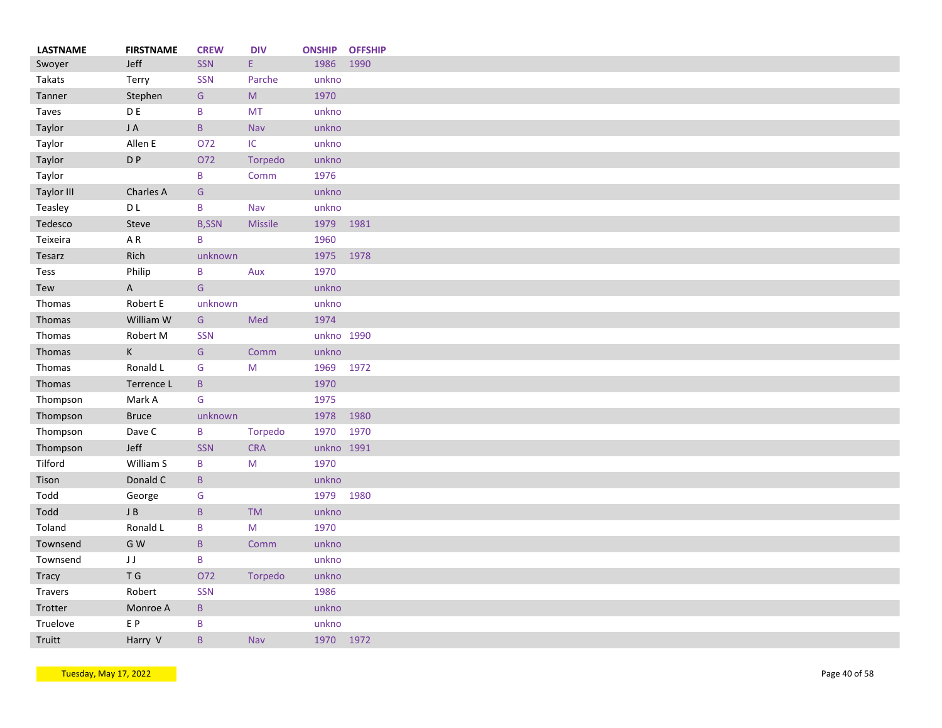| <b>LASTNAME</b> | <b>FIRSTNAME</b> | <b>CREW</b>   | <b>DIV</b>     | <b>ONSHIP</b> | <b>OFFSHIP</b> |
|-----------------|------------------|---------------|----------------|---------------|----------------|
| Swoyer          | Jeff             | SSN           | E.             | 1986          | 1990           |
| Takats          | Terry            | <b>SSN</b>    | Parche         | unkno         |                |
| Tanner          | Stephen          | ${\mathsf G}$ | ${\sf M}$      | 1970          |                |
| Taves           | D E              | B             | <b>MT</b>      | unkno         |                |
| Taylor          | JA               | $\mathsf{B}$  | Nav            | unkno         |                |
| Taylor          | Allen E          | O72           | IC.            | unkno         |                |
| Taylor          | D P              | O72           | Torpedo        | unkno         |                |
| Taylor          |                  | B             | Comm           | 1976          |                |
| Taylor III      | Charles A        | ${\mathsf G}$ |                | unkno         |                |
| Teasley         | D L              | B             | Nav            | unkno         |                |
| Tedesco         | Steve            | <b>B,SSN</b>  | <b>Missile</b> | 1979          |                |
| Teixeira        | A R              | B             |                | 1960          |                |
| Tesarz          | Rich             | unknown       |                | 1975 1978     |                |
|                 | Philip           | B             | Aux            | 1970          |                |
| Tess            |                  |               |                |               |                |
| Tew             | $\mathsf A$      | ${\mathsf G}$ |                | unkno         |                |
| Thomas          | Robert E         | unknown       |                | unkno         |                |
| Thomas          | William W        | G             | Med            | 1974          |                |
| Thomas          | Robert M         | <b>SSN</b>    |                | unkno 1990    |                |
| Thomas          | K                | G             | Comm           | unkno         |                |
| Thomas          | Ronald L         | G             | M              | 1969          | 1972           |
| Thomas          | Terrence L       | $\sf{B}$      |                | 1970          |                |
| Thompson        | Mark A           | G             |                | 1975          |                |
| Thompson        | <b>Bruce</b>     | unknown       |                | 1978          |                |
| Thompson        | Dave C           | B             | Torpedo        | 1970          | 1970           |
| Thompson        | Jeff             | <b>SSN</b>    | <b>CRA</b>     | unkno 1991    |                |
| Tilford         | William S        | B             | M              | 1970          |                |
| Tison           | Donald C         | $\mathsf{B}$  |                | unkno         |                |
| Todd            | George           | G             |                | 1979          | 1980           |
| Todd            | $\sf J$ B        | $\mathsf B$   | <b>TM</b>      | unkno         |                |
| Toland          | Ronald L         | B             | M              | 1970          |                |
| Townsend        | G W              | B             | Comm           | unkno         |                |
| Townsend        | JJ               | B             |                | unkno         |                |
|                 | T G              | 072           | Torpedo        | unkno         |                |
| <b>Tracy</b>    | Robert           | SSN           |                | 1986          |                |
| Travers         |                  |               |                |               |                |
| Trotter         | Monroe A         | B             |                | unkno         |                |
| Truelove        | E P              | B             |                | unkno         |                |
| Truitt          | Harry V          | B             | Nav            | 1970 1972     |                |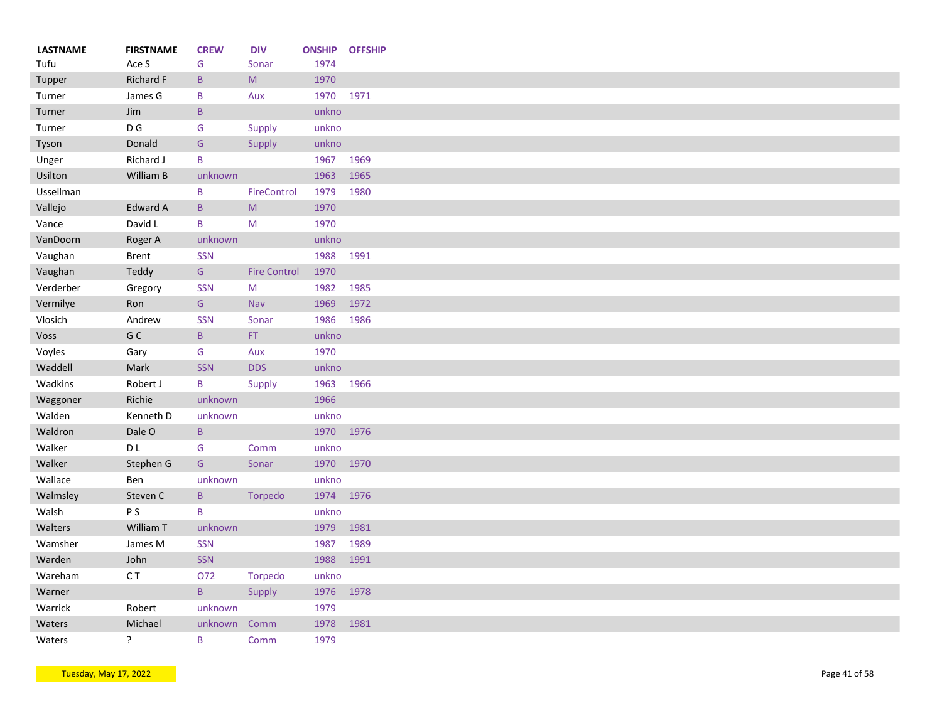| <b>LASTNAME</b> | <b>FIRSTNAME</b> | <b>CREW</b>  | <b>DIV</b>                                                                                                 | <b>ONSHIP</b> | <b>OFFSHIP</b> |
|-----------------|------------------|--------------|------------------------------------------------------------------------------------------------------------|---------------|----------------|
| Tufu            | Ace S            | G            | Sonar                                                                                                      | 1974          |                |
| Tupper          | Richard F        | $\sf{B}$     | $\mathsf{M}% _{T}=\mathsf{M}_{T}\!\left( a,b\right) ,\ \mathsf{M}_{T}=\mathsf{M}_{T}\!\left( a,b\right) ,$ | 1970          |                |
| Turner          | James G          | B            | Aux                                                                                                        | 1970          | 1971           |
| Turner          | Jim              | $\sf{B}$     |                                                                                                            | unkno         |                |
| Turner          | D G              | G            | Supply                                                                                                     | unkno         |                |
| Tyson           | Donald           | G            | Supply                                                                                                     | unkno         |                |
| Unger           | Richard J        | B            |                                                                                                            | 1967          | 1969           |
| Usilton         | William B        | unknown      |                                                                                                            | 1963          | 1965           |
| Ussellman       |                  | B            | FireControl                                                                                                | 1979          | 1980           |
| Vallejo         | Edward A         | B            | M                                                                                                          | 1970          |                |
| Vance           | David L          | B            | M                                                                                                          | 1970          |                |
| VanDoorn        | Roger A          | unknown      |                                                                                                            | unkno         |                |
| Vaughan         | <b>Brent</b>     | <b>SSN</b>   |                                                                                                            | 1988          | 1991           |
| Vaughan         | Teddy            | G            | <b>Fire Control</b>                                                                                        | 1970          |                |
| Verderber       | Gregory          | <b>SSN</b>   | M                                                                                                          | 1982          | 1985           |
| Vermilye        | Ron              | G            | Nav                                                                                                        | 1969          | 1972           |
| Vlosich         | Andrew           | <b>SSN</b>   | Sonar                                                                                                      | 1986          | 1986           |
| Voss            | G C              | $\sf{B}$     | FT.                                                                                                        | unkno         |                |
| Voyles          | Gary             | G            | Aux                                                                                                        | 1970          |                |
| Waddell         | Mark             | <b>SSN</b>   | <b>DDS</b>                                                                                                 | unkno         |                |
| Wadkins         | Robert J         | B            | Supply                                                                                                     | 1963          | 1966           |
| Waggoner        | Richie           | unknown      |                                                                                                            | 1966          |                |
| Walden          | Kenneth D        | unknown      |                                                                                                            | unkno         |                |
| Waldron         | Dale O           | $\sf{B}$     |                                                                                                            | 1970          | 1976           |
| Walker          | D L              | G            | Comm                                                                                                       | unkno         |                |
| Walker          | Stephen G        | G            | Sonar                                                                                                      | 1970 1970     |                |
| Wallace         | Ben              | unknown      |                                                                                                            | unkno         |                |
| Walmsley        | Steven C         | $\mathsf{B}$ | Torpedo                                                                                                    | 1974          | 1976           |
| Walsh           | P S              | B            |                                                                                                            | unkno         |                |
| Walters         | William T        | unknown      |                                                                                                            | 1979          | 1981           |
|                 |                  |              |                                                                                                            |               | 1989           |
| Wamsher         | James M          | <b>SSN</b>   |                                                                                                            | 1987          |                |
| Warden          | John             | SSN          |                                                                                                            | 1988          | 1991           |
| Wareham         | C T              | O72          | Torpedo                                                                                                    | unkno         |                |
| Warner          |                  | $\sf{B}$     | Supply                                                                                                     | 1976          | 1978           |
| Warrick         | Robert           | unknown      |                                                                                                            | 1979          |                |
| Waters          | Michael          | unknown      | Comm                                                                                                       | 1978          | 1981           |
| Waters          | ?                | B            | Comm                                                                                                       | 1979          |                |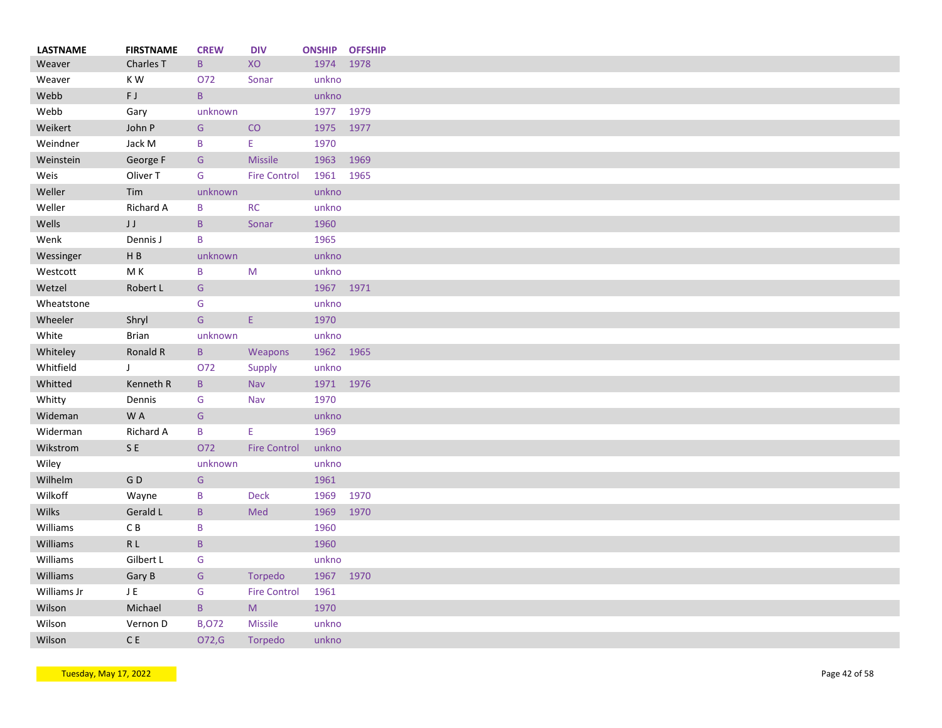| <b>LASTNAME</b> | <b>FIRSTNAME</b>   | <b>CREW</b>  | <b>DIV</b>          |           | <b>ONSHIP OFFSHIP</b> |
|-----------------|--------------------|--------------|---------------------|-----------|-----------------------|
| Weaver          | Charles T          | B            | XO                  | 1974      | 1978                  |
| Weaver          | KW                 | O72          | Sonar               | unkno     |                       |
| Webb            | FJ                 | $\, {\bf B}$ |                     | unkno     |                       |
| Webb            | Gary               | unknown      |                     | 1977 1979 |                       |
| Weikert         | John P             | G            | CO                  | 1975      | 1977                  |
| Weindner        | Jack M             | B            | Ε.                  | 1970      |                       |
| Weinstein       | George F           | G            | <b>Missile</b>      | 1963      | 1969                  |
| Weis            | Oliver T           | G            | <b>Fire Control</b> | 1961 1965 |                       |
| Weller          | Tim                | unknown      |                     | unkno     |                       |
| Weller          | Richard A          | B            | <b>RC</b>           | unkno     |                       |
| Wells           | $\sf J$<br>$\sf J$ | $\mathsf{B}$ | Sonar               | 1960      |                       |
| Wenk            | Dennis J           | B            |                     | 1965      |                       |
| Wessinger       | $\sf H$ B          | unknown      |                     | unkno     |                       |
| Westcott        | M K                | B            | M                   | unkno     |                       |
| Wetzel          | Robert L           | G            |                     | 1967 1971 |                       |
| Wheatstone      |                    | G            |                     | unkno     |                       |
| Wheeler         | Shryl              | G            | E                   | 1970      |                       |
| White           | <b>Brian</b>       |              |                     | unkno     |                       |
|                 |                    | unknown      |                     |           |                       |
| Whiteley        | Ronald R           | $\sf{B}$     | Weapons             | 1962 1965 |                       |
| Whitfield       | J                  | O72          | Supply              | unkno     |                       |
| Whitted         | Kenneth R          | B            | <b>Nav</b>          | 1971 1976 |                       |
| Whitty          | Dennis             | G            | Nav                 | 1970      |                       |
| Wideman         | W A                | G            |                     | unkno     |                       |
| Widerman        | Richard A          | B            | E.                  | 1969      |                       |
| Wikstrom        | SE                 | 072          | <b>Fire Control</b> | unkno     |                       |
| Wiley           |                    | unknown      |                     | unkno     |                       |
| Wilhelm         | ${\mathsf G}$ D    | G            |                     | 1961      |                       |
| Wilkoff         | Wayne              | B            | <b>Deck</b>         | 1969      | 1970                  |
| Wilks           | Gerald L           | $\, {\sf B}$ | Med                 | 1969      | 1970                  |
| Williams        | $\mathsf C$ B      | B            |                     | 1960      |                       |
| Williams        | R <sub>L</sub>     | B            |                     | 1960      |                       |
| Williams        | Gilbert L          | G            |                     | unkno     |                       |
| Williams        | Gary B             | G            | Torpedo             | 1967 1970 |                       |
| Williams Jr     | J E                | G            | <b>Fire Control</b> | 1961      |                       |
| Wilson          | Michael            | $\, {\sf B}$ | M                   | 1970      |                       |
| Wilson          | Vernon D           | <b>B,072</b> | <b>Missile</b>      | unkno     |                       |
| Wilson          | $\mathsf C$ E      | 072,G        | Torpedo             | unkno     |                       |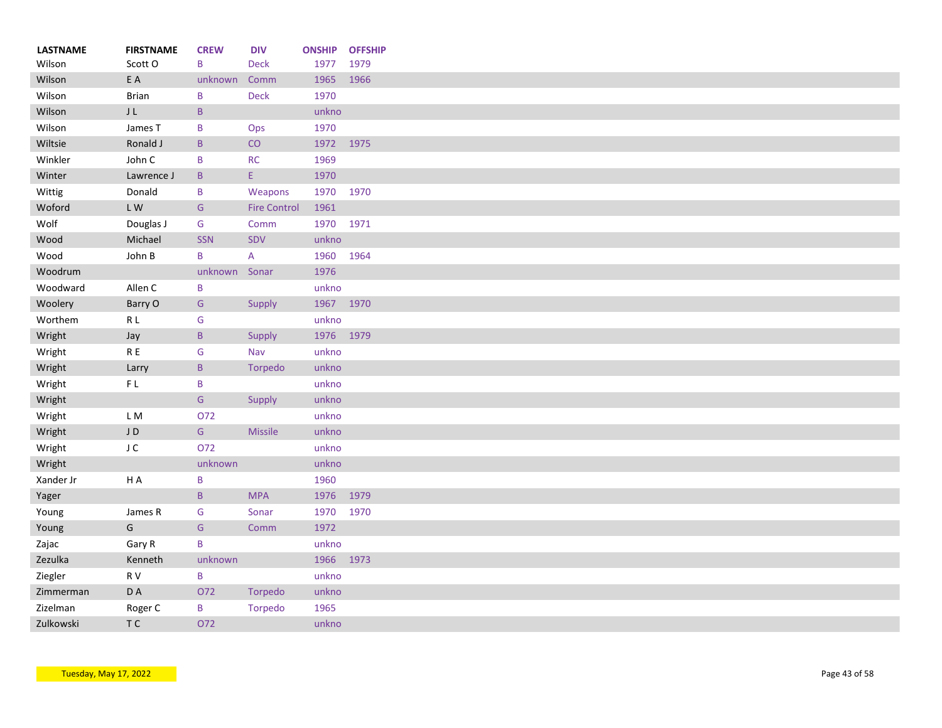| <b>LASTNAME</b><br>Wilson | <b>FIRSTNAME</b><br>Scott O | <b>CREW</b><br>B | <b>DIV</b><br><b>Deck</b>              | <b>ONSHIP</b><br>1977 | <b>OFFSHIP</b><br>1979 |
|---------------------------|-----------------------------|------------------|----------------------------------------|-----------------------|------------------------|
| Wilson                    | E A                         | unknown          | Comm                                   | 1965                  | 1966                   |
| Wilson                    | <b>Brian</b>                | B                | <b>Deck</b>                            | 1970                  |                        |
| Wilson                    | ${\sf J}$ L                 | $\sf B$          |                                        | unkno                 |                        |
| Wilson                    | James T                     | B                | Ops                                    | 1970                  |                        |
| Wiltsie                   | Ronald J                    | $\mathsf B$      | CO                                     | 1972                  | 1975                   |
| Winkler                   | John C                      | B                | RC                                     | 1969                  |                        |
| Winter                    | Lawrence J                  | $\mathsf{B}$     | $\mathsf{E}^{\scriptscriptstyle \top}$ | 1970                  |                        |
| Wittig                    | Donald                      | B                | Weapons                                | 1970                  | 1970                   |
| Woford                    | LW                          | ${\mathsf G}$    | <b>Fire Control</b>                    | 1961                  |                        |
| Wolf                      | Douglas J                   | G                | Comm                                   | 1970                  | 1971                   |
| Wood                      | Michael                     | SSN              | SDV                                    | unkno                 |                        |
| Wood                      | John B                      | B                | A                                      | 1960                  | 1964                   |
| Woodrum                   |                             | unknown          | Sonar                                  | 1976                  |                        |
| Woodward                  | Allen C                     | B                |                                        | unkno                 |                        |
| Woolery                   | Barry O                     | G                | Supply                                 | 1967 1970             |                        |
| Worthem                   | R L                         | G                |                                        | unkno                 |                        |
| Wright                    | Jay                         | $\, {\bf B} \,$  | Supply                                 | 1976 1979             |                        |
| Wright                    | ${\sf R}$ E                 | G                | Nav                                    | unkno                 |                        |
| Wright                    | Larry                       | $\mathsf B$      | Torpedo                                | unkno                 |                        |
| Wright                    | FL                          | B                |                                        | unkno                 |                        |
| Wright                    |                             | ${\mathsf G}$    | Supply                                 | unkno                 |                        |
| Wright                    | LM                          | 072              |                                        | unkno                 |                        |
| Wright                    | JD                          | ${\mathsf G}$    | <b>Missile</b>                         | unkno                 |                        |
| Wright                    | J C                         | 072              |                                        | unkno                 |                        |
| Wright                    |                             | unknown          |                                        | unkno                 |                        |
| Xander Jr                 | HA                          | B                |                                        | 1960                  |                        |
| Yager                     |                             | $\, {\bf B}$     | <b>MPA</b>                             | 1976                  | 1979                   |
| Young                     | James R                     | G                | Sonar                                  | 1970                  | 1970                   |
| Young                     | ${\mathsf G}$               | ${\mathsf G}$    | Comm                                   | 1972                  |                        |
| Zajac                     | Gary R                      | B                |                                        | unkno                 |                        |
| Zezulka                   | Kenneth                     | unknown          |                                        | 1966                  | 1973                   |
| Ziegler                   | R V                         | B                |                                        | unkno                 |                        |
| Zimmerman                 | D A                         | O72              | Torpedo                                | unkno                 |                        |
| Zizelman                  | Roger C                     | B                | Torpedo                                | 1965                  |                        |
| Zulkowski                 | T C                         | 072              |                                        | unkno                 |                        |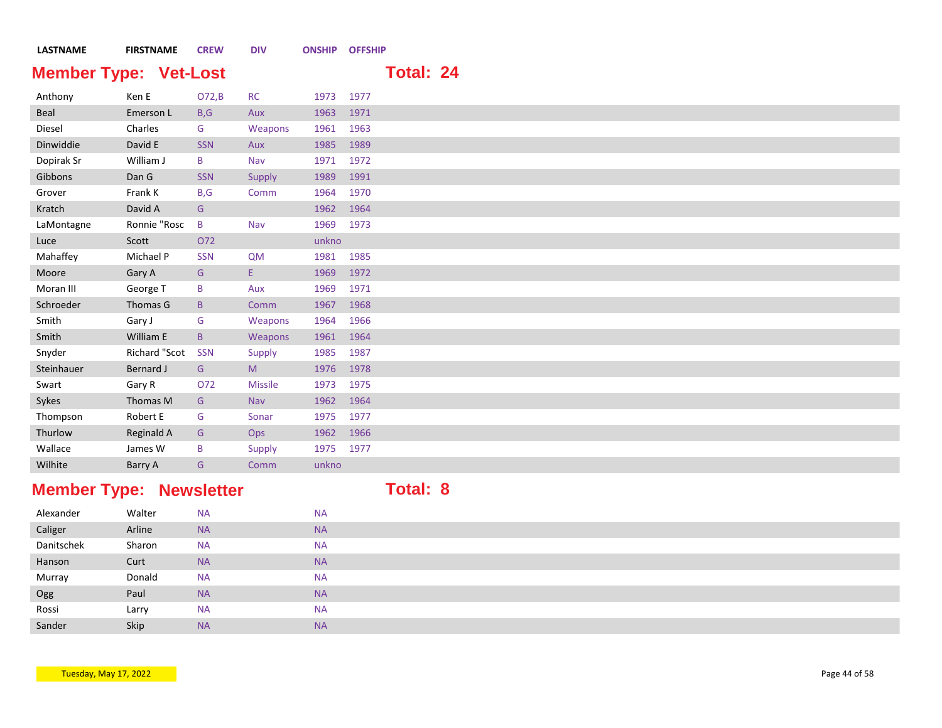| <b>LASTNAME</b> | <b>FIRSTNAME</b>             | <b>CREW</b>  | <b>DIV</b>     | <b>ONSHIP OFFSHIP</b> |      |                  |  |
|-----------------|------------------------------|--------------|----------------|-----------------------|------|------------------|--|
|                 | <b>Member Type: Vet-Lost</b> |              |                |                       |      | <b>Total: 24</b> |  |
| Anthony         | Ken E                        | O72,B        | <b>RC</b>      | 1973 1977             |      |                  |  |
| Beal            | Emerson L                    | B, G         | Aux            | 1963                  | 1971 |                  |  |
| Diesel          | Charles                      | G            | Weapons        | 1961                  | 1963 |                  |  |
| Dinwiddie       | David E                      | <b>SSN</b>   | Aux            | 1985                  | 1989 |                  |  |
| Dopirak Sr      | William J                    | B            | Nav            | 1971 1972             |      |                  |  |
| Gibbons         | Dan G                        | <b>SSN</b>   | Supply         | 1989                  | 1991 |                  |  |
| Grover          | Frank K                      | B,G          | Comm           | 1964                  | 1970 |                  |  |
| Kratch          | David A                      | G            |                | 1962                  | 1964 |                  |  |
| LaMontagne      | Ronnie "Rosc                 | B            | Nav            | 1969                  | 1973 |                  |  |
| Luce            | Scott                        | O72          |                | unkno                 |      |                  |  |
| Mahaffey        | Michael P                    | <b>SSN</b>   | <b>QM</b>      | 1981                  | 1985 |                  |  |
| Moore           | Gary A                       | G            | Ε.             | 1969                  | 1972 |                  |  |
| Moran III       | George T                     | B            | Aux            | 1969                  | 1971 |                  |  |
| Schroeder       | Thomas G                     | $\mathsf{B}$ | Comm           | 1967                  | 1968 |                  |  |
| Smith           | Gary J                       | G            | Weapons        | 1964                  | 1966 |                  |  |
| Smith           | William E                    | $\mathsf B$  | Weapons        | 1961 1964             |      |                  |  |
| Snyder          | Richard "Scot                | <b>SSN</b>   | Supply         | 1985                  | 1987 |                  |  |
| Steinhauer      | Bernard J                    | G            | M              | 1976                  | 1978 |                  |  |
| Swart           | Gary R                       | O72          | <b>Missile</b> | 1973 1975             |      |                  |  |
| Sykes           | Thomas M                     | G            | Nav            | 1962                  | 1964 |                  |  |
| Thompson        | Robert E                     | G            | Sonar          | 1975                  | 1977 |                  |  |
| Thurlow         | <b>Reginald A</b>            | G            | Ops            | 1962                  | 1966 |                  |  |
| Wallace         | James W                      | B            | Supply         | 1975 1977             |      |                  |  |
| Wilhite         | Barry A                      | G            | Comm           | unkno                 |      |                  |  |

## **Member Type: Newsletter <b>Total: 8**

| Alexander  | Walter | <b>NA</b> | <b>NA</b> |
|------------|--------|-----------|-----------|
| Caliger    | Arline | <b>NA</b> | <b>NA</b> |
| Danitschek | Sharon | <b>NA</b> | <b>NA</b> |
| Hanson     | Curt   | <b>NA</b> | <b>NA</b> |
| Murray     | Donald | <b>NA</b> | <b>NA</b> |
| Ogg        | Paul   | <b>NA</b> | <b>NA</b> |
| Rossi      | Larry  | <b>NA</b> | <b>NA</b> |
| Sander     | Skip   | <b>NA</b> | <b>NA</b> |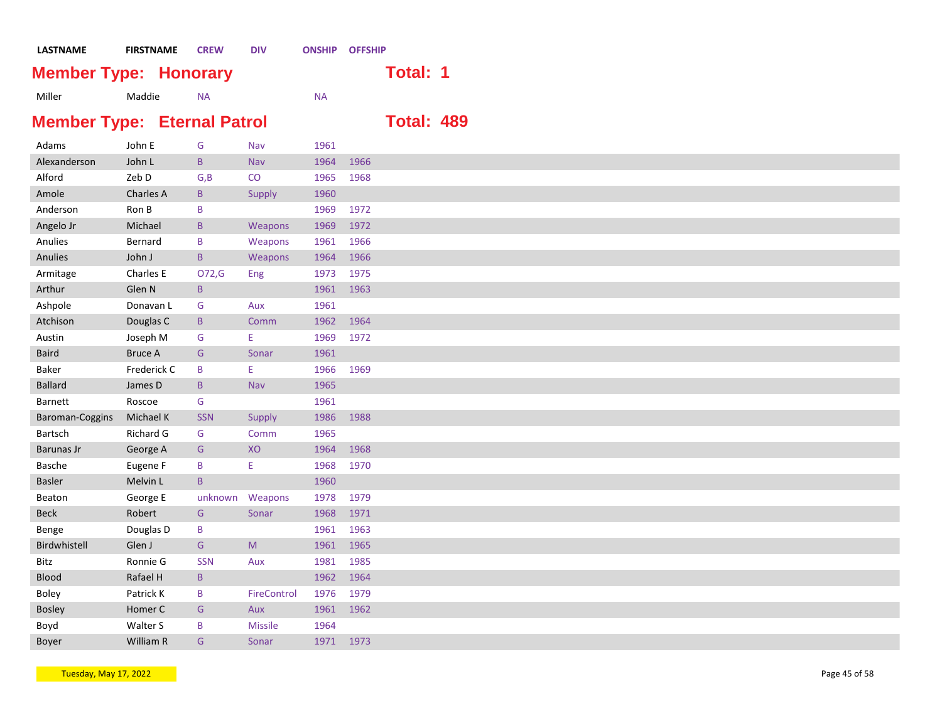| LASTNAME                           |                | <b>FIRSTNAME</b> | <b>CREW</b>     | <b>DIV</b>     | <b>ONSHIP OFFSHIP</b> |      |                   |  |
|------------------------------------|----------------|------------------|-----------------|----------------|-----------------------|------|-------------------|--|
| <b>Member Type: Honorary</b>       |                |                  |                 |                |                       |      | <b>Total: 1</b>   |  |
| Miller                             | Maddie         |                  | <b>NA</b>       |                | <b>NA</b>             |      |                   |  |
|                                    |                |                  |                 |                |                       |      |                   |  |
| <b>Member Type: Eternal Patrol</b> |                |                  |                 |                |                       |      | <b>Total: 489</b> |  |
| Adams                              | John E         |                  | G               | Nav            | 1961                  |      |                   |  |
| Alexanderson                       | John L         |                  | $\mathsf{B}$    | <b>Nav</b>     | 1964                  | 1966 |                   |  |
| Alford                             | Zeb D          |                  | G, B            | CO             | 1965                  | 1968 |                   |  |
| Amole                              | Charles A      |                  | $\, {\sf B}$    | Supply         | 1960                  |      |                   |  |
| Anderson                           | Ron B          |                  | B               |                | 1969                  | 1972 |                   |  |
| Angelo Jr                          | Michael        |                  | $\mathsf B$     | Weapons        | 1969                  | 1972 |                   |  |
| Anulies                            | Bernard        |                  | B               | Weapons        | 1961                  | 1966 |                   |  |
| Anulies                            | John J         |                  | $\, {\bf B} \,$ | Weapons        | 1964                  | 1966 |                   |  |
| Armitage                           | Charles E      |                  | 072,G           | Eng            | 1973                  | 1975 |                   |  |
| Arthur                             | Glen N         |                  | $\mathsf{B}$    |                | 1961                  | 1963 |                   |  |
| Ashpole                            |                | Donavan L        | G               | Aux            | 1961                  |      |                   |  |
| Atchison                           | Douglas C      |                  | B               | Comm           | 1962                  | 1964 |                   |  |
| Austin                             | Joseph M       |                  | G               | E,             | 1969                  | 1972 |                   |  |
| <b>Baird</b>                       | <b>Bruce A</b> |                  | G               | Sonar          | 1961                  |      |                   |  |
| Baker                              |                | Frederick C      | $\sf B$         | E.             | 1966                  | 1969 |                   |  |
| <b>Ballard</b>                     | James D        |                  | $\mathsf B$     | <b>Nav</b>     | 1965                  |      |                   |  |
| <b>Barnett</b>                     | Roscoe         |                  | ${\mathsf G}$   |                | 1961                  |      |                   |  |
| Baroman-Coggins                    | Michael K      |                  | <b>SSN</b>      | Supply         | 1986                  | 1988 |                   |  |
| Bartsch                            | Richard G      |                  | G               | Comm           | 1965                  |      |                   |  |
| Barunas Jr                         | George A       |                  | G               | XO             | 1964                  | 1968 |                   |  |
| Basche                             | Eugene F       |                  | B               | Ε              | 1968                  | 1970 |                   |  |
| <b>Basler</b>                      | Melvin L       |                  | $\mathsf B$     |                | 1960                  |      |                   |  |
|                                    |                |                  |                 |                |                       |      |                   |  |
| Beaton                             | George E       |                  | unknown         | Weapons        | 1978                  | 1979 |                   |  |
| <b>Beck</b>                        | Robert         |                  | G               | Sonar          | 1968                  | 1971 |                   |  |
| Benge                              | Douglas D      |                  | B               |                | 1961                  | 1963 |                   |  |
| Birdwhistell                       | Glen J         |                  | G               | M              | 1961                  | 1965 |                   |  |
| Bitz                               | Ronnie G       |                  | <b>SSN</b>      | Aux            | 1981                  | 1985 |                   |  |
| Blood                              | Rafael H       |                  | $\, {\sf B}$    |                | 1962                  | 1964 |                   |  |
| Boley                              | Patrick K      |                  | B               | FireControl    | 1976                  | 1979 |                   |  |
| <b>Bosley</b>                      | Homer C        |                  | G               | Aux            | 1961                  | 1962 |                   |  |
| Boyd                               | Walter S       |                  | B               | <b>Missile</b> | 1964                  |      |                   |  |
| <b>Boyer</b>                       | William R      |                  | G               | Sonar          | 1971                  | 1973 |                   |  |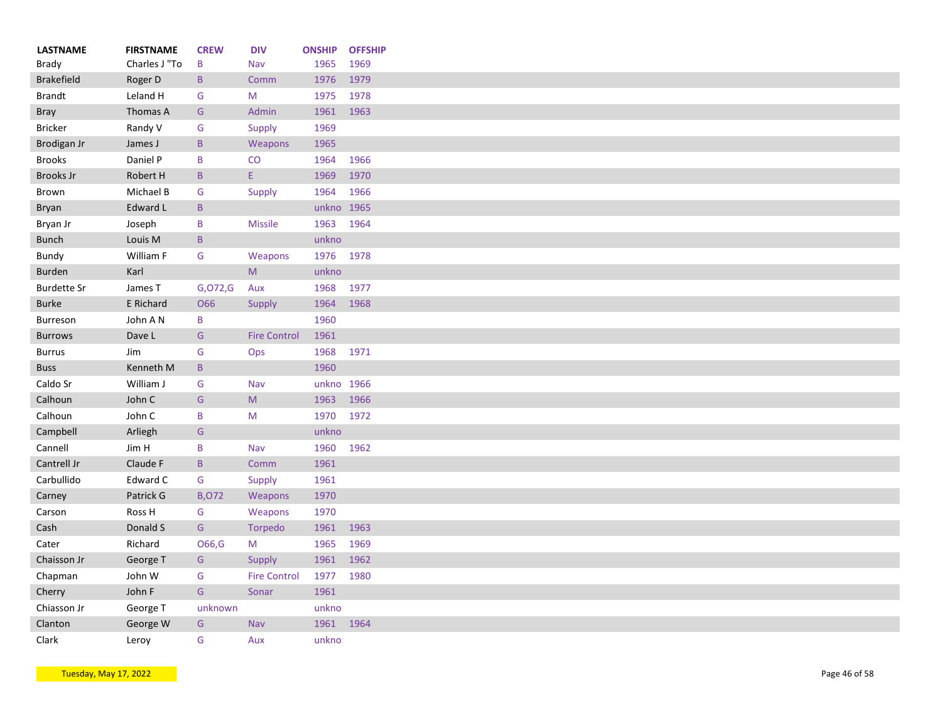| <b>LASTNAME</b><br>Brady | <b>FIRSTNAME</b><br>Charles J "To | <b>CREW</b><br>B         | <b>DIV</b><br>Nav                                                                                          | <b>ONSHIP</b><br>1965 | <b>OFFSHIP</b><br>1969 |
|--------------------------|-----------------------------------|--------------------------|------------------------------------------------------------------------------------------------------------|-----------------------|------------------------|
| <b>Brakefield</b>        | Roger D                           | B                        | Comm                                                                                                       | 1976                  | 1979                   |
| <b>Brandt</b>            | Leland H                          | G                        | M                                                                                                          | 1975                  | 1978                   |
|                          | Thomas A                          | G                        | Admin                                                                                                      | 1961                  | 1963                   |
| <b>Bray</b>              |                                   | G                        |                                                                                                            | 1969                  |                        |
| <b>Bricker</b>           | Randy V                           |                          | Supply                                                                                                     |                       |                        |
| Brodigan Jr              | James J                           | $\, {\sf B}$             | Weapons                                                                                                    | 1965                  |                        |
| <b>Brooks</b>            | Daniel P                          | B                        | CO                                                                                                         | 1964                  | 1966                   |
| <b>Brooks Jr</b>         | Robert H                          | $\mathsf{B}$             | E.                                                                                                         | 1969                  | 1970                   |
| Brown                    | Michael B                         | G                        | <b>Supply</b>                                                                                              | 1964                  | 1966                   |
| Bryan                    | Edward L                          | $\mathsf B$              |                                                                                                            | unkno 1965            |                        |
| Bryan Jr                 | Joseph                            | B                        | <b>Missile</b>                                                                                             | 1963                  | 1964                   |
| <b>Bunch</b>             | Louis M                           | $\mathsf{B}$             |                                                                                                            | unkno                 |                        |
| Bundy                    | William F                         | G                        | Weapons                                                                                                    | 1976 1978             |                        |
| <b>Burden</b>            | Karl                              |                          | M                                                                                                          | unkno                 |                        |
| <b>Burdette Sr</b>       | James T                           | G,072,G                  | Aux                                                                                                        | 1968                  | 1977                   |
| <b>Burke</b>             | E Richard                         | O66                      | Supply                                                                                                     | 1964                  | 1968                   |
| Burreson                 | John A N                          | B                        |                                                                                                            | 1960                  |                        |
| <b>Burrows</b>           | Dave L                            | G                        | <b>Fire Control</b>                                                                                        | 1961                  |                        |
| <b>Burrus</b>            | Jim                               | G                        | Ops                                                                                                        | 1968                  | 1971                   |
| <b>Buss</b>              | Kenneth M                         | $\, {\bf B}$             |                                                                                                            | 1960                  |                        |
| Caldo Sr                 | William J                         | G                        | Nav                                                                                                        | unkno 1966            |                        |
| Calhoun                  | John C                            | G                        | $\mathsf{M}% _{T}=\mathsf{M}_{T}\!\left( a,b\right) ,\ \mathsf{M}_{T}=\mathsf{M}_{T}\!\left( a,b\right) ,$ | 1963                  | 1966                   |
| Calhoun                  | John C                            | B                        | M                                                                                                          | 1970                  | 1972                   |
| Campbell                 | Arliegh                           | G                        |                                                                                                            | unkno                 |                        |
| Cannell                  | Jim H                             | $\sf B$                  | Nav                                                                                                        | 1960                  | 1962                   |
| Cantrell Jr              | Claude F                          | $\, {\bf B} \,$          | Comm                                                                                                       | 1961                  |                        |
| Carbullido               | Edward C                          | G                        | Supply                                                                                                     | 1961                  |                        |
| Carney                   | Patrick G                         | <b>B,072</b>             | Weapons                                                                                                    | 1970                  |                        |
| Carson                   | Ross H                            | G                        | Weapons                                                                                                    | 1970                  |                        |
| Cash                     | Donald S                          | ${\mathsf G}$            | <b>Torpedo</b>                                                                                             | 1961                  | 1963                   |
| Cater                    | Richard                           | O66,G                    | M                                                                                                          | 1965                  | 1969                   |
| Chaisson Jr              | George T                          | G                        | Supply                                                                                                     | 1961                  | 1962                   |
| Chapman                  | John W                            | G                        | <b>Fire Control</b>                                                                                        | 1977                  | 1980                   |
| Cherry                   | John F                            | ${\mathsf G}$            | Sonar                                                                                                      | 1961                  |                        |
|                          | George T                          |                          |                                                                                                            | unkno                 |                        |
| Chiasson Jr<br>Clanton   | George W                          | unknown<br>${\mathsf G}$ | Nav                                                                                                        | 1961                  | 1964                   |
|                          |                                   |                          |                                                                                                            |                       |                        |
| Clark                    | Leroy                             | G                        | Aux                                                                                                        | unkno                 |                        |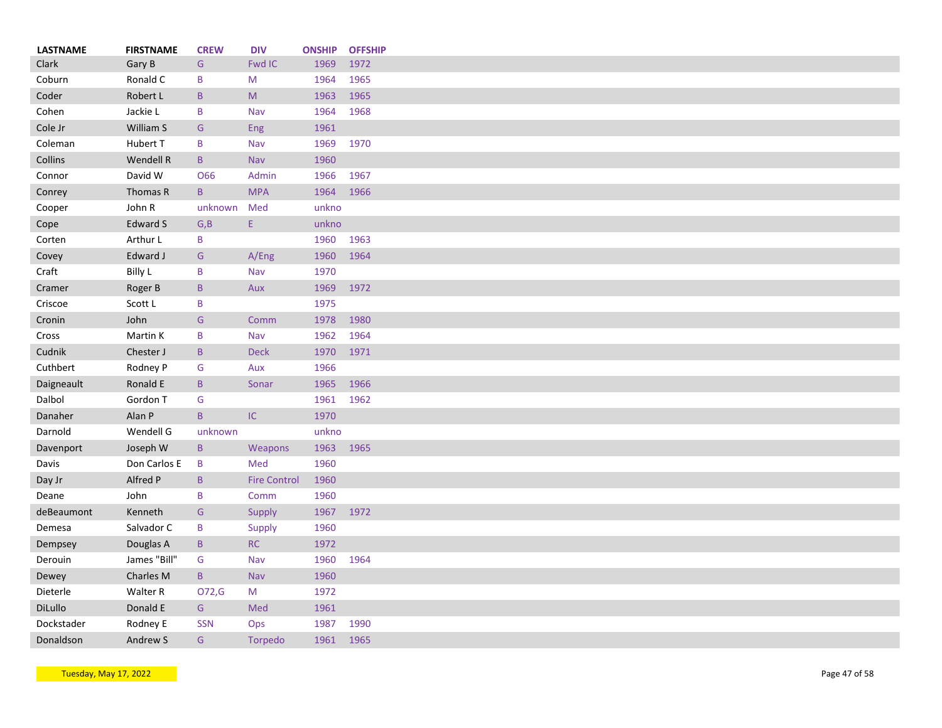| <b>LASTNAME</b> | <b>FIRSTNAME</b> | <b>CREW</b>     | <b>DIV</b>                                                                                                 | <b>ONSHIP</b> | <b>OFFSHIP</b> |
|-----------------|------------------|-----------------|------------------------------------------------------------------------------------------------------------|---------------|----------------|
| Clark           | Gary B           | G               | <b>Fwd IC</b>                                                                                              | 1969          | 1972           |
| Coburn          | Ronald C         | B               | M                                                                                                          | 1964          | 1965           |
| Coder           | Robert L         | $\, {\bf B}$    | $\mathsf{M}% _{T}=\mathsf{M}_{T}\!\left( a,b\right) ,\ \mathsf{M}_{T}=\mathsf{M}_{T}\!\left( a,b\right) ,$ | 1963          | 1965           |
| Cohen           | Jackie L         | B               | Nav                                                                                                        | 1964          | 1968           |
| Cole Jr         | William S        | G               | Eng                                                                                                        | 1961          |                |
| Coleman         | Hubert T         | B               | Nav                                                                                                        | 1969          | 1970           |
| Collins         | Wendell R        | $\mathsf{B}$    | <b>Nav</b>                                                                                                 | 1960          |                |
| Connor          | David W          | O66             | Admin                                                                                                      | 1966          | 1967           |
| Conrey          | Thomas R         | $\, {\bf B} \,$ | <b>MPA</b>                                                                                                 | 1964          | 1966           |
| Cooper          | John R           | unknown         | Med                                                                                                        | unkno         |                |
| Cope            | Edward S         | G, B            | Ε.                                                                                                         | unkno         |                |
| Corten          | Arthur L         | B               |                                                                                                            | 1960          | 1963           |
| Covey           | Edward J         | G               | A/Eng                                                                                                      | 1960          | 1964           |
|                 |                  | B               | Nav                                                                                                        | 1970          |                |
| Craft           | <b>Billy L</b>   |                 |                                                                                                            |               |                |
| Cramer          | Roger B          | $\, {\bf B}$    | Aux                                                                                                        | 1969          | 1972           |
| Criscoe         | Scott L          | B               |                                                                                                            | 1975          |                |
| Cronin          | John             | G               | Comm                                                                                                       | 1978          | 1980           |
| Cross           | Martin K         | B               | Nav                                                                                                        | 1962          | 1964           |
| Cudnik          | Chester J        | $\mathsf{B}$    | <b>Deck</b>                                                                                                | 1970          | 1971           |
| Cuthbert        | Rodney P         | G               | Aux                                                                                                        | 1966          |                |
| Daigneault      | Ronald E         | $\, {\bf B}$    | Sonar                                                                                                      | 1965          | 1966           |
| Dalbol          | Gordon T         | G               |                                                                                                            | 1961          | 1962           |
| Danaher         | Alan P           | $\mathsf{B}$    | $\sf IC$                                                                                                   | 1970          |                |
| Darnold         | Wendell G        | unknown         |                                                                                                            | unkno         |                |
| Davenport       | Joseph W         | $\mathsf B$     | Weapons                                                                                                    | 1963          | 1965           |
| Davis           | Don Carlos E     | B               | Med                                                                                                        | 1960          |                |
| Day Jr          | Alfred P         | $\mathsf{B}$    | <b>Fire Control</b>                                                                                        | 1960          |                |
| Deane           | John             | B               | Comm                                                                                                       | 1960          |                |
| deBeaumont      | Kenneth          | G               | Supply                                                                                                     | 1967          | 1972           |
| Demesa          | Salvador C       | B               | Supply                                                                                                     | 1960          |                |
| Dempsey         | Douglas A        | $\mathsf B$     | RC                                                                                                         | 1972          |                |
| Derouin         | James "Bill"     | G               | Nav                                                                                                        | 1960          | 1964           |
| Dewey           | Charles M        | $\mathsf B$     | Nav                                                                                                        | 1960          |                |
| Dieterle        | Walter R         | 072,G           | M                                                                                                          | 1972          |                |
| DiLullo         | Donald E         | G               | Med                                                                                                        | 1961          |                |
| Dockstader      | Rodney E         | <b>SSN</b>      |                                                                                                            | 1987          | 1990           |
|                 |                  |                 | Ops                                                                                                        |               |                |
| Donaldson       | Andrew S         | G               | Torpedo                                                                                                    | 1961          | 1965           |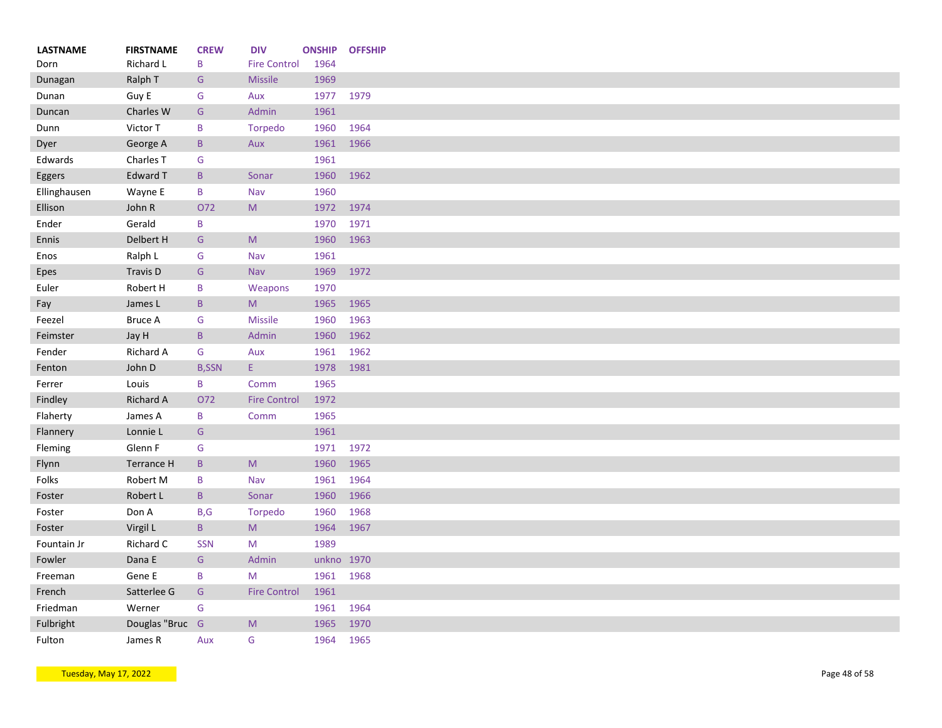| <b>LASTNAME</b> | <b>FIRSTNAME</b>     | <b>CREW</b>     | <b>DIV</b>                                                                                                 | <b>ONSHIP</b> | <b>OFFSHIP</b> |
|-----------------|----------------------|-----------------|------------------------------------------------------------------------------------------------------------|---------------|----------------|
| Dorn            | Richard L            | B               | <b>Fire Control</b>                                                                                        | 1964          |                |
| Dunagan         | Ralph T              | G               | Missile                                                                                                    | 1969          |                |
| Dunan           | Guy E                | G               | Aux                                                                                                        | 1977          | 1979           |
| Duncan          | Charles W            | G               | Admin                                                                                                      | 1961          |                |
| Dunn            | Victor T             | B               | Torpedo                                                                                                    | 1960          | 1964           |
| Dyer            | George A             | $\mathsf{B}$    | Aux                                                                                                        | 1961          | 1966           |
| Edwards         | Charles <sub>T</sub> | G               |                                                                                                            | 1961          |                |
| Eggers          | <b>Edward T</b>      | $\mathsf{B}$    | Sonar                                                                                                      | 1960          | 1962           |
| Ellinghausen    | Wayne E              | $\, {\bf B}$    | Nav                                                                                                        | 1960          |                |
| Ellison         | John R               | 072             | $\mathsf{M}% _{T}=\mathsf{M}_{T}\!\left( a,b\right) ,\ \mathsf{M}_{T}=\mathsf{M}_{T}\!\left( a,b\right) ,$ | 1972          | 1974           |
| Ender           | Gerald               | B               |                                                                                                            | 1970          | 1971           |
| Ennis           | Delbert H            | G               | M                                                                                                          | 1960          | 1963           |
| Enos            | Ralph L              | G               | Nav                                                                                                        | 1961          |                |
| Epes            | Travis D             | G               | <b>Nav</b>                                                                                                 | 1969          | 1972           |
| Euler           | Robert H             | B               | Weapons                                                                                                    | 1970          |                |
| Fay             | James L              | $\, {\bf B}$    | ${\sf M}$                                                                                                  | 1965          | 1965           |
| Feezel          | <b>Bruce A</b>       | G               | <b>Missile</b>                                                                                             | 1960          | 1963           |
| Feimster        | Jay H                | $\mathsf B$     | Admin                                                                                                      | 1960          | 1962           |
| Fender          | Richard A            | G               | Aux                                                                                                        | 1961          | 1962           |
| Fenton          | John D               | <b>B,SSN</b>    | E.                                                                                                         | 1978          | 1981           |
| Ferrer          | Louis                | B               | Comm                                                                                                       | 1965          |                |
| Findley         | <b>Richard A</b>     | 072             | <b>Fire Control</b>                                                                                        | 1972          |                |
| Flaherty        | James A              | B               | Comm                                                                                                       | 1965          |                |
| Flannery        | Lonnie L             | G               |                                                                                                            | 1961          |                |
| Fleming         | Glenn F              | G               |                                                                                                            | 1971          | 1972           |
| Flynn           | <b>Terrance H</b>    | $\mathsf B$     | $\mathsf{M}% _{T}=\mathsf{M}_{T}\!\left( a,b\right) ,\ \mathsf{M}_{T}=\mathsf{M}_{T}\!\left( a,b\right) ,$ | 1960          | 1965           |
| Folks           | Robert M             | $\sf B$         | Nav                                                                                                        | 1961          | 1964           |
| Foster          | Robert L             | $\, {\bf B} \,$ | Sonar                                                                                                      | 1960          | 1966           |
| Foster          | Don A                | B, G            | Torpedo                                                                                                    | 1960          | 1968           |
| Foster          | Virgil L             | $\mathsf B$     | M                                                                                                          | 1964          | 1967           |
| Fountain Jr     | Richard C            | <b>SSN</b>      | M                                                                                                          | 1989          |                |
| Fowler          | Dana E               | G               | Admin                                                                                                      |               | unkno 1970     |
| Freeman         | Gene E               | $\mathsf B$     | M                                                                                                          | 1961          | 1968           |
| French          | Satterlee G          | ${\mathsf G}$   | <b>Fire Control</b>                                                                                        | 1961          |                |
| Friedman        | Werner               | ${\mathsf G}$   |                                                                                                            | 1961          | 1964           |
| Fulbright       | Douglas "Bruc G      |                 | M                                                                                                          | 1965          | 1970           |
| Fulton          | James R              | Aux             | G                                                                                                          | 1964          | 1965           |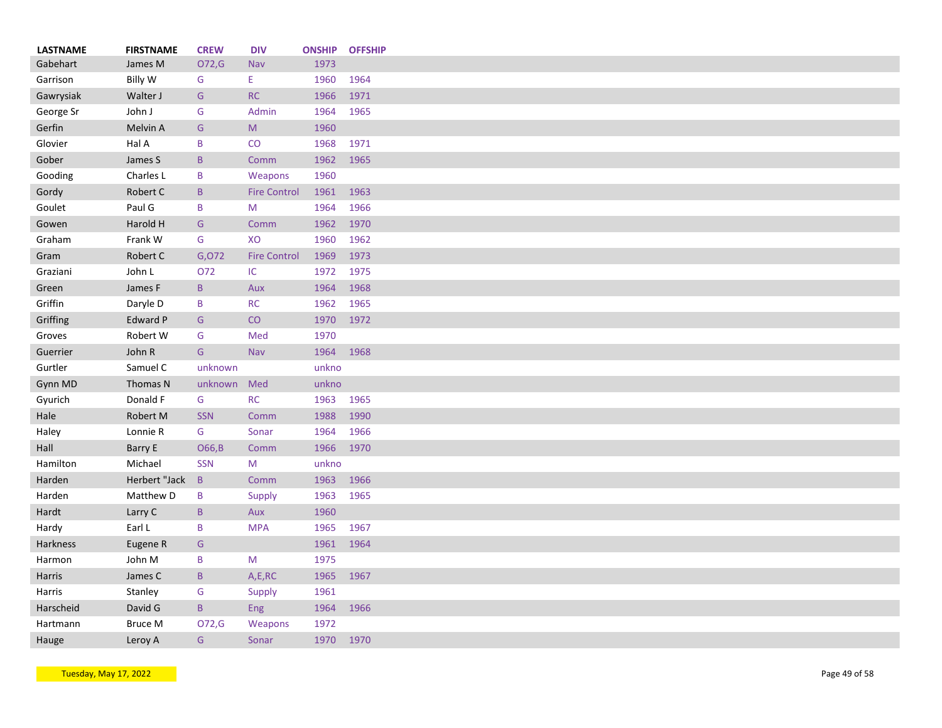| <b>LASTNAME</b> | <b>FIRSTNAME</b> | <b>CREW</b>     | <b>DIV</b>                                                                                                 | <b>ONSHIP</b> | <b>OFFSHIP</b> |
|-----------------|------------------|-----------------|------------------------------------------------------------------------------------------------------------|---------------|----------------|
| Gabehart        | James M          | O72,G           | <b>Nav</b>                                                                                                 | 1973          |                |
| Garrison        | <b>Billy W</b>   | G               | Ε.                                                                                                         | 1960          | 1964           |
| Gawrysiak       | Walter J         | ${\mathsf G}$   | RC                                                                                                         | 1966          | 1971           |
| George Sr       | John J           | G               | Admin                                                                                                      | 1964          | 1965           |
| Gerfin          | Melvin A         | G               | $\mathsf{M}% _{T}=\mathsf{M}_{T}\!\left( a,b\right) ,\ \mathsf{M}_{T}=\mathsf{M}_{T}\!\left( a,b\right) ,$ | 1960          |                |
| Glovier         | Hal A            | B               | CO                                                                                                         | 1968          | 1971           |
| Gober           | James S          | $\mathsf B$     | Comm                                                                                                       | 1962          | 1965           |
| Gooding         | Charles L        | B               | Weapons                                                                                                    | 1960          |                |
| Gordy           | Robert C         | $\, {\bf B}$    | <b>Fire Control</b>                                                                                        | 1961          | 1963           |
| Goulet          | Paul G           | B               | M                                                                                                          | 1964          | 1966           |
| Gowen           | Harold H         | G               | Comm                                                                                                       | 1962          | 1970           |
| Graham          | Frank W          | G               | XO                                                                                                         | 1960          | 1962           |
| Gram            | Robert C         | G,072           | <b>Fire Control</b>                                                                                        | 1969          | 1973           |
| Graziani        | John L           | O72             | IC                                                                                                         | 1972          | 1975           |
| Green           | James F          | $\, {\bf B} \,$ | Aux                                                                                                        | 1964          | 1968           |
| Griffin         | Daryle D         | B               | RC                                                                                                         | 1962          | 1965           |
| Griffing        | <b>Edward P</b>  | G               | CO                                                                                                         | 1970          | 1972           |
| Groves          | Robert W         | G               | Med                                                                                                        | 1970          |                |
| Guerrier        | John R           | G               | Nav                                                                                                        | 1964          | 1968           |
| Gurtler         | Samuel C         | unknown         |                                                                                                            | unkno         |                |
|                 |                  | unknown         | Med                                                                                                        | unkno         |                |
| Gynn MD         | Thomas N         |                 |                                                                                                            |               |                |
| Gyurich         | Donald F         | G               | RC                                                                                                         | 1963          | 1965           |
| Hale            | Robert M         | <b>SSN</b>      | Comm                                                                                                       | 1988          | 1990           |
| Haley           | Lonnie R         | G               | Sonar                                                                                                      | 1964          | 1966           |
| Hall            | Barry E          | O66,B           | Comm                                                                                                       | 1966          | 1970           |
| Hamilton        | Michael          | <b>SSN</b>      | M                                                                                                          | unkno         |                |
| Harden          | Herbert "Jack    | $\mathsf{B}$    | Comm                                                                                                       | 1963          | 1966           |
| Harden          | Matthew D        | B               | Supply                                                                                                     | 1963          | 1965           |
| Hardt           | Larry C          | B               | Aux                                                                                                        | 1960          |                |
| Hardy           | Earl L           | B               | <b>MPA</b>                                                                                                 | 1965          | 1967           |
| Harkness        | Eugene R         | G               |                                                                                                            | 1961          | 1964           |
| Harmon          | John M           | B               | M                                                                                                          | 1975          |                |
| Harris          | James C          | $\, {\bf B} \,$ | A,E,RC                                                                                                     | 1965          | 1967           |
| Harris          | Stanley          | G               | Supply                                                                                                     | 1961          |                |
| Harscheid       | David G          | $\mathsf B$     | Eng                                                                                                        | 1964          | 1966           |
| Hartmann        | <b>Bruce M</b>   | O72,G           | Weapons                                                                                                    | 1972          |                |
| Hauge           | Leroy A          | G               | Sonar                                                                                                      | 1970 1970     |                |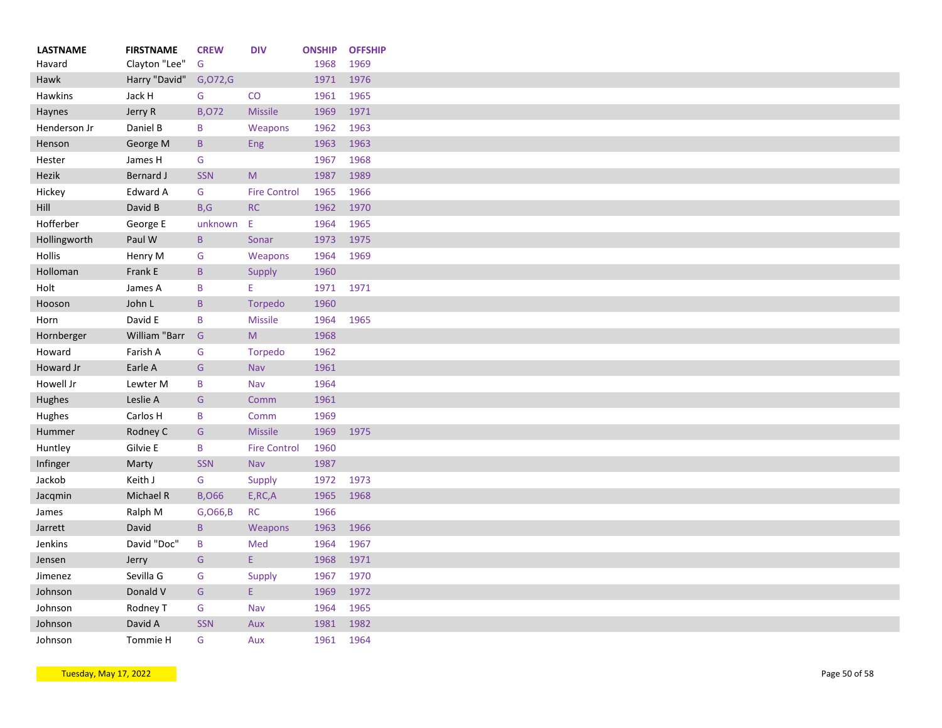| <b>LASTNAME</b> | <b>FIRSTNAME</b> | <b>CREW</b>     | <b>DIV</b>          | <b>ONSHIP</b> | <b>OFFSHIP</b> |
|-----------------|------------------|-----------------|---------------------|---------------|----------------|
| Havard          | Clayton "Lee"    | G               |                     | 1968          | 1969           |
| Hawk            | Harry "David"    | G, O72, G       |                     | 1971          | 1976           |
| Hawkins         | Jack H           | G               | CO                  | 1961          | 1965           |
| Haynes          | Jerry R          | <b>B,072</b>    | <b>Missile</b>      | 1969          | 1971           |
| Henderson Jr    | Daniel B         | B               | Weapons             | 1962          | 1963           |
| Henson          | George M         | $\mathsf{B}$    | Eng                 | 1963          | 1963           |
| Hester          | James H          | G               |                     | 1967          | 1968           |
| Hezik           | Bernard J        | <b>SSN</b>      | M                   | 1987          | 1989           |
| Hickey          | Edward A         | G               | <b>Fire Control</b> | 1965          | 1966           |
| Hill            | David B          | B, G            | <b>RC</b>           | 1962          | 1970           |
| Hofferber       | George E         | unknown         | Ε                   | 1964          | 1965           |
| Hollingworth    | Paul W           | $\, {\bf B} \,$ | Sonar               | 1973          | 1975           |
| Hollis          | Henry M          | G               | Weapons             | 1964          | 1969           |
| Holloman        | Frank E          | $\mathsf{B}$    | Supply              | 1960          |                |
| Holt            | James A          | B               | E                   | 1971 1971     |                |
| Hooson          | John L           | $\mathsf B$     | <b>Torpedo</b>      | 1960          |                |
| Horn            | David E          | B               | <b>Missile</b>      | 1964          | 1965           |
| Hornberger      | William "Barr    | G               | M                   | 1968          |                |
| Howard          | Farish A         | G               | Torpedo             | 1962          |                |
| Howard Jr       | Earle A          | G               | Nav                 | 1961          |                |
| Howell Jr       | Lewter M         | $\sf B$         | Nav                 | 1964          |                |
| Hughes          | Leslie A         | ${\mathsf G}$   | Comm                | 1961          |                |
| Hughes          | Carlos H         | B               | Comm                | 1969          |                |
| Hummer          | Rodney C         | G               | <b>Missile</b>      | 1969          | 1975           |
| Huntley         | Gilvie E         | B               | <b>Fire Control</b> | 1960          |                |
| Infinger        |                  | SSN             |                     | 1987          |                |
|                 | Marty            |                 | Nav                 |               |                |
| Jackob          | Keith J          | G               | Supply              | 1972          | 1973           |
| Jacqmin         | Michael R        | <b>B,066</b>    | E, RC, A            | 1965          | 1968           |
| James           | Ralph M          | G, 066, B       | <b>RC</b>           | 1966          |                |
| Jarrett         | David            | $\, {\bf B} \,$ | Weapons             | 1963          | 1966           |
| Jenkins         | David "Doc"      | $\, {\bf B}$    | Med                 | 1964          | 1967           |
| Jensen          | Jerry            | G               | E.                  | 1968          | 1971           |
| Jimenez         | Sevilla G        | G               | Supply              | 1967          | 1970           |
| Johnson         | Donald V         | G               | E.                  | 1969          | 1972           |
| Johnson         | Rodney T         | G               | Nav                 | 1964          | 1965           |
| Johnson         | David A          | <b>SSN</b>      | Aux                 | 1981          | 1982           |
| Johnson         | Tommie H         | G               | Aux                 | 1961          | 1964           |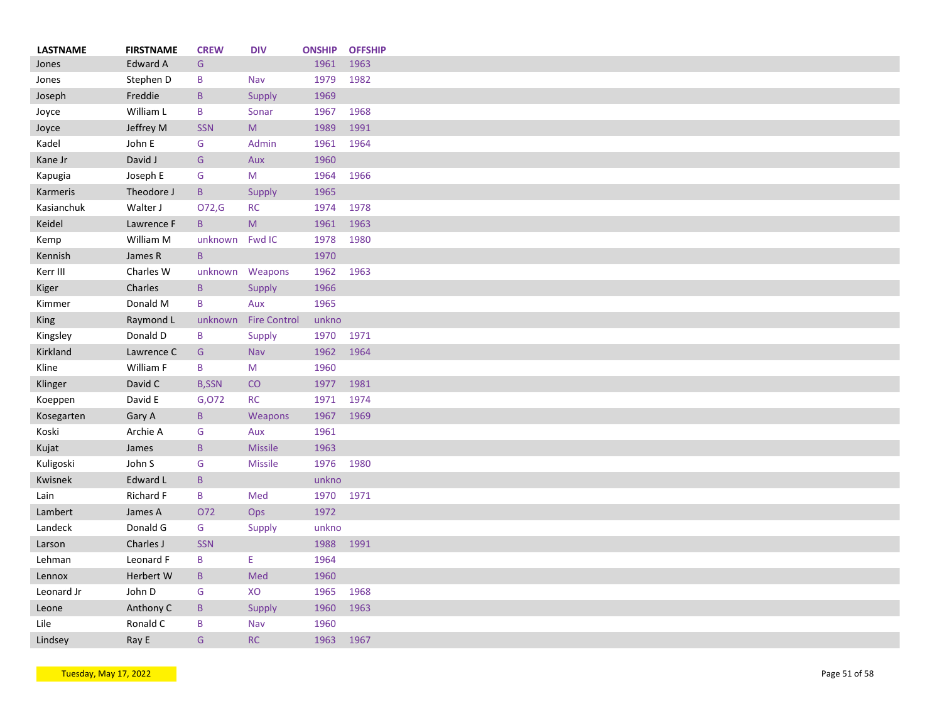| <b>LASTNAME</b> | <b>FIRSTNAME</b> | <b>CREW</b>     | <b>DIV</b>          | <b>ONSHIP</b> | <b>OFFSHIP</b> |
|-----------------|------------------|-----------------|---------------------|---------------|----------------|
| Jones           | <b>Edward A</b>  | G               |                     | 1961          | 1963           |
| Jones           | Stephen D        | B               | Nav                 | 1979          | 1982           |
| Joseph          | Freddie          | $\mathsf{B}$    | Supply              | 1969          |                |
| Joyce           | William L        | $\mathsf B$     | Sonar               | 1967          | 1968           |
| Joyce           | Jeffrey M        | <b>SSN</b>      | M                   | 1989          | 1991           |
| Kadel           | John E           | G               | Admin               | 1961          | 1964           |
| Kane Jr         | David J          | G               | Aux                 | 1960          |                |
| Kapugia         | Joseph E         | G               | M                   | 1964          | 1966           |
| Karmeris        | Theodore J       | $\mathsf{B}$    | Supply              | 1965          |                |
| Kasianchuk      | Walter J         | O72,G           | <b>RC</b>           | 1974          | 1978           |
| Keidel          | Lawrence F       | $\mathsf{B}$    | M                   | 1961          | 1963           |
| Kemp            | William M        | unknown         | Fwd IC              | 1978          | 1980           |
| Kennish         | James R          | $\mathsf{B}$    |                     | 1970          |                |
| Kerr III        | Charles W        |                 | unknown Weapons     | 1962          | 1963           |
| Kiger           | Charles          | $\mathsf B$     | Supply              | 1966          |                |
| Kimmer          | Donald M         | B               | Aux                 | 1965          |                |
| King            | Raymond L        | unknown         | <b>Fire Control</b> | unkno         |                |
| Kingsley        | Donald D         | B               | Supply              | 1970          | 1971           |
| Kirkland        | Lawrence C       | ${\mathsf G}$   | Nav                 | 1962          | 1964           |
| Kline           | William F        | B               | M                   | 1960          |                |
| Klinger         | David C          | <b>B,SSN</b>    | CO                  | 1977          | 1981           |
| Koeppen         | David E          | G,072           | <b>RC</b>           | 1971          | 1974           |
| Kosegarten      | Gary A           | $\mathsf{B}$    | Weapons             | 1967          | 1969           |
| Koski           | Archie A         | G               | Aux                 | 1961          |                |
| Kujat           | James            | $\mathsf{B}$    | <b>Missile</b>      | 1963          |                |
| Kuligoski       | John S           | G               | <b>Missile</b>      | 1976          | 1980           |
| Kwisnek         | Edward L         | B               |                     | unkno         |                |
| Lain            | Richard F        | $\, {\bf B} \,$ | Med                 | 1970          | 1971           |
| Lambert         | James A          | O72             | Ops                 | 1972          |                |
| Landeck         | Donald G         | G               | Supply              | unkno         |                |
| Larson          | Charles J        | <b>SSN</b>      |                     | 1988          | 1991           |
| Lehman          | Leonard F        | $\mathsf B$     | E                   | 1964          |                |
| Lennox          | Herbert W        | $\mathsf B$     | Med                 | 1960          |                |
| Leonard Jr      | John D           | G               | XO                  | 1965          | 1968           |
| Leone           | Anthony C        | $\mathsf B$     | Supply              | 1960          | 1963           |
| Lile            | Ronald C         | B               | Nav                 | 1960          |                |
| Lindsey         | Ray E            | G               | <b>RC</b>           | 1963          | 1967           |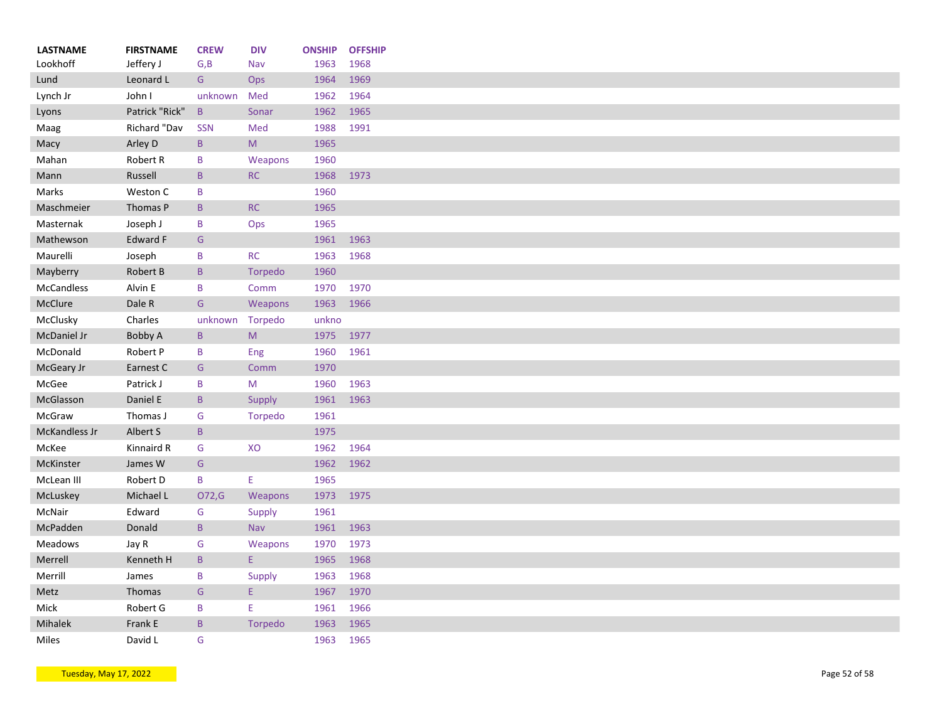| <b>LASTNAME</b>   | <b>FIRSTNAME</b> | <b>CREW</b>     | <b>DIV</b>                                                                                                 | <b>ONSHIP</b> | <b>OFFSHIP</b> |
|-------------------|------------------|-----------------|------------------------------------------------------------------------------------------------------------|---------------|----------------|
| Lookhoff          | Jeffery J        | G, B            | Nav                                                                                                        | 1963          | 1968           |
| Lund              | Leonard L        | G               | Ops                                                                                                        | 1964          | 1969           |
| Lynch Jr          | John I           | unknown         | Med                                                                                                        | 1962          | 1964           |
| Lyons             | Patrick "Rick"   | $\mathsf{B}$    | Sonar                                                                                                      | 1962          | 1965           |
| Maag              | Richard "Dav     | SSN             | Med                                                                                                        | 1988          | 1991           |
| Macy              | Arley D          | $\, {\bf B} \,$ | $\mathsf{M}% _{T}=\mathsf{M}_{T}\!\left( a,b\right) ,\ \mathsf{M}_{T}=\mathsf{M}_{T}\!\left( a,b\right) ,$ | 1965          |                |
| Mahan             | Robert R         | B               | Weapons                                                                                                    | 1960          |                |
| Mann              | Russell          | $\mathsf{B}$    | RC                                                                                                         | 1968          | 1973           |
| Marks             | Weston C         | B               |                                                                                                            | 1960          |                |
| Maschmeier        | Thomas P         | $\mathsf{B}$    | RC                                                                                                         | 1965          |                |
| Masternak         | Joseph J         | B               | Ops                                                                                                        | 1965          |                |
| Mathewson         | Edward F         | G               |                                                                                                            | 1961          | 1963           |
| Maurelli          | Joseph           | B               | <b>RC</b>                                                                                                  | 1963          | 1968           |
| Mayberry          | Robert B         | $\mathsf{B}$    | Torpedo                                                                                                    | 1960          |                |
| <b>McCandless</b> | Alvin E          | B               | Comm                                                                                                       | 1970          | 1970           |
| McClure           | Dale R           | G               | Weapons                                                                                                    | 1963          | 1966           |
| McClusky          | Charles          | unknown         | Torpedo                                                                                                    | unkno         |                |
| McDaniel Jr       | Bobby A          | $\mathsf{B}$    | M                                                                                                          | 1975          | 1977           |
| McDonald          | Robert P         | B               | Eng                                                                                                        | 1960          | 1961           |
| McGeary Jr        | Earnest C        | G               | Comm                                                                                                       | 1970          |                |
| McGee             | Patrick J        | B               | M                                                                                                          | 1960          | 1963           |
| McGlasson         | Daniel E         | $\mathsf B$     | Supply                                                                                                     | 1961          | 1963           |
| McGraw            | Thomas J         | G               | Torpedo                                                                                                    | 1961          |                |
| McKandless Jr     | Albert S         | B               |                                                                                                            | 1975          |                |
| McKee             | Kinnaird R       | G               | XO                                                                                                         | 1962          | 1964           |
| McKinster         | James W          | G               |                                                                                                            | 1962          | 1962           |
| McLean III        | Robert D         | B               | E                                                                                                          | 1965          |                |
| McLuskey          | Michael L        | O72,G           | Weapons                                                                                                    | 1973          | 1975           |
| McNair            | Edward           | G               | Supply                                                                                                     | 1961          |                |
| McPadden          | Donald           | $\mathsf B$     | Nav                                                                                                        | 1961          | 1963           |
| Meadows           |                  | ${\mathsf G}$   |                                                                                                            |               | 1973           |
|                   | Jay R            |                 | Weapons<br>E.                                                                                              | 1970          |                |
| Merrell           | Kenneth H        | $\mathsf B$     |                                                                                                            | 1965          | 1968           |
| Merrill           | James            | B               | Supply                                                                                                     | 1963          | 1968           |
| Metz              | Thomas           | ${\mathsf G}$   | E                                                                                                          | 1967          | 1970           |
| Mick              | Robert G         | B               | E                                                                                                          | 1961          | 1966           |
| Mihalek           | Frank E          | $\sf B$         | Torpedo                                                                                                    | 1963          | 1965           |
| Miles             | David L          | G               |                                                                                                            | 1963          | 1965           |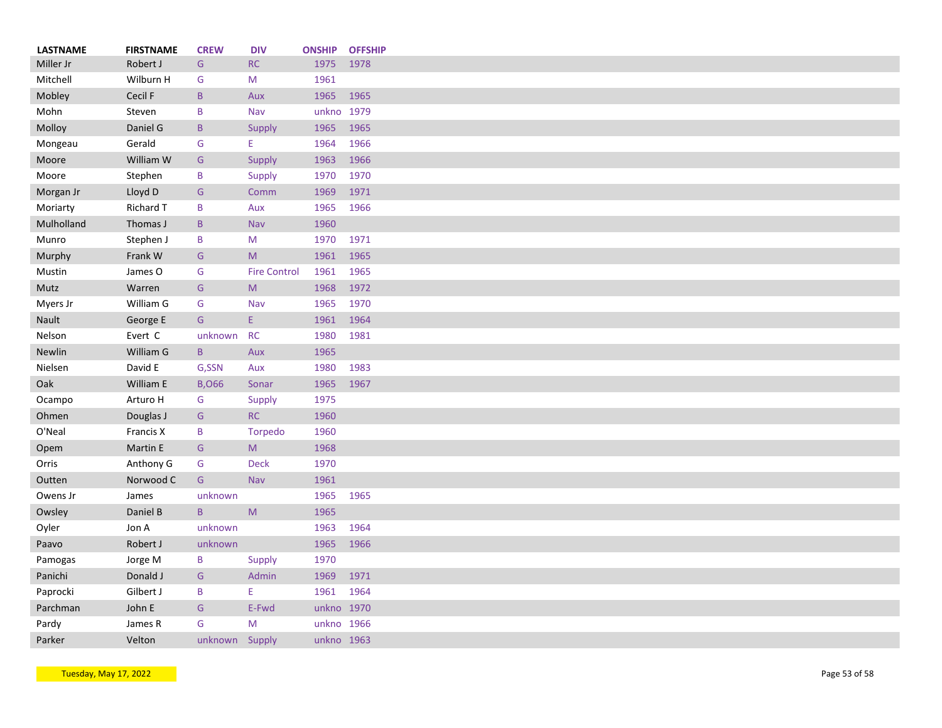| <b>LASTNAME</b> | <b>FIRSTNAME</b> | <b>CREW</b>    | <b>DIV</b>                                                                                                 | <b>ONSHIP</b> | <b>OFFSHIP</b> |
|-----------------|------------------|----------------|------------------------------------------------------------------------------------------------------------|---------------|----------------|
| Miller Jr       | Robert J         | G              | RC                                                                                                         | 1975          | 1978           |
| Mitchell        | Wilburn H        | G              | M                                                                                                          | 1961          |                |
| Mobley          | Cecil F          | $\, {\bf B}$   | Aux                                                                                                        | 1965          | 1965           |
| Mohn            | Steven           | B              | Nav                                                                                                        | unkno 1979    |                |
| Molloy          | Daniel G         | $\mathsf{B}$   | Supply                                                                                                     | 1965          | 1965           |
| Mongeau         | Gerald           | G              | E.                                                                                                         | 1964          | 1966           |
| Moore           | William W        | G              | Supply                                                                                                     | 1963          | 1966           |
| Moore           | Stephen          | B              | Supply                                                                                                     | 1970          | 1970           |
| Morgan Jr       | Lloyd D          | ${\mathsf G}$  | Comm                                                                                                       | 1969          | 1971           |
| Moriarty        | Richard T        | B              | Aux                                                                                                        | 1965          | 1966           |
| Mulholland      | Thomas J         | $\mathsf B$    | <b>Nav</b>                                                                                                 | 1960          |                |
| Munro           | Stephen J        | B              | M                                                                                                          | 1970          | 1971           |
| Murphy          | Frank W          | G              | M                                                                                                          | 1961          | 1965           |
| Mustin          | James O          | G              | <b>Fire Control</b>                                                                                        | 1961          | 1965           |
| Mutz            | Warren           | ${\mathsf G}$  | ${\sf M}$                                                                                                  | 1968          | 1972           |
| Myers Jr        | William G        | G              | Nav                                                                                                        | 1965          | 1970           |
| Nault           | George E         | G              | E.                                                                                                         | 1961          | 1964           |
| Nelson          | Evert C          | unknown        | <b>RC</b>                                                                                                  | 1980          | 1981           |
| <b>Newlin</b>   | William G        | $\mathsf{B}$   | Aux                                                                                                        | 1965          |                |
| Nielsen         | David E          | G,SSN          | Aux                                                                                                        | 1980          | 1983           |
| Oak             | William E        | <b>B,066</b>   | Sonar                                                                                                      | 1965          | 1967           |
|                 | Arturo H         | G              |                                                                                                            | 1975          |                |
| Ocampo          |                  |                | Supply<br><b>RC</b>                                                                                        |               |                |
| Ohmen           | Douglas J        | G              |                                                                                                            | 1960          |                |
| O'Neal          | Francis X        | B              | Torpedo                                                                                                    | 1960          |                |
| Opem            | Martin E         | G              | M                                                                                                          | 1968          |                |
| Orris           | Anthony G        | G              | <b>Deck</b>                                                                                                | 1970          |                |
| Outten          | Norwood C        | G              | Nav                                                                                                        | 1961          |                |
| Owens Jr        | James            | unknown        |                                                                                                            | 1965          | 1965           |
| Owsley          | Daniel B         | $\mathsf B$    | $\mathsf{M}% _{T}=\mathsf{M}_{T}\!\left( a,b\right) ,\ \mathsf{M}_{T}=\mathsf{M}_{T}\!\left( a,b\right) ,$ | 1965          |                |
| Oyler           | Jon A            | unknown        |                                                                                                            | 1963          | 1964           |
| Paavo           | Robert J         | unknown        |                                                                                                            | 1965          | 1966           |
| Pamogas         | Jorge M          | B              | Supply                                                                                                     | 1970          |                |
| Panichi         | Donald J         | G              | Admin                                                                                                      | 1969          | 1971           |
| Paprocki        | Gilbert J        | $\sf B$        | E                                                                                                          | 1961          | 1964           |
| Parchman        | John E           | G              | E-Fwd                                                                                                      | unkno 1970    |                |
| Pardy           | James R          | G              | M                                                                                                          | unkno 1966    |                |
| Parker          | Velton           | unknown Supply |                                                                                                            | unkno 1963    |                |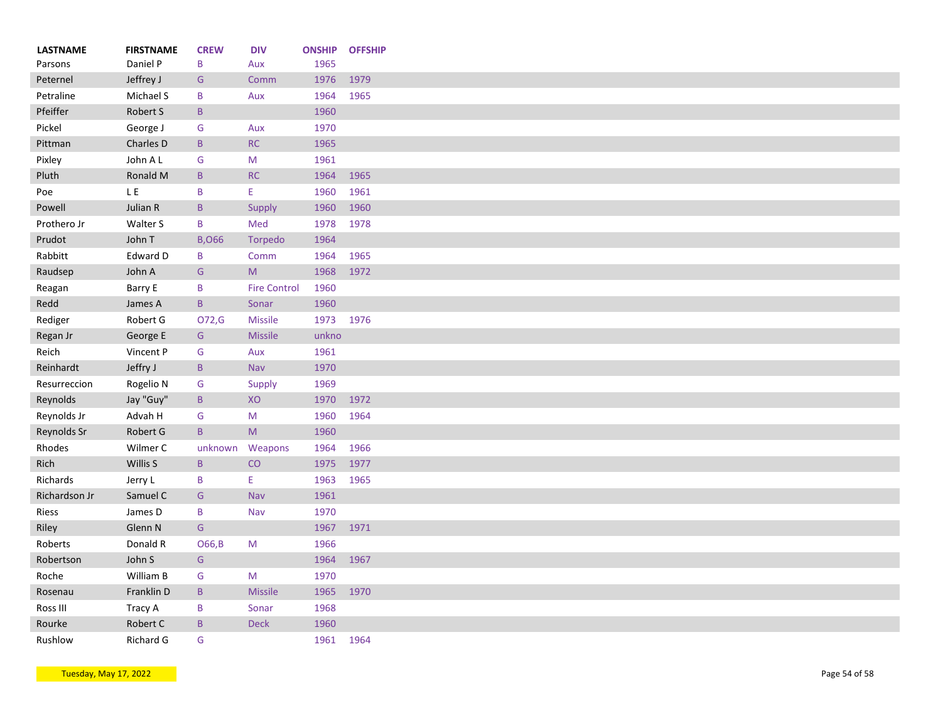| <b>LASTNAME</b> | <b>FIRSTNAME</b>      | <b>CREW</b>     | <b>DIV</b>          | <b>ONSHIP</b> | <b>OFFSHIP</b> |
|-----------------|-----------------------|-----------------|---------------------|---------------|----------------|
| Parsons         | Daniel P<br>Jeffrey J | B               | Aux                 | 1965<br>1976  | 1979           |
| Peternel        |                       | G               | Comm                |               |                |
| Petraline       | Michael S             | B               | Aux                 | 1964          | 1965           |
| Pfeiffer        | Robert S              | $\, {\bf B}$    |                     | 1960          |                |
| Pickel          | George J              | G               | Aux                 | 1970          |                |
| Pittman         | Charles D             | $\sf B$         | RC                  | 1965          |                |
| Pixley          | John A L              | G               | ${\sf M}$           | 1961          |                |
| Pluth           | Ronald M              | $\, {\bf B}$    | RC                  | 1964          | 1965           |
| Poe             | LE.                   | B               | E.                  | 1960          | 1961           |
| Powell          | Julian R              | $\mathsf{B}$    | Supply              | 1960          | 1960           |
| Prothero Jr     | Walter S              | B               | Med                 | 1978          | 1978           |
| Prudot          | John T                | <b>B,066</b>    | <b>Torpedo</b>      | 1964          |                |
| Rabbitt         | Edward D              | B               | Comm                | 1964          | 1965           |
| Raudsep         | John A                | G               | M                   | 1968          | 1972           |
| Reagan          | Barry E               | B               | <b>Fire Control</b> | 1960          |                |
| Redd            | James A               | $\mathsf{B}$    | Sonar               | 1960          |                |
| Rediger         | Robert G              | O72,G           | <b>Missile</b>      | 1973          | 1976           |
| Regan Jr        | George E              | G               | Missile             | unkno         |                |
| Reich           | Vincent P             | G               | Aux                 | 1961          |                |
| Reinhardt       | Jeffry J              | $\mathsf{B}$    | Nav                 | 1970          |                |
| Resurreccion    | Rogelio N             | G               | Supply              | 1969          |                |
| Reynolds        | Jay "Guy"             | $\mathsf B$     | XO                  | 1970          | 1972           |
| Reynolds Jr     | Advah H               | G               | M                   | 1960          | 1964           |
| Reynolds Sr     | Robert G              | $\, {\bf B} \,$ | ${\sf M}$           | 1960          |                |
| Rhodes          | Wilmer C              | unknown         | Weapons             | 1964          | 1966           |
| Rich            | Willis S              | $\mathsf B$     | CO                  | 1975          | 1977           |
| Richards        | Jerry L               | B               | E                   | 1963          | 1965           |
| Richardson Jr   | Samuel C              | G               | Nav                 | 1961          |                |
| Riess           | James D               | B               | Nav                 | 1970          |                |
|                 |                       |                 |                     |               |                |
| Riley           | Glenn N               | G               |                     | 1967          | 1971           |
| Roberts         | Donald R              | O66, B          | M                   | 1966          |                |
| Robertson       | John S                | G               |                     | 1964          | 1967           |
| Roche           | William B             | G               | M                   | 1970          |                |
| Rosenau         | Franklin D            | $\, {\bf B} \,$ | <b>Missile</b>      | 1965          | 1970           |
| Ross III        | Tracy A               | $\mathsf B$     | Sonar               | 1968          |                |
| Rourke          | Robert C              | $\mathsf B$     | Deck                | 1960          |                |
| Rushlow         | Richard G             | G               |                     | 1961          | 1964           |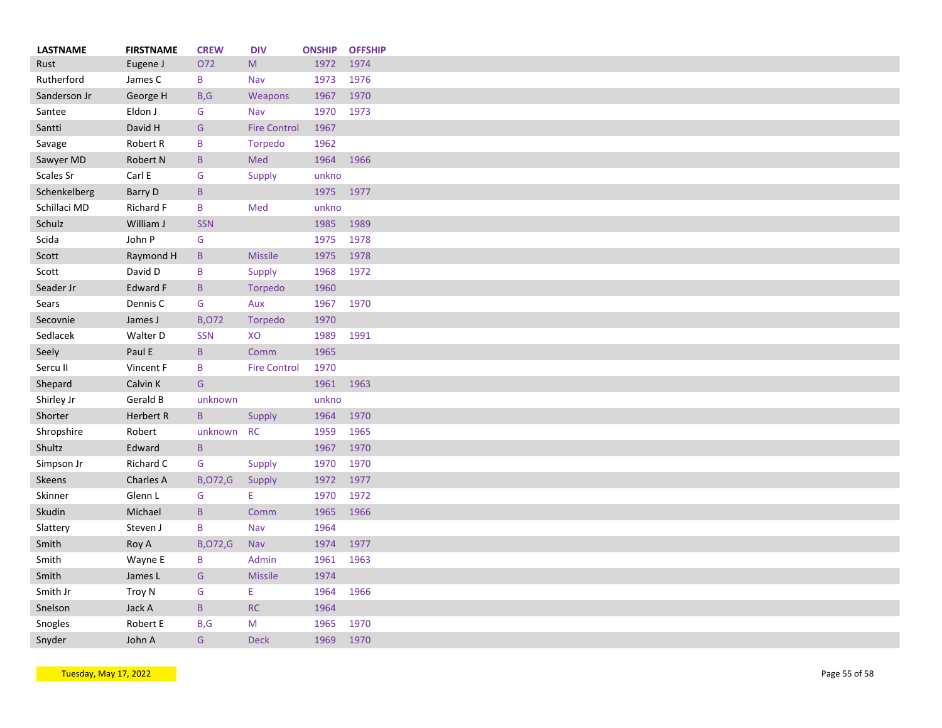| <b>LASTNAME</b> | <b>FIRSTNAME</b> | <b>CREW</b>     | <b>DIV</b>          | <b>ONSHIP</b> | <b>OFFSHIP</b> |
|-----------------|------------------|-----------------|---------------------|---------------|----------------|
| Rust            | Eugene J         | O72             | M                   | 1972          | 1974           |
| Rutherford      | James C          | B               | Nav                 | 1973          | 1976           |
| Sanderson Jr    | George H         | B, G            | Weapons             | 1967          | 1970           |
| Santee          | Eldon J          | G               | Nav                 | 1970          | 1973           |
| Santti          | David H          | G               | <b>Fire Control</b> | 1967          |                |
| Savage          | Robert R         | B               | Torpedo             | 1962          |                |
| Sawyer MD       | Robert N         | $\mathsf{B}$    | Med                 | 1964          | 1966           |
| Scales Sr       | Carl E           | G               | Supply              | unkno         |                |
| Schenkelberg    | Barry D          | $\mathsf{B}$    |                     |               | 1975 1977      |
| Schillaci MD    | Richard F        | B               | Med                 | unkno         |                |
| Schulz          | William J        | <b>SSN</b>      |                     | 1985          | 1989           |
| Scida           | John P           | G               |                     | 1975          | 1978           |
| Scott           | Raymond H        | B               | <b>Missile</b>      | 1975          | 1978           |
| Scott           | David D          | B               | Supply              | 1968          | 1972           |
| Seader Jr       | <b>Edward F</b>  | $\mathsf{B}$    | Torpedo             | 1960          |                |
| Sears           | Dennis C         | G               | Aux                 | 1967          | 1970           |
| Secovnie        | James J          | <b>B,072</b>    | <b>Torpedo</b>      | 1970          |                |
| Sedlacek        | Walter D         | <b>SSN</b>      | XO                  | 1989          | 1991           |
| Seely           | Paul E           | $\, {\bf B} \,$ | Comm                | 1965          |                |
| Sercu II        | Vincent F        | B               | <b>Fire Control</b> | 1970          |                |
| Shepard         | Calvin K         | G               |                     | 1961          | 1963           |
| Shirley Jr      | Gerald B         | unknown         |                     | unkno         |                |
| Shorter         | Herbert R        | $\mathsf B$     | Supply              | 1964          | 1970           |
| Shropshire      | Robert           | unknown         | <b>RC</b>           | 1959          | 1965           |
| Shultz          | Edward           | $\mathsf{B}$    |                     | 1967          | 1970           |
| Simpson Jr      | Richard C        | G               | Supply              | 1970          | 1970           |
| Skeens          | Charles A        | <b>B,072,G</b>  | Supply              | 1972          | 1977           |
| Skinner         | Glenn L          | G               | E                   | 1970          | 1972           |
| Skudin          | Michael          | $\mathsf B$     | Comm                | 1965          | 1966           |
| Slattery        | Steven J         | $\mathsf B$     | Nav                 | 1964          |                |
| Smith           | Roy A            | <b>B,072,G</b>  | <b>Nav</b>          | 1974          | 1977           |
| Smith           | Wayne E          | B               | Admin               | 1961          | 1963           |
| Smith           | James L          | G               | Missile             | 1974          |                |
| Smith Jr        | Troy N           | G               | E                   | 1964          | 1966           |
| Snelson         | Jack A           | $\mathsf B$     | RC                  | 1964          |                |
| Snogles         | Robert E         | B, G            | M                   | 1965          | 1970           |
| Snyder          | John A           | G               | <b>Deck</b>         | 1969          | 1970           |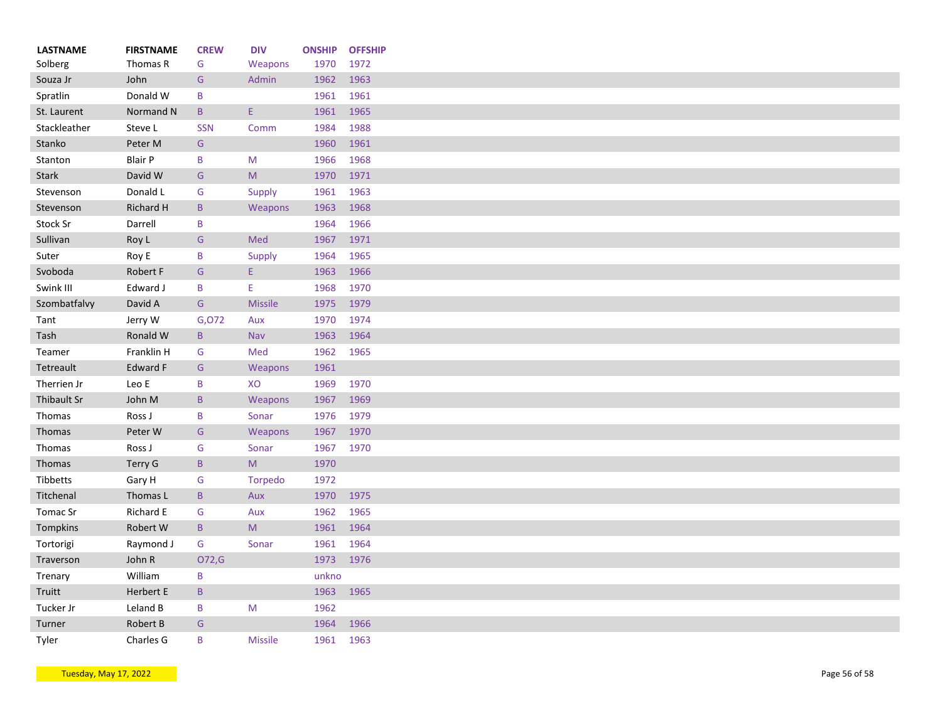| <b>LASTNAME</b>     | <b>FIRSTNAME</b> | <b>CREW</b>   | <b>DIV</b>                                                                                                 | <b>ONSHIP</b> | <b>OFFSHIP</b> |
|---------------------|------------------|---------------|------------------------------------------------------------------------------------------------------------|---------------|----------------|
| Solberg             | Thomas R         | G             | Weapons                                                                                                    | 1970          | 1972           |
| Souza Jr            | John             | ${\mathsf G}$ | Admin                                                                                                      | 1962          | 1963           |
| Spratlin            | Donald W         | B             |                                                                                                            | 1961          | 1961           |
| St. Laurent         | Normand N        | B             | E.                                                                                                         | 1961          | 1965           |
| Stackleather        | Steve L          | <b>SSN</b>    | Comm                                                                                                       | 1984          | 1988           |
| Stanko              | Peter M          | G             |                                                                                                            | 1960          | 1961           |
| Stanton             | <b>Blair P</b>   | B             | M                                                                                                          | 1966          | 1968           |
| <b>Stark</b>        | David W          | ${\mathsf G}$ | $\mathsf{M}% _{T}=\mathsf{M}_{T}\!\left( a,b\right) ,\ \mathsf{M}_{T}=\mathsf{M}_{T}\!\left( a,b\right) ,$ | 1970          | 1971           |
| Stevenson           | Donald L         | G             | <b>Supply</b>                                                                                              | 1961          | 1963           |
| Stevenson           | Richard H        | B             | Weapons                                                                                                    | 1963          | 1968           |
| Stock Sr            | Darrell          | B             |                                                                                                            | 1964          | 1966           |
| Sullivan            | Roy L            | G             | Med                                                                                                        | 1967          | 1971           |
| Suter               | Roy E            | B             | Supply                                                                                                     | 1964          | 1965           |
| Svoboda             | Robert F         | G             | Ε.                                                                                                         | 1963          | 1966           |
| Swink III           | Edward J         | B             | E.                                                                                                         | 1968          | 1970           |
| Szombatfalvy        | David A          | G             | <b>Missile</b>                                                                                             | 1975          | 1979           |
| Tant                | Jerry W          | G,072         | Aux                                                                                                        | 1970          | 1974           |
| Tash                | Ronald W         | B             | Nav                                                                                                        | 1963          | 1964           |
| Teamer              | Franklin H       | G             | Med                                                                                                        | 1962          | 1965           |
| Tetreault           | Edward F         | G             | Weapons                                                                                                    | 1961          |                |
| Therrien Jr         | Leo E            | B             | XO                                                                                                         | 1969          | 1970           |
| Thibault Sr         | John M           | B             | Weapons                                                                                                    | 1967          | 1969           |
| Thomas              | Ross J           | B             | Sonar                                                                                                      | 1976          | 1979           |
| Thomas              | Peter W          | G             | Weapons                                                                                                    | 1967          | 1970           |
| Thomas              | Ross J           | G             | Sonar                                                                                                      | 1967          | 1970           |
| Thomas              | <b>Terry G</b>   | B             | M                                                                                                          | 1970          |                |
| Tibbetts            | Gary H           | G             | Torpedo                                                                                                    | 1972          |                |
| Titchenal           | Thomas L         | B             | Aux                                                                                                        | 1970          | 1975           |
| Tomac Sr            | Richard E        | G             | Aux                                                                                                        | 1962          | 1965           |
| Tompkins            | Robert W         | B             | M                                                                                                          | 1961          | 1964           |
| Tortorigi           | Raymond J        | G             | Sonar                                                                                                      | 1961          | 1964           |
| Traverson           | John R           | O72,G         |                                                                                                            | 1973          | 1976           |
|                     | William          | B             |                                                                                                            | unkno         |                |
| Trenary<br>Truitt   | Herbert E        | B             |                                                                                                            | 1963          | 1965           |
|                     | Leland B         | B             | M                                                                                                          | 1962          |                |
| Tucker Jr<br>Turner | Robert B         | G             |                                                                                                            | 1964          | 1966           |
| Tyler               | Charles G        | B             | <b>Missile</b>                                                                                             | 1961          | 1963           |
|                     |                  |               |                                                                                                            |               |                |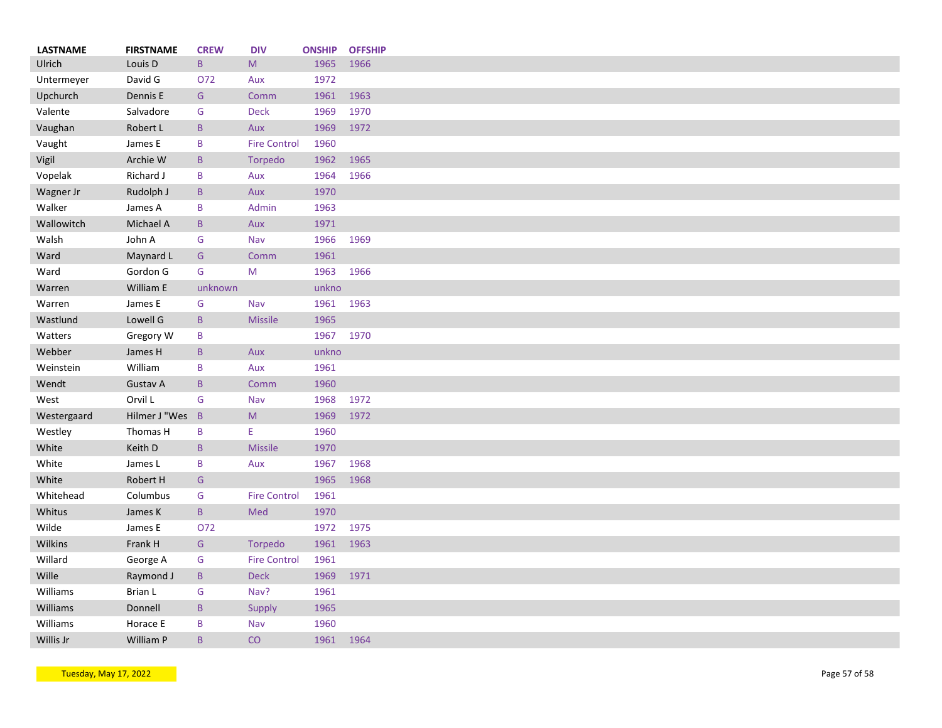| <b>LASTNAME</b> | <b>FIRSTNAME</b> | <b>CREW</b>     | <b>DIV</b>          | <b>ONSHIP</b> | <b>OFFSHIP</b> |
|-----------------|------------------|-----------------|---------------------|---------------|----------------|
| Ulrich          | Louis D          | $\, {\bf B} \,$ | ${\sf M}$           | 1965          | 1966           |
| Untermeyer      | David G          | 072             | Aux                 | 1972          |                |
| Upchurch        | Dennis E         | G               | Comm                | 1961          | 1963           |
| Valente         | Salvadore        | G               | <b>Deck</b>         | 1969          | 1970           |
| Vaughan         | Robert L         | $\mathsf B$     | Aux                 | 1969          | 1972           |
| Vaught          | James E          | B               | <b>Fire Control</b> | 1960          |                |
| Vigil           | Archie W         | $\mathsf{B}$    | Torpedo             | 1962          | 1965           |
| Vopelak         | Richard J        | B               | Aux                 | 1964          | 1966           |
| Wagner Jr       | Rudolph J        | B               | Aux                 | 1970          |                |
| Walker          | James A          | B               | Admin               | 1963          |                |
| Wallowitch      | Michael A        | $\mathsf B$     | Aux                 | 1971          |                |
| Walsh           | John A           | G               | Nav                 | 1966          | 1969           |
| Ward            | Maynard L        | G               | Comm                | 1961          |                |
| Ward            | Gordon G         | G               | M                   | 1963          | 1966           |
| Warren          | William E        | unknown         |                     | unkno         |                |
| Warren          | James E          | G               | Nav                 | 1961          | 1963           |
| Wastlund        | Lowell G         | $\mathsf B$     | <b>Missile</b>      | 1965          |                |
| Watters         | Gregory W        | B               |                     | 1967          | 1970           |
| Webber          | James H          | $\mathsf{B}$    | Aux                 | unkno         |                |
| Weinstein       | William          | $\, {\bf B}$    | Aux                 | 1961          |                |
| Wendt           | Gustav A         | $\sf B$         | Comm                | 1960          |                |
| West            | Orvil L          | G               | Nav                 | 1968          | 1972           |
| Westergaard     | Hilmer J "Wes B  |                 | M                   | 1969          | 1972           |
| Westley         | Thomas H         | B               | Ε                   | 1960          |                |
| White           | Keith D          | $\mathsf B$     | <b>Missile</b>      | 1970          |                |
| White           | James L          | B               | Aux                 | 1967          | 1968           |
| White           | Robert H         | G               |                     | 1965          | 1968           |
| Whitehead       | Columbus         | G               | <b>Fire Control</b> | 1961          |                |
| Whitus          | James K          | $\mathsf B$     | Med                 | 1970          |                |
| Wilde           | James E          | O72             |                     | 1972          | 1975           |
|                 | Frank H          |                 |                     |               |                |
| Wilkins         |                  | G               | Torpedo             | 1961          | 1963           |
| Willard         | George A         | G               | <b>Fire Control</b> | 1961          |                |
| Wille           | Raymond J        | $\mathsf B$     | Deck                | 1969          | 1971           |
| Williams        | Brian L          | ${\mathsf G}$   | Nav?                | 1961          |                |
| Williams        | Donnell          | B               | <b>Supply</b>       | 1965          |                |
| Williams        | Horace E         | B               | Nav                 | 1960          |                |
| Willis Jr       | William P        | B               | CO                  | 1961          | 1964           |